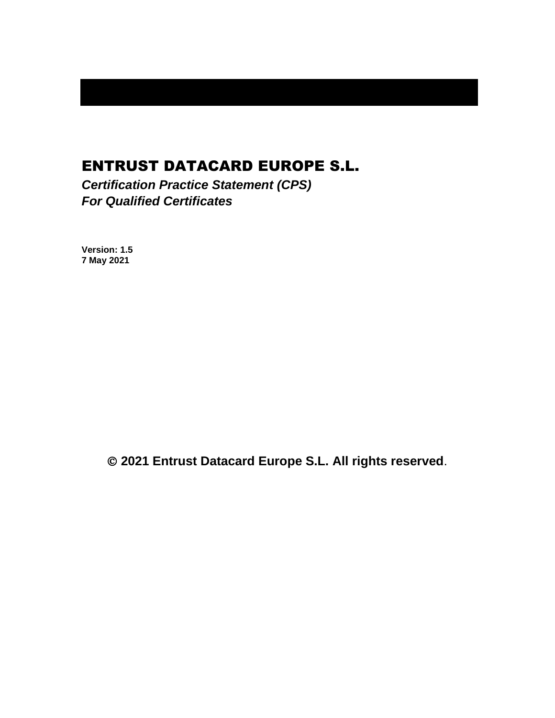# ENTRUST DATACARD EUROPE S.L.

*Certification Practice Statement (CPS) For Qualified Certificates*

**Version: 1.5 7 May 2021**

© **2021 Entrust Datacard Europe S.L. All rights reserved**.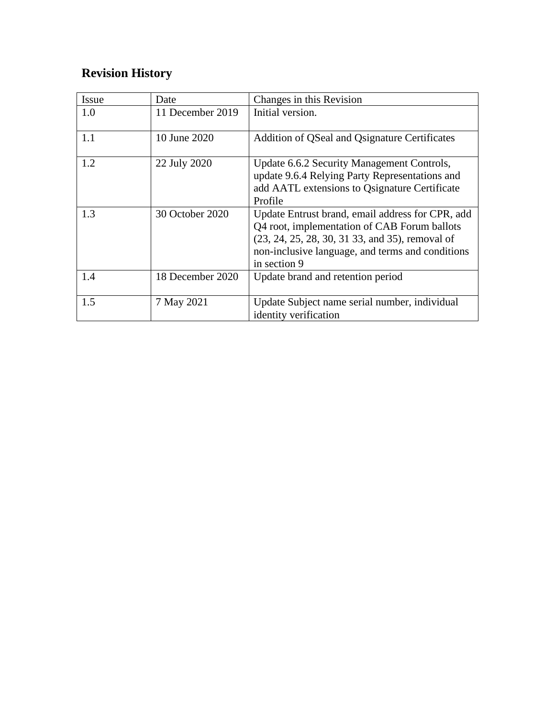# **Revision History**

| Issue | Date             | Changes in this Revision                                                                                                                                                                                                |
|-------|------------------|-------------------------------------------------------------------------------------------------------------------------------------------------------------------------------------------------------------------------|
| 1.0   | 11 December 2019 | Initial version.                                                                                                                                                                                                        |
| 1.1   | 10 June 2020     | Addition of QSeal and Qsignature Certificates                                                                                                                                                                           |
| 1.2   | 22 July 2020     | Update 6.6.2 Security Management Controls,<br>update 9.6.4 Relying Party Representations and<br>add AATL extensions to Qsignature Certificate<br>Profile                                                                |
| 1.3   | 30 October 2020  | Update Entrust brand, email address for CPR, add<br>Q4 root, implementation of CAB Forum ballots<br>(23, 24, 25, 28, 30, 31 33, and 35), removal of<br>non-inclusive language, and terms and conditions<br>in section 9 |
| 1.4   | 18 December 2020 | Update brand and retention period                                                                                                                                                                                       |
| 1.5   | 7 May 2021       | Update Subject name serial number, individual<br>identity verification                                                                                                                                                  |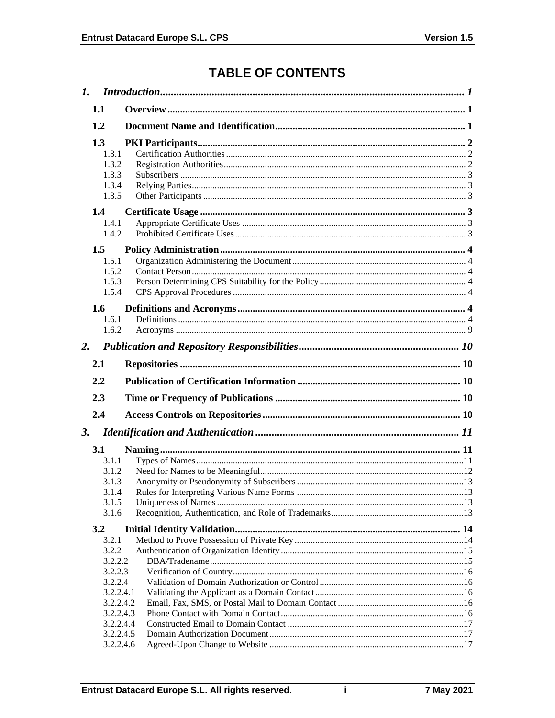# **TABLE OF CONTENTS**

| $\mathbf{I}$ . |                                                                                                                  |  |
|----------------|------------------------------------------------------------------------------------------------------------------|--|
|                | 1.1                                                                                                              |  |
|                | 1.2                                                                                                              |  |
|                | 1.3<br>1.3.1<br>1.3.2<br>1.3.3<br>1.3.4<br>1.3.5                                                                 |  |
|                | $1.4^{\circ}$<br>1.4.1<br>1.4.2                                                                                  |  |
|                | 1.5<br>1.5.1<br>1.5.2<br>1.5.3<br>1.5.4<br>1.6                                                                   |  |
|                | 1.6.1<br>1.6.2                                                                                                   |  |
| 2.             |                                                                                                                  |  |
|                | 2.1                                                                                                              |  |
|                | 2.2                                                                                                              |  |
|                | 2.3                                                                                                              |  |
|                | 2.4                                                                                                              |  |
| <b>3.</b>      |                                                                                                                  |  |
|                | <b>3.1</b><br>3.1.1<br>3.1.2<br>3.1.3<br>3.1.4<br>3.1.5<br>3.1.6                                                 |  |
|                | 3.2                                                                                                              |  |
|                | 3.2.1<br>3.2.2<br>3.2.2.2<br>3.2.2.3<br>3.2.2.4<br>3.2.2.4.1<br>3.2.2.4.2<br>3.2.2.4.3<br>3.2.2.4.4<br>3.2.2.4.5 |  |
|                | 3.2.2.4.6                                                                                                        |  |

 $\mathbf i$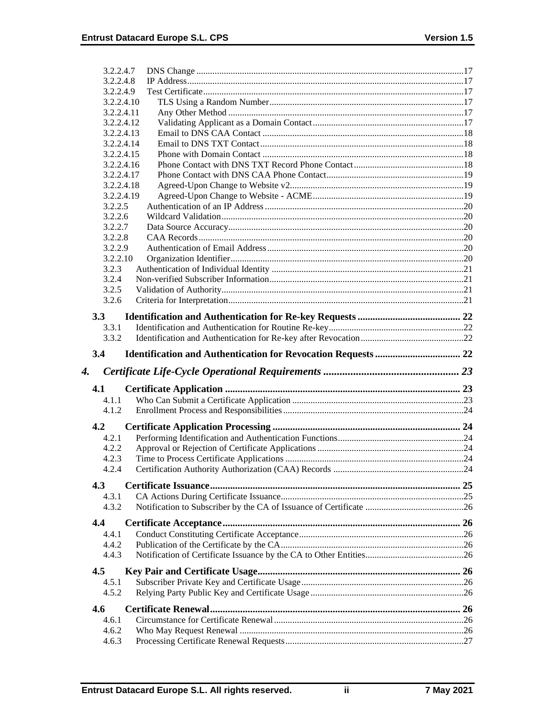| 3.2.2.4.7                |  |
|--------------------------|--|
| 3.2.2.4.8                |  |
| 3.2.2.4.9                |  |
| 3.2.2.4.10               |  |
| 3.2.2.4.11               |  |
| 3.2.2.4.12               |  |
| 3.2.2.4.13               |  |
| 3.2.2.4.14               |  |
| 3.2.2.4.15               |  |
| 3.2.2.4.16               |  |
| 3.2.2.4.17<br>3.2.2.4.18 |  |
| 3.2.2.4.19               |  |
| 3.2.2.5                  |  |
| 3.2.2.6                  |  |
| 3.2.2.7                  |  |
| 3.2.2.8                  |  |
| 3.2.2.9                  |  |
| 3.2.2.10                 |  |
| 3.2.3                    |  |
| 3.2.4                    |  |
| 3.2.5                    |  |
| 3.2.6                    |  |
| 3.3                      |  |
| 3.3.1                    |  |
| 3.3.2                    |  |
|                          |  |
| 3.4                      |  |
|                          |  |
| 4.                       |  |
| 4.1                      |  |
| 4.1.1                    |  |
| 4.1.2                    |  |
|                          |  |
| 4.2                      |  |
| 4.2.1                    |  |
| 4.2.2<br>4.2.3           |  |
| 4.2.4                    |  |
|                          |  |
| 4.3                      |  |
| 4.3.1                    |  |
| 4.3.2                    |  |
| 4.4                      |  |
| 4.4.1                    |  |
| 4.4.2                    |  |
| 4.4.3                    |  |
|                          |  |
| 4.5                      |  |
| 4.5.1                    |  |
| 4.5.2                    |  |
| 4.6                      |  |
| 4.6.1                    |  |
| 4.6.2<br>4.6.3           |  |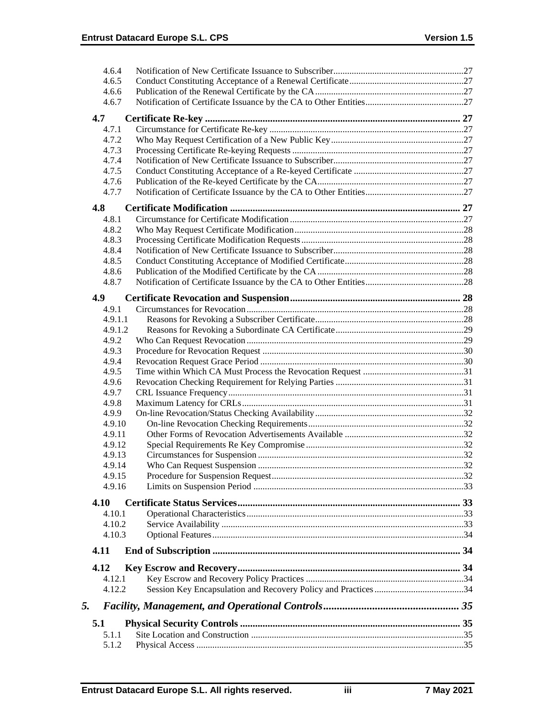|    | 4.6.4            |  |
|----|------------------|--|
|    | 4.6.5            |  |
|    | 4.6.6            |  |
|    | 4.6.7            |  |
|    | 4.7              |  |
|    | 4.7.1            |  |
|    | 4.7.2            |  |
|    | 4.7.3            |  |
|    | 4.7.4            |  |
|    | 4.7.5            |  |
|    | 4.7.6            |  |
|    | 4.7.7            |  |
|    | 4.8              |  |
|    | 4.8.1            |  |
|    | 4.8.2            |  |
|    | 4.8.3            |  |
|    | 4.8.4            |  |
|    | 4.8.5            |  |
|    | 4.8.6            |  |
|    | 4.8.7            |  |
|    |                  |  |
|    | 4.9<br>4.9.1     |  |
|    | 4.9.1.1          |  |
|    | 4.9.1.2          |  |
|    | 4.9.2            |  |
|    | 4.9.3            |  |
|    | 4.9.4            |  |
|    | 4.9.5            |  |
|    | 4.9.6            |  |
|    | 4.9.7            |  |
|    | 4.9.8            |  |
|    | 4.9.9            |  |
|    | 4.9.10           |  |
|    | 4.9.11           |  |
|    | 4.9.12           |  |
|    | 4.9.13           |  |
|    | 4.9.14           |  |
|    | 4.9.15           |  |
|    | 4.9.16           |  |
|    | 4.10             |  |
|    | 4.10.1           |  |
|    | 4.10.2           |  |
|    | 4.10.3           |  |
|    | 4.11             |  |
|    |                  |  |
|    | 4.12             |  |
|    | 4.12.1<br>4.12.2 |  |
|    |                  |  |
| 5. |                  |  |
|    | 5.1              |  |
|    | 5.1.1            |  |
|    | 5.1.2            |  |
|    |                  |  |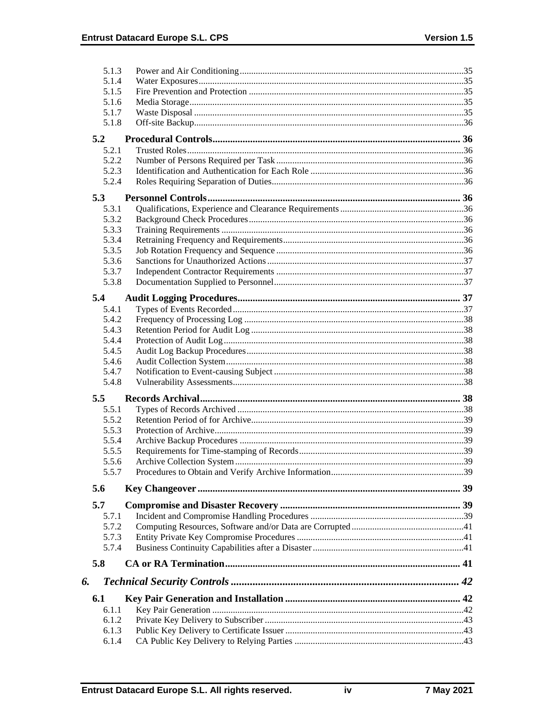|     | 5.1.3 |  |
|-----|-------|--|
|     | 5.1.4 |  |
|     | 5.1.5 |  |
|     | 5.1.6 |  |
|     | 5.1.7 |  |
|     | 5.1.8 |  |
| 5.2 |       |  |
|     | 5.2.1 |  |
|     | 5.2.2 |  |
|     | 5.2.3 |  |
|     | 5.2.4 |  |
| 5.3 |       |  |
|     | 5.3.1 |  |
|     | 5.3.2 |  |
|     | 5.3.3 |  |
|     | 5.3.4 |  |
|     | 5.3.5 |  |
|     | 5.3.6 |  |
|     | 5.3.7 |  |
|     | 5.3.8 |  |
| 5.4 |       |  |
|     | 5.4.1 |  |
|     | 5.4.2 |  |
|     | 5.4.3 |  |
|     | 5.4.4 |  |
|     | 5.4.5 |  |
|     | 5.4.6 |  |
|     | 5.4.7 |  |
|     | 5.4.8 |  |
| 5.5 |       |  |
|     | 5.5.1 |  |
|     | 5.5.2 |  |
|     | 5.5.3 |  |
|     | 5.5.4 |  |
|     | 5.5.5 |  |
|     | 5.5.6 |  |
|     | 5.5.7 |  |
| 5.6 |       |  |
|     |       |  |
| 5.7 |       |  |
|     | 5.7.1 |  |
|     | 5.7.2 |  |
|     | 5.7.3 |  |
|     | 5.7.4 |  |
| 5.8 |       |  |
| 6.  |       |  |
| 6.1 |       |  |
|     | 6.1.1 |  |
|     | 6.1.2 |  |
|     | 6.1.3 |  |
|     | 6.1.4 |  |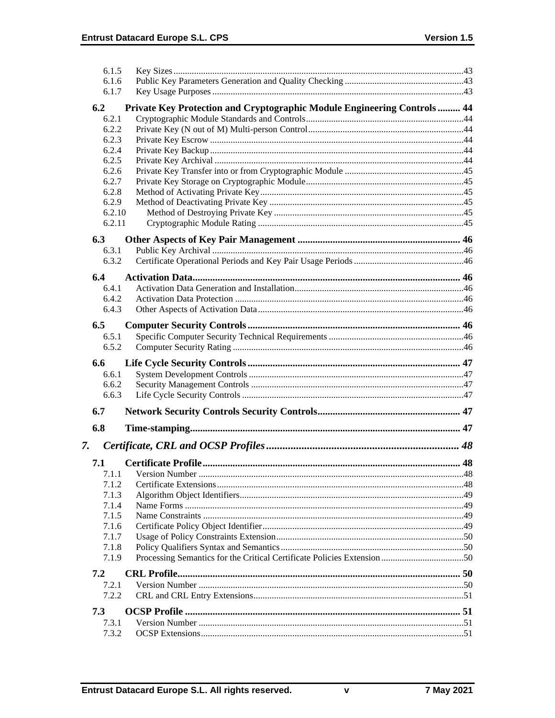| 6.1.5          |                                                                          |  |
|----------------|--------------------------------------------------------------------------|--|
| 6.1.6          |                                                                          |  |
| 6.1.7          |                                                                          |  |
| 6.2            | Private Key Protection and Cryptographic Module Engineering Controls  44 |  |
| 6.2.1          |                                                                          |  |
| 6.2.2          |                                                                          |  |
| 6.2.3          |                                                                          |  |
| 6.2.4          |                                                                          |  |
| 6.2.5          |                                                                          |  |
| 6.2.6<br>6.2.7 |                                                                          |  |
| 6.2.8          |                                                                          |  |
| 6.2.9          |                                                                          |  |
| 6.2.10         |                                                                          |  |
| 6.2.11         |                                                                          |  |
|                |                                                                          |  |
| 6.3            |                                                                          |  |
| 6.3.1<br>6.3.2 |                                                                          |  |
|                |                                                                          |  |
| 6.4            |                                                                          |  |
| 6.4.1          |                                                                          |  |
| 6.4.2          |                                                                          |  |
| 6.4.3          |                                                                          |  |
| 6.5            |                                                                          |  |
| 6.5.1          |                                                                          |  |
| 6.5.2          |                                                                          |  |
|                |                                                                          |  |
|                |                                                                          |  |
| 6.6            |                                                                          |  |
| 6.6.1          |                                                                          |  |
| 6.6.2<br>6.6.3 |                                                                          |  |
|                |                                                                          |  |
| 6.7            |                                                                          |  |
| 6.8            |                                                                          |  |
|                |                                                                          |  |
| 7.             |                                                                          |  |
| 7.1            |                                                                          |  |
| 7.1.1          |                                                                          |  |
| 7.1.2          |                                                                          |  |
| 7.1.3          |                                                                          |  |
| 7.1.4          |                                                                          |  |
| 7.1.5          |                                                                          |  |
| 7.1.6<br>7.1.7 |                                                                          |  |
| 7.1.8          |                                                                          |  |
| 7.1.9          |                                                                          |  |
|                |                                                                          |  |
| 7.2            |                                                                          |  |
| 7.2.1<br>7.2.2 |                                                                          |  |
|                |                                                                          |  |
| 7.3            |                                                                          |  |
| 7.3.1<br>7.3.2 |                                                                          |  |

 $\mathbf v$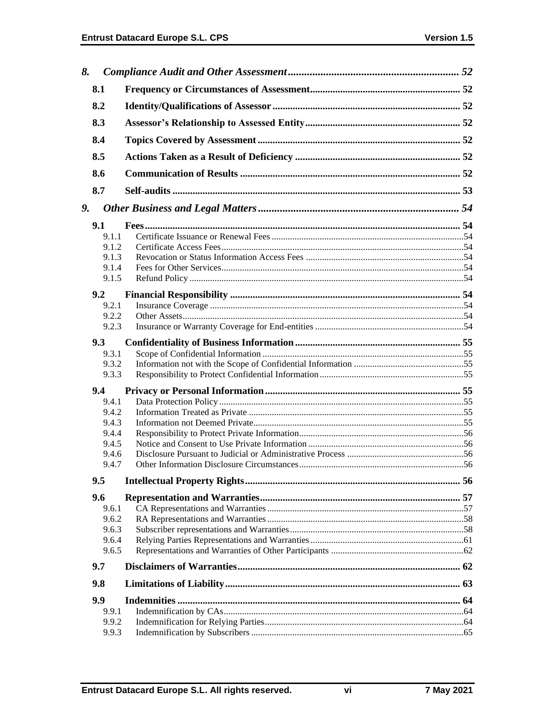| 8. |               |  |
|----|---------------|--|
|    | 8.1           |  |
|    | 8.2           |  |
|    | 8.3           |  |
|    | 8.4           |  |
|    | 8.5           |  |
|    | 8.6           |  |
|    | 8.7           |  |
|    |               |  |
| 9. |               |  |
|    | 9.1           |  |
|    | 9.1.1         |  |
|    | 9.1.2         |  |
|    | 9.1.3         |  |
|    | 9.1.4         |  |
|    | 9.1.5         |  |
|    | 9.2           |  |
|    | 9.2.1         |  |
|    | 9.2.2         |  |
|    | 9.2.3         |  |
|    | 9.3           |  |
|    | 9.3.1         |  |
|    | 9.3.2         |  |
|    | 9.3.3         |  |
|    | $9.4^{\circ}$ |  |
|    | 9.4.1         |  |
|    | 9.4.2         |  |
|    | 9.4.3         |  |
|    | 9.4.4         |  |
|    | 9.4.5         |  |
|    | 9.4.6         |  |
|    | 9.4.7         |  |
|    | 9.5           |  |
|    | 9.6           |  |
|    | 9.6.1         |  |
|    | 9.6.2         |  |
|    | 9.6.3         |  |
|    | 9.6.4         |  |
|    | 9.6.5         |  |
|    | 9.7           |  |
|    | 9.8           |  |
|    |               |  |
|    | 9.9           |  |
|    | 9.9.1         |  |
|    | 9.9.2         |  |
|    | 9.9.3         |  |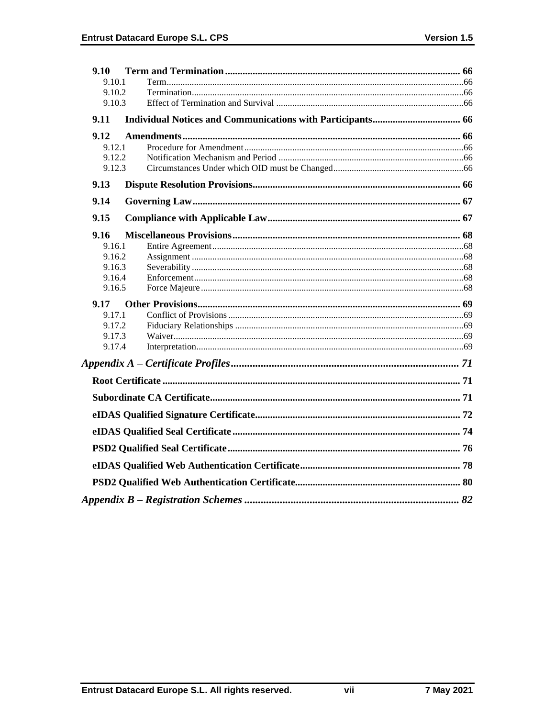| 9.10             |  |
|------------------|--|
| 9.10.1           |  |
| 9.10.2           |  |
| 9.10.3           |  |
| 9.11             |  |
| 9.12             |  |
| 9.12.1           |  |
| 9.12.2           |  |
| 9.12.3           |  |
| 9.13             |  |
| 9.14             |  |
| 9.15             |  |
| 9.16             |  |
| 9.16.1           |  |
| 9.16.2           |  |
| 9.16.3           |  |
| 9.16.4<br>9.16.5 |  |
|                  |  |
| 9.17<br>9.17.1   |  |
| 9.17.2           |  |
| 9.17.3           |  |
| 9.17.4           |  |
|                  |  |
|                  |  |
|                  |  |
|                  |  |
|                  |  |
|                  |  |
|                  |  |
|                  |  |
|                  |  |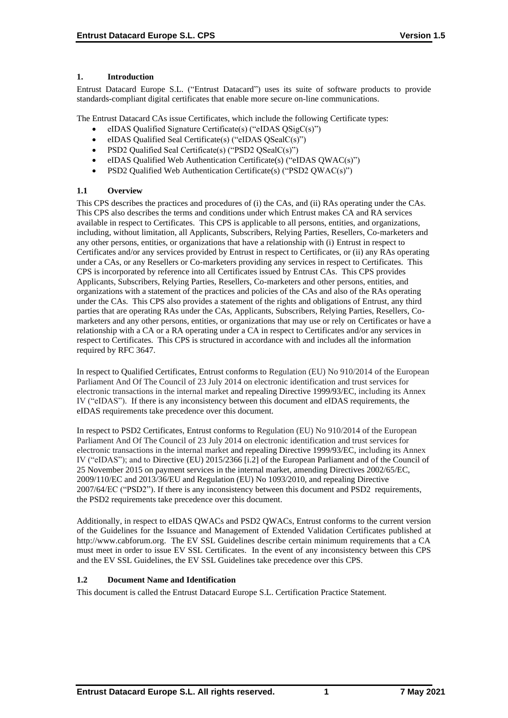## **1. Introduction**

Entrust Datacard Europe S.L. ("Entrust Datacard") uses its suite of software products to provide standards-compliant digital certificates that enable more secure on-line communications.

The Entrust Datacard CAs issue Certificates, which include the following Certificate types:

- eIDAS Qualified Signature Certificate(s) ("eIDAS QSigC(s)")
- eIDAS Qualified Seal Certificate(s) ("eIDAS QSealC(s)")
- PSD2 Qualified Seal Certificate(s) ("PSD2 QSealC(s)")
- eIDAS Qualified Web Authentication Certificate(s) ("eIDAS QWAC(s)")
- PSD2 Qualified Web Authentication Certificate(s) ("PSD2 QWAC(s)")

## **1.1 Overview**

This CPS describes the practices and procedures of (i) the CAs, and (ii) RAs operating under the CAs. This CPS also describes the terms and conditions under which Entrust makes CA and RA services available in respect to Certificates. This CPS is applicable to all persons, entities, and organizations, including, without limitation, all Applicants, Subscribers, Relying Parties, Resellers, Co-marketers and any other persons, entities, or organizations that have a relationship with (i) Entrust in respect to Certificates and/or any services provided by Entrust in respect to Certificates, or (ii) any RAs operating under a CAs, or any Resellers or Co-marketers providing any services in respect to Certificates. This CPS is incorporated by reference into all Certificates issued by Entrust CAs. This CPS provides Applicants, Subscribers, Relying Parties, Resellers, Co-marketers and other persons, entities, and organizations with a statement of the practices and policies of the CAs and also of the RAs operating under the CAs. This CPS also provides a statement of the rights and obligations of Entrust, any third parties that are operating RAs under the CAs, Applicants, Subscribers, Relying Parties, Resellers, Comarketers and any other persons, entities, or organizations that may use or rely on Certificates or have a relationship with a CA or a RA operating under a CA in respect to Certificates and/or any services in respect to Certificates. This CPS is structured in accordance with and includes all the information required by RFC 3647.

In respect to Qualified Certificates, Entrust conforms to Regulation (EU) No 910/2014 of the European Parliament And Of The Council of 23 July 2014 on electronic identification and trust services for electronic transactions in the internal market and repealing Directive 1999/93/EC, including its Annex IV ("eIDAS"). If there is any inconsistency between this document and eIDAS requirements, the eIDAS requirements take precedence over this document.

In respect to PSD2 Certificates, Entrust conforms to Regulation (EU) No 910/2014 of the European Parliament And Of The Council of 23 July 2014 on electronic identification and trust services for electronic transactions in the internal market and repealing Directive 1999/93/EC, including its Annex IV ("eIDAS"); and to Directive (EU) 2015/2366 [i.2] of the European Parliament and of the Council of 25 November 2015 on payment services in the internal market, amending Directives 2002/65/EC, 2009/110/EC and 2013/36/EU and Regulation (EU) No 1093/2010, and repealing Directive 2007/64/EC ("PSD2"). If there is any inconsistency between this document and PSD2 requirements, the PSD2 requirements take precedence over this document.

Additionally, in respect to eIDAS QWACs and PSD2 QWACs, Entrust conforms to the current version of the Guidelines for the Issuance and Management of Extended Validation Certificates published at http://www.cabforum.org. The EV SSL Guidelines describe certain minimum requirements that a CA must meet in order to issue EV SSL Certificates. In the event of any inconsistency between this CPS and the EV SSL Guidelines, the EV SSL Guidelines take precedence over this CPS.

## **1.2 Document Name and Identification**

This document is called the Entrust Datacard Europe S.L. Certification Practice Statement.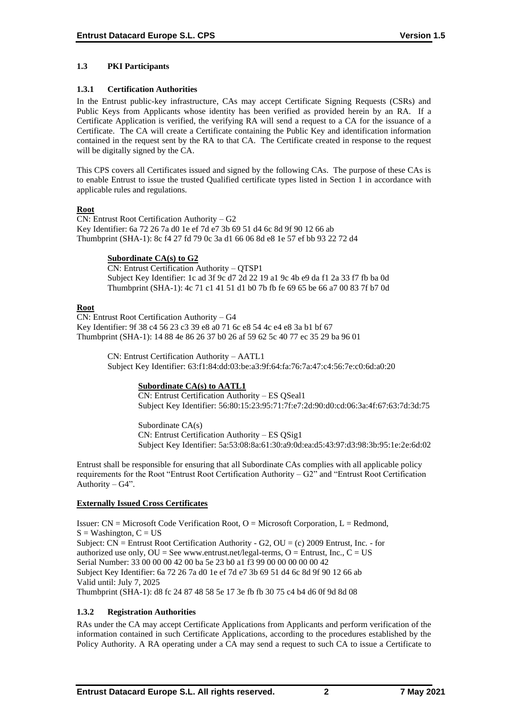## **1.3 PKI Participants**

#### **1.3.1 Certification Authorities**

In the Entrust public-key infrastructure, CAs may accept Certificate Signing Requests (CSRs) and Public Keys from Applicants whose identity has been verified as provided herein by an RA. If a Certificate Application is verified, the verifying RA will send a request to a CA for the issuance of a Certificate. The CA will create a Certificate containing the Public Key and identification information contained in the request sent by the RA to that CA. The Certificate created in response to the request will be digitally signed by the CA.

This CPS covers all Certificates issued and signed by the following CAs. The purpose of these CAs is to enable Entrust to issue the trusted Qualified certificate types listed in Section 1 in accordance with applicable rules and regulations.

### **Root**

CN: Entrust Root Certification Authority – G2 Key Identifier: 6a 72 26 7a d0 1e ef 7d e7 3b 69 51 d4 6c 8d 9f 90 12 66 ab Thumbprint (SHA-1): 8c f4 27 fd 79 0c 3a d1 66 06 8d e8 1e 57 ef bb 93 22 72 d4

### **Subordinate CA(s) to G2**

CN: Entrust Certification Authority – QTSP1 Subject Key Identifier: 1c ad 3f 9c d7 2d 22 19 a1 9c 4b e9 da f1 2a 33 f7 fb ba 0d Thumbprint (SHA-1): 4c 71 c1 41 51 d1 b0 7b fb fe 69 65 be 66 a7 00 83 7f b7 0d

### **Root**

CN: Entrust Root Certification Authority – G4 Key Identifier: 9f 38 c4 56 23 c3 39 e8 a0 71 6c e8 54 4c e4 e8 3a b1 bf 67 Thumbprint (SHA-1): 14 88 4e 86 26 37 b0 26 af 59 62 5c 40 77 ec 35 29 ba 96 01

> CN: Entrust Certification Authority – AATL1 Subject Key Identifier: 63:f1:84:dd:03:be:a3:9f:64:fa:76:7a:47:c4:56:7e:c0:6d:a0:20

## **Subordinate CA(s) to AATL1**

CN: Entrust Certification Authority – ES QSeal1 Subject Key Identifier: 56:80:15:23:95:71:7f:e7:2d:90:d0:cd:06:3a:4f:67:63:7d:3d:75

Subordinate CA(s) CN: Entrust Certification Authority – ES QSig1 Subject Key Identifier: 5a:53:08:8a:61:30:a9:0d:ea:d5:43:97:d3:98:3b:95:1e:2e:6d:02

Entrust shall be responsible for ensuring that all Subordinate CAs complies with all applicable policy requirements for the Root "Entrust Root Certification Authority – G2" and "Entrust Root Certification Authority –  $G4$ ".

## **Externally Issued Cross Certificates**

Issuer:  $CN = Microsoft Code Verification Root, O = Microsoft Corporation, L = Redmond,$  $S = Washington, C = US$ Subject:  $CN =$  Entrust Root Certification Authority - G2,  $OU = (c)$  2009 Entrust, Inc. - for authorized use only,  $OU = See$  www.entrust.net/legal-terms,  $O =$  Entrust, Inc.,  $C = US$ Serial Number: 33 00 00 00 42 00 ba 5e 23 b0 a1 f3 99 00 00 00 00 00 42 Subject Key Identifier: 6a 72 26 7a d0 1e ef 7d e7 3b 69 51 d4 6c 8d 9f 90 12 66 ab Valid until: July 7, 2025 Thumbprint (SHA-1): d8 fc 24 87 48 58 5e 17 3e fb fb 30 75 c4 b4 d6 0f 9d 8d 08

## **1.3.2 Registration Authorities**

RAs under the CA may accept Certificate Applications from Applicants and perform verification of the information contained in such Certificate Applications, according to the procedures established by the Policy Authority. A RA operating under a CA may send a request to such CA to issue a Certificate to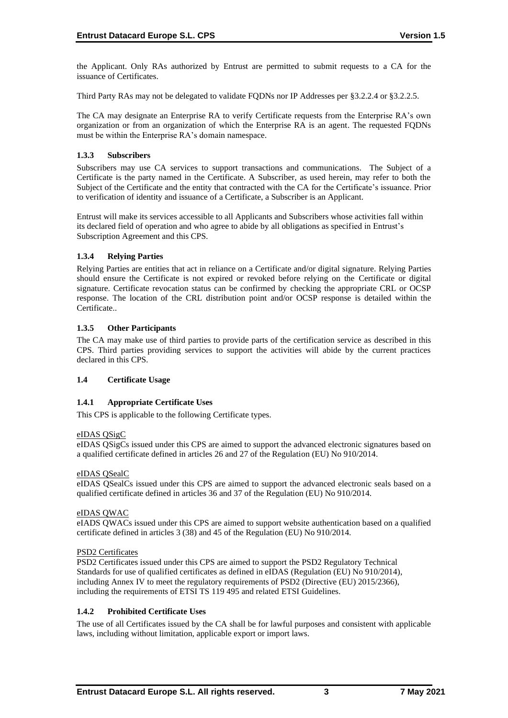the Applicant. Only RAs authorized by Entrust are permitted to submit requests to a CA for the issuance of Certificates.

Third Party RAs may not be delegated to validate FQDNs nor IP Addresses per §3.2.2.4 or §3.2.2.5.

The CA may designate an Enterprise RA to verify Certificate requests from the Enterprise RA's own organization or from an organization of which the Enterprise RA is an agent. The requested FQDNs must be within the Enterprise RA's domain namespace.

## **1.3.3 Subscribers**

Subscribers may use CA services to support transactions and communications. The Subject of a Certificate is the party named in the Certificate. A Subscriber, as used herein, may refer to both the Subject of the Certificate and the entity that contracted with the CA for the Certificate's issuance. Prior to verification of identity and issuance of a Certificate, a Subscriber is an Applicant.

Entrust will make its services accessible to all Applicants and Subscribers whose activities fall within its declared field of operation and who agree to abide by all obligations as specified in Entrust's Subscription Agreement and this CPS.

### **1.3.4 Relying Parties**

Relying Parties are entities that act in reliance on a Certificate and/or digital signature. Relying Parties should ensure the Certificate is not expired or revoked before relying on the Certificate or digital signature. Certificate revocation status can be confirmed by checking the appropriate CRL or OCSP response. The location of the CRL distribution point and/or OCSP response is detailed within the Certificate..

### **1.3.5 Other Participants**

The CA may make use of third parties to provide parts of the certification service as described in this CPS. Third parties providing services to support the activities will abide by the current practices declared in this CPS.

## **1.4 Certificate Usage**

## **1.4.1 Appropriate Certificate Uses**

This CPS is applicable to the following Certificate types.

#### eIDAS QSigC

eIDAS QSigCs issued under this CPS are aimed to support the advanced electronic signatures based on a qualified certificate defined in articles 26 and 27 of the Regulation (EU) No 910/2014.

#### eIDAS QSealC

eIDAS QSealCs issued under this CPS are aimed to support the advanced electronic seals based on a qualified certificate defined in articles 36 and 37 of the Regulation (EU) No 910/2014.

#### eIDAS QWAC

eIADS QWACs issued under this CPS are aimed to support website authentication based on a qualified certificate defined in articles 3 (38) and 45 of the Regulation (EU) No 910/2014.

#### PSD2 Certificates

PSD2 Certificates issued under this CPS are aimed to support the PSD2 Regulatory Technical Standards for use of qualified certificates as defined in eIDAS (Regulation (EU) No 910/2014), including Annex IV to meet the regulatory requirements of PSD2 (Directive (EU) 2015/2366), including the requirements of ETSI TS 119 495 and related ETSI Guidelines.

#### **1.4.2 Prohibited Certificate Uses**

The use of all Certificates issued by the CA shall be for lawful purposes and consistent with applicable laws, including without limitation, applicable export or import laws.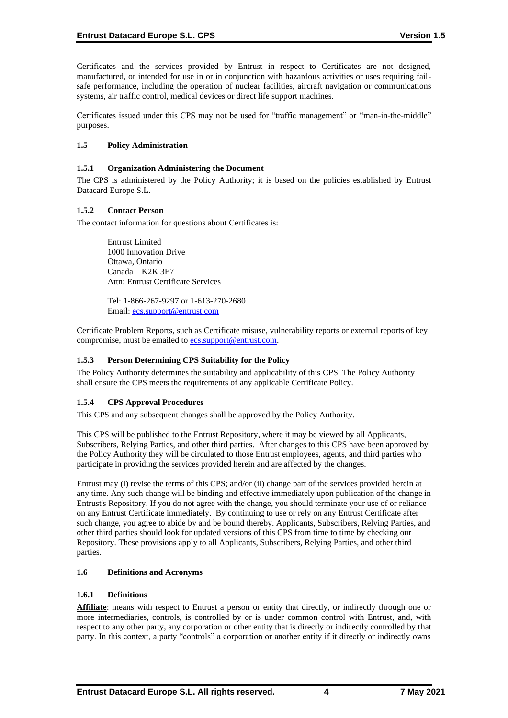Certificates and the services provided by Entrust in respect to Certificates are not designed, manufactured, or intended for use in or in conjunction with hazardous activities or uses requiring failsafe performance, including the operation of nuclear facilities, aircraft navigation or communications systems, air traffic control, medical devices or direct life support machines.

Certificates issued under this CPS may not be used for "traffic management" or "man-in-the-middle" purposes.

#### **1.5 Policy Administration**

#### **1.5.1 Organization Administering the Document**

The CPS is administered by the Policy Authority; it is based on the policies established by Entrust Datacard Europe S.L.

### **1.5.2 Contact Person**

The contact information for questions about Certificates is:

Entrust Limited 1000 Innovation Drive Ottawa, Ontario Canada K2K 3E7 Attn: Entrust Certificate Services

Tel: 1-866-267-9297 or 1-613-270-2680 Email: [ecs.support@entrust.com](mailto:ecs.support@entrust.com)

Certificate Problem Reports, such as Certificate misuse, vulnerability reports or external reports of key compromise, must be emailed to **ecs.support@entrust.com**.

## **1.5.3 Person Determining CPS Suitability for the Policy**

The Policy Authority determines the suitability and applicability of this CPS. The Policy Authority shall ensure the CPS meets the requirements of any applicable Certificate Policy.

## **1.5.4 CPS Approval Procedures**

This CPS and any subsequent changes shall be approved by the Policy Authority.

This CPS will be published to the Entrust Repository, where it may be viewed by all Applicants, Subscribers, Relying Parties, and other third parties. After changes to this CPS have been approved by the Policy Authority they will be circulated to those Entrust employees, agents, and third parties who participate in providing the services provided herein and are affected by the changes.

Entrust may (i) revise the terms of this CPS; and/or (ii) change part of the services provided herein at any time. Any such change will be binding and effective immediately upon publication of the change in Entrust's Repository. If you do not agree with the change, you should terminate your use of or reliance on any Entrust Certificate immediately. By continuing to use or rely on any Entrust Certificate after such change, you agree to abide by and be bound thereby. Applicants, Subscribers, Relying Parties, and other third parties should look for updated versions of this CPS from time to time by checking our Repository. These provisions apply to all Applicants, Subscribers, Relying Parties, and other third parties.

#### **1.6 Definitions and Acronyms**

#### **1.6.1 Definitions**

Affiliate: means with respect to Entrust a person or entity that directly, or indirectly through one or more intermediaries, controls, is controlled by or is under common control with Entrust, and, with respect to any other party, any corporation or other entity that is directly or indirectly controlled by that party. In this context, a party "controls" a corporation or another entity if it directly or indirectly owns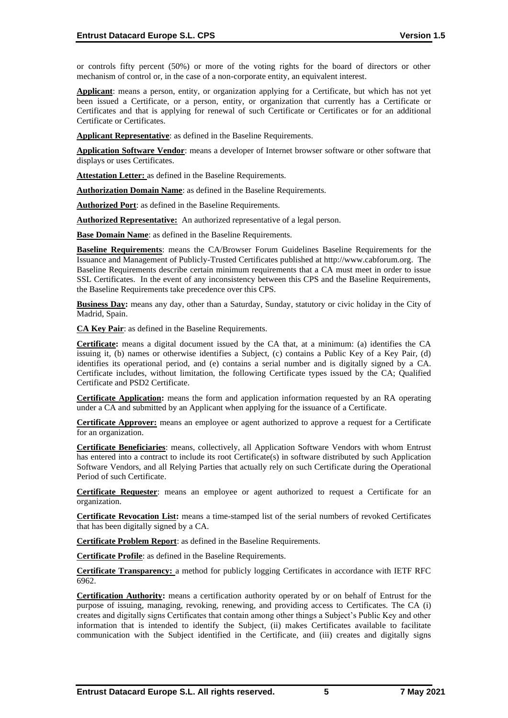or controls fifty percent (50%) or more of the voting rights for the board of directors or other mechanism of control or, in the case of a non-corporate entity, an equivalent interest.

**Applicant**: means a person, entity, or organization applying for a Certificate, but which has not yet been issued a Certificate, or a person, entity, or organization that currently has a Certificate or Certificates and that is applying for renewal of such Certificate or Certificates or for an additional Certificate or Certificates.

**Applicant Representative**: as defined in the Baseline Requirements.

**Application Software Vendor**: means a developer of Internet browser software or other software that displays or uses Certificates.

**Attestation Letter:** as defined in the Baseline Requirements.

**Authorization Domain Name**: as defined in the Baseline Requirements.

**Authorized Port**: as defined in the Baseline Requirements.

**Authorized Representative:** An authorized representative of a legal person.

**Base Domain Name**: as defined in the Baseline Requirements.

**Baseline Requirements**: means the CA/Browser Forum Guidelines Baseline Requirements for the Issuance and Management of Publicly-Trusted Certificates published at http://www.cabforum.org. The Baseline Requirements describe certain minimum requirements that a CA must meet in order to issue SSL Certificates. In the event of any inconsistency between this CPS and the Baseline Requirements, the Baseline Requirements take precedence over this CPS.

**Business Day:** means any day, other than a Saturday, Sunday, statutory or civic holiday in the City of Madrid, Spain.

**CA Key Pair**: as defined in the Baseline Requirements.

**Certificate:** means a digital document issued by the CA that, at a minimum: (a) identifies the CA issuing it, (b) names or otherwise identifies a Subject, (c) contains a Public Key of a Key Pair, (d) identifies its operational period, and (e) contains a serial number and is digitally signed by a CA. Certificate includes, without limitation, the following Certificate types issued by the CA; Qualified Certificate and PSD2 Certificate.

**Certificate Application:** means the form and application information requested by an RA operating under a CA and submitted by an Applicant when applying for the issuance of a Certificate.

**Certificate Approver:** means an employee or agent authorized to approve a request for a Certificate for an organization.

**Certificate Beneficiaries**: means, collectively, all Application Software Vendors with whom Entrust has entered into a contract to include its root Certificate(s) in software distributed by such Application Software Vendors, and all Relying Parties that actually rely on such Certificate during the Operational Period of such Certificate.

**Certificate Requester**: means an employee or agent authorized to request a Certificate for an organization.

**Certificate Revocation List:** means a time-stamped list of the serial numbers of revoked Certificates that has been digitally signed by a CA.

**Certificate Problem Report**: as defined in the Baseline Requirements.

**Certificate Profile**: as defined in the Baseline Requirements.

**Certificate Transparency:** a method for publicly logging Certificates in accordance with IETF RFC 6962.

**Certification Authority:** means a certification authority operated by or on behalf of Entrust for the purpose of issuing, managing, revoking, renewing, and providing access to Certificates. The CA (i) creates and digitally signs Certificates that contain among other things a Subject's Public Key and other information that is intended to identify the Subject, (ii) makes Certificates available to facilitate communication with the Subject identified in the Certificate, and (iii) creates and digitally signs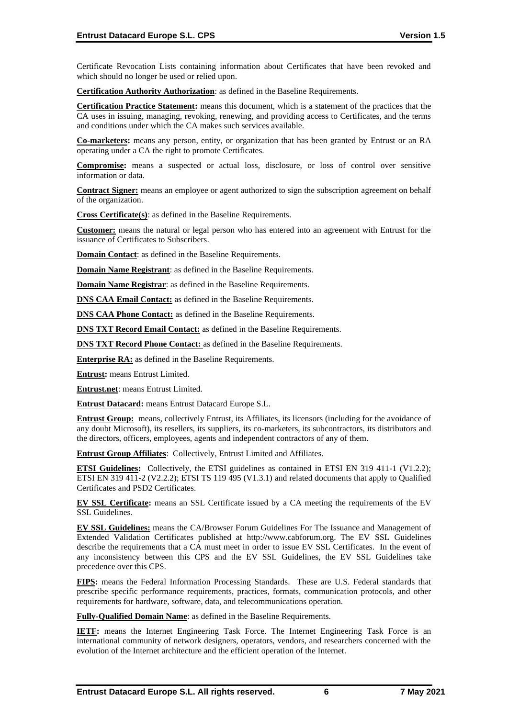Certificate Revocation Lists containing information about Certificates that have been revoked and which should no longer be used or relied upon.

**Certification Authority Authorization**: as defined in the Baseline Requirements.

**Certification Practice Statement:** means this document, which is a statement of the practices that the CA uses in issuing, managing, revoking, renewing, and providing access to Certificates, and the terms and conditions under which the CA makes such services available.

**Co-marketers:** means any person, entity, or organization that has been granted by Entrust or an RA operating under a CA the right to promote Certificates.

**Compromise:** means a suspected or actual loss, disclosure, or loss of control over sensitive information or data.

**Contract Signer:** means an employee or agent authorized to sign the subscription agreement on behalf of the organization.

**Cross Certificate(s)**: as defined in the Baseline Requirements.

**Customer:** means the natural or legal person who has entered into an agreement with Entrust for the issuance of Certificates to Subscribers.

**Domain Contact:** as defined in the Baseline Requirements.

**Domain Name Registrant**: as defined in the Baseline Requirements.

**Domain Name Registrar**: as defined in the Baseline Requirements.

**DNS CAA Email Contact:** as defined in the Baseline Requirements.

**DNS CAA Phone Contact:** as defined in the Baseline Requirements.

**DNS TXT Record Email Contact:** as defined in the Baseline Requirements.

**DNS TXT Record Phone Contact:** as defined in the Baseline Requirements.

**Enterprise RA:** as defined in the Baseline Requirements.

**Entrust:** means Entrust Limited.

**Entrust.net**: means Entrust Limited.

**Entrust Datacard:** means Entrust Datacard Europe S.L.

**Entrust Group:** means, collectively Entrust, its Affiliates, its licensors (including for the avoidance of any doubt Microsoft), its resellers, its suppliers, its co-marketers, its subcontractors, its distributors and the directors, officers, employees, agents and independent contractors of any of them.

**Entrust Group Affiliates**: Collectively, Entrust Limited and Affiliates.

**ETSI Guidelines:** Collectively, the ETSI guidelines as contained in ETSI EN 319 411-1 (V1.2.2); ETSI EN 319 411-2 (V2.2.2); ETSI TS 119 495 (V1.3.1) and related documents that apply to Qualified Certificates and PSD2 Certificates.

**EV SSL Certificate:** means an SSL Certificate issued by a CA meeting the requirements of the EV SSL Guidelines.

**EV SSL Guidelines:** means the CA/Browser Forum Guidelines For The Issuance and Management of Extended Validation Certificates published at http://www.cabforum.org. The EV SSL Guidelines describe the requirements that a CA must meet in order to issue EV SSL Certificates. In the event of any inconsistency between this CPS and the EV SSL Guidelines, the EV SSL Guidelines take precedence over this CPS.

**FIPS:** means the Federal Information Processing Standards. These are U.S. Federal standards that prescribe specific performance requirements, practices, formats, communication protocols, and other requirements for hardware, software, data, and telecommunications operation.

**Fully-Qualified Domain Name**: as defined in the Baseline Requirements.

**IETF:** means the Internet Engineering Task Force. The Internet Engineering Task Force is an international community of network designers, operators, vendors, and researchers concerned with the evolution of the Internet architecture and the efficient operation of the Internet.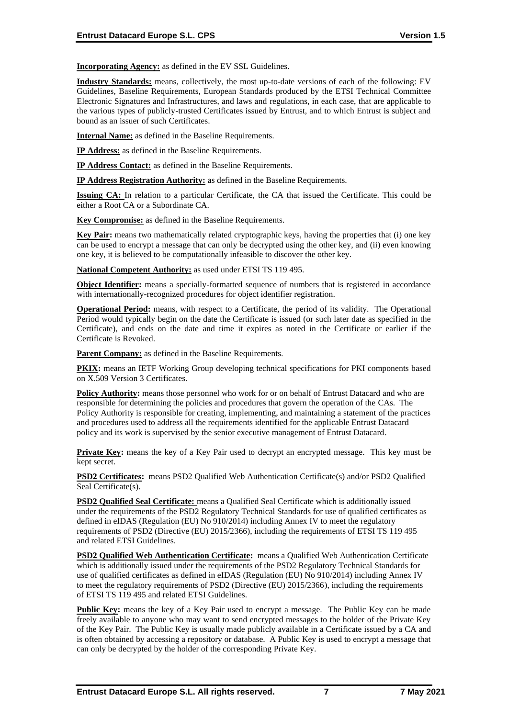**Incorporating Agency:** as defined in the EV SSL Guidelines.

**Industry Standards:** means, collectively, the most up-to-date versions of each of the following: EV Guidelines, Baseline Requirements, European Standards produced by the ETSI Technical Committee Electronic Signatures and Infrastructures, and laws and regulations, in each case, that are applicable to the various types of publicly-trusted Certificates issued by Entrust, and to which Entrust is subject and bound as an issuer of such Certificates.

**Internal Name:** as defined in the Baseline Requirements.

**IP Address:** as defined in the Baseline Requirements.

**IP Address Contact:** as defined in the Baseline Requirements.

**IP Address Registration Authority:** as defined in the Baseline Requirements.

**Issuing CA:** In relation to a particular Certificate, the CA that issued the Certificate. This could be either a Root CA or a Subordinate CA.

**Key Compromise:** as defined in the Baseline Requirements.

**Key Pair:** means two mathematically related cryptographic keys, having the properties that (i) one key can be used to encrypt a message that can only be decrypted using the other key, and (ii) even knowing one key, it is believed to be computationally infeasible to discover the other key.

**National Competent Authority:** as used under ETSI TS 119 495.

**Object Identifier:** means a specially-formatted sequence of numbers that is registered in accordance with internationally-recognized procedures for object identifier registration.

**Operational Period:** means, with respect to a Certificate, the period of its validity. The Operational Period would typically begin on the date the Certificate is issued (or such later date as specified in the Certificate), and ends on the date and time it expires as noted in the Certificate or earlier if the Certificate is Revoked.

Parent Company: as defined in the Baseline Requirements.

**PKIX:** means an IETF Working Group developing technical specifications for PKI components based on X.509 Version 3 Certificates.

**Policy Authority:** means those personnel who work for or on behalf of Entrust Datacard and who are responsible for determining the policies and procedures that govern the operation of the CAs. The Policy Authority is responsible for creating, implementing, and maintaining a statement of the practices and procedures used to address all the requirements identified for the applicable Entrust Datacard policy and its work is supervised by the senior executive management of Entrust Datacard.

**Private Key:** means the key of a Key Pair used to decrypt an encrypted message. This key must be kept secret.

**PSD2 Certificates:** means PSD2 Qualified Web Authentication Certificate(s) and/or PSD2 Qualified Seal Certificate(s).

**PSD2 Qualified Seal Certificate:** means a Qualified Seal Certificate which is additionally issued under the requirements of the PSD2 Regulatory Technical Standards for use of qualified certificates as defined in eIDAS (Regulation (EU) No 910/2014) including Annex IV to meet the regulatory requirements of PSD2 (Directive (EU) 2015/2366), including the requirements of ETSI TS 119 495 and related ETSI Guidelines.

**PSD2 Qualified Web Authentication Certificate:** means a Qualified Web Authentication Certificate which is additionally issued under the requirements of the PSD2 Regulatory Technical Standards for use of qualified certificates as defined in eIDAS (Regulation (EU) No 910/2014) including Annex IV to meet the regulatory requirements of PSD2 (Directive (EU) 2015/2366), including the requirements of ETSI TS 119 495 and related ETSI Guidelines.

**Public Key:** means the key of a Key Pair used to encrypt a message. The Public Key can be made freely available to anyone who may want to send encrypted messages to the holder of the Private Key of the Key Pair. The Public Key is usually made publicly available in a Certificate issued by a CA and is often obtained by accessing a repository or database. A Public Key is used to encrypt a message that can only be decrypted by the holder of the corresponding Private Key.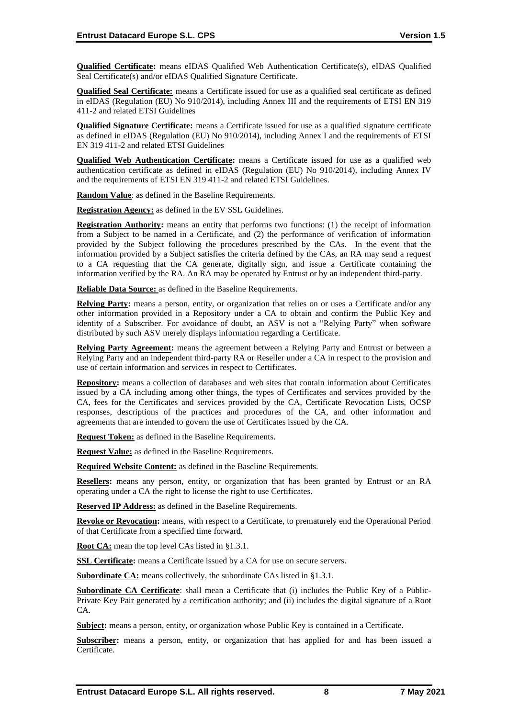**Qualified Certificate:** means eIDAS Qualified Web Authentication Certificate(s), eIDAS Qualified Seal Certificate(s) and/or eIDAS Qualified Signature Certificate.

**Qualified Seal Certificate:** means a Certificate issued for use as a qualified seal certificate as defined in eIDAS (Regulation (EU) No 910/2014), including Annex III and the requirements of ETSI EN 319 411-2 and related ETSI Guidelines

**Qualified Signature Certificate:** means a Certificate issued for use as a qualified signature certificate as defined in eIDAS (Regulation (EU) No 910/2014), including Annex I and the requirements of ETSI EN 319 411-2 and related ETSI Guidelines

**Qualified Web Authentication Certificate:** means a Certificate issued for use as a qualified web authentication certificate as defined in eIDAS (Regulation (EU) No 910/2014), including Annex IV and the requirements of ETSI EN 319 411-2 and related ETSI Guidelines.

**Random Value**: as defined in the Baseline Requirements.

**Registration Agency:** as defined in the EV SSL Guidelines.

**Registration Authority:** means an entity that performs two functions: (1) the receipt of information from a Subject to be named in a Certificate, and (2) the performance of verification of information provided by the Subject following the procedures prescribed by the CAs. In the event that the information provided by a Subject satisfies the criteria defined by the CAs, an RA may send a request to a CA requesting that the CA generate, digitally sign, and issue a Certificate containing the information verified by the RA. An RA may be operated by Entrust or by an independent third-party.

**Reliable Data Source:** as defined in the Baseline Requirements.

**Relying Party:** means a person, entity, or organization that relies on or uses a Certificate and/or any other information provided in a Repository under a CA to obtain and confirm the Public Key and identity of a Subscriber. For avoidance of doubt, an ASV is not a "Relying Party" when software distributed by such ASV merely displays information regarding a Certificate.

**Relying Party Agreement:** means the agreement between a Relying Party and Entrust or between a Relying Party and an independent third-party RA or Reseller under a CA in respect to the provision and use of certain information and services in respect to Certificates.

**Repository:** means a collection of databases and web sites that contain information about Certificates issued by a CA including among other things, the types of Certificates and services provided by the CA, fees for the Certificates and services provided by the CA, Certificate Revocation Lists, OCSP responses, descriptions of the practices and procedures of the CA, and other information and agreements that are intended to govern the use of Certificates issued by the CA.

**Request Token:** as defined in the Baseline Requirements.

**Request Value:** as defined in the Baseline Requirements.

**Required Website Content:** as defined in the Baseline Requirements.

**Resellers:** means any person, entity, or organization that has been granted by Entrust or an RA operating under a CA the right to license the right to use Certificates.

**Reserved IP Address:** as defined in the Baseline Requirements.

**Revoke or Revocation:** means, with respect to a Certificate, to prematurely end the Operational Period of that Certificate from a specified time forward.

**Root CA:** mean the top level CAs listed in §1.3.1.

**SSL Certificate:** means a Certificate issued by a CA for use on secure servers.

**Subordinate CA:** means collectively, the subordinate CAs listed in §1.3.1.

**Subordinate CA Certificate**: shall mean a Certificate that (i) includes the Public Key of a Public-Private Key Pair generated by a certification authority; and (ii) includes the digital signature of a Root  $CA$ 

**Subject:** means a person, entity, or organization whose Public Key is contained in a Certificate.

**Subscriber:** means a person, entity, or organization that has applied for and has been issued a Certificate.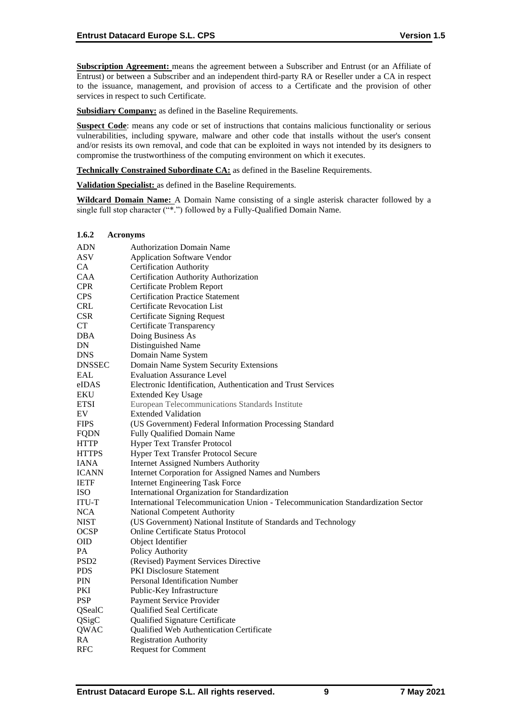**Subscription Agreement:** means the agreement between a Subscriber and Entrust (or an Affiliate of Entrust) or between a Subscriber and an independent third-party RA or Reseller under a CA in respect to the issuance, management, and provision of access to a Certificate and the provision of other services in respect to such Certificate.

**Subsidiary Company:** as defined in the Baseline Requirements.

**Suspect Code**: means any code or set of instructions that contains malicious functionality or serious vulnerabilities, including spyware, malware and other code that installs without the user's consent and/or resists its own removal, and code that can be exploited in ways not intended by its designers to compromise the trustworthiness of the computing environment on which it executes.

**Technically Constrained Subordinate CA:** as defined in the Baseline Requirements.

**Validation Specialist:** as defined in the Baseline Requirements.

**Wildcard Domain Name:** A Domain Name consisting of a single asterisk character followed by a single full stop character ("\*.") followed by a Fully-Qualified Domain Name.

| 1.6.2            | <b>Acronyms</b>                                                                  |
|------------------|----------------------------------------------------------------------------------|
| <b>ADN</b>       | <b>Authorization Domain Name</b>                                                 |
| <b>ASV</b>       | <b>Application Software Vendor</b>                                               |
| CA               | <b>Certification Authority</b>                                                   |
| <b>CAA</b>       | Certification Authority Authorization                                            |
| <b>CPR</b>       | Certificate Problem Report                                                       |
| <b>CPS</b>       | <b>Certification Practice Statement</b>                                          |
| <b>CRL</b>       | Certificate Revocation List                                                      |
| <b>CSR</b>       | <b>Certificate Signing Request</b>                                               |
| <b>CT</b>        | Certificate Transparency                                                         |
| DBA              | Doing Business As                                                                |
| DN               | Distinguished Name                                                               |
| <b>DNS</b>       | Domain Name System                                                               |
| <b>DNSSEC</b>    | Domain Name System Security Extensions                                           |
| EAL              | <b>Evaluation Assurance Level</b>                                                |
| eIDAS            | Electronic Identification, Authentication and Trust Services                     |
| EKU              | <b>Extended Key Usage</b>                                                        |
| <b>ETSI</b>      | European Telecommunications Standards Institute                                  |
| EV               | <b>Extended Validation</b>                                                       |
| <b>FIPS</b>      | (US Government) Federal Information Processing Standard                          |
| <b>FQDN</b>      | Fully Qualified Domain Name                                                      |
| HTTP             | <b>Hyper Text Transfer Protocol</b>                                              |
| <b>HTTPS</b>     | <b>Hyper Text Transfer Protocol Secure</b>                                       |
| <b>IANA</b>      | <b>Internet Assigned Numbers Authority</b>                                       |
| <b>ICANN</b>     | Internet Corporation for Assigned Names and Numbers                              |
| <b>IETF</b>      | <b>Internet Engineering Task Force</b>                                           |
| ISO              | International Organization for Standardization                                   |
| <b>ITU-T</b>     | International Telecommunication Union - Telecommunication Standardization Sector |
| <b>NCA</b>       | National Competent Authority                                                     |
| NIST             | (US Government) National Institute of Standards and Technology                   |
| <b>OCSP</b>      | <b>Online Certificate Status Protocol</b>                                        |
| <b>OID</b>       | Object Identifier                                                                |
| PA               | Policy Authority                                                                 |
| PSD <sub>2</sub> | (Revised) Payment Services Directive                                             |
| <b>PDS</b>       | PKI Disclosure Statement                                                         |
| <b>PIN</b>       | <b>Personal Identification Number</b>                                            |
| PKI              | Public-Key Infrastructure                                                        |
| <b>PSP</b>       | Payment Service Provider                                                         |
| QSealC           | Qualified Seal Certificate                                                       |
| QSigC            | <b>Qualified Signature Certificate</b>                                           |
| QWAC             | Qualified Web Authentication Certificate                                         |
| RA               | <b>Registration Authority</b>                                                    |
| <b>RFC</b>       | <b>Request for Comment</b>                                                       |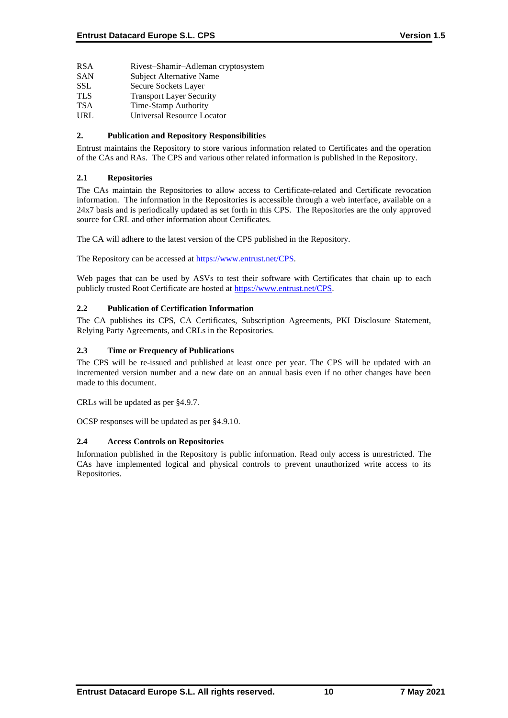- RSA Rivest–Shamir–Adleman cryptosystem
- SAN Subject Alternative Name
- SSL Secure Sockets Layer
- TLS Transport Layer Security
- TSA Time-Stamp Authority
- URL Universal Resource Locator

## **2. Publication and Repository Responsibilities**

Entrust maintains the Repository to store various information related to Certificates and the operation of the CAs and RAs. The CPS and various other related information is published in the Repository.

## **2.1 Repositories**

The CAs maintain the Repositories to allow access to Certificate-related and Certificate revocation information. The information in the Repositories is accessible through a web interface, available on a 24x7 basis and is periodically updated as set forth in this CPS. The Repositories are the only approved source for CRL and other information about Certificates.

The CA will adhere to the latest version of the CPS published in the Repository.

The Repository can be accessed at [https://www.entrust.net/CPS.](https://www.entrust.net/CPS)

Web pages that can be used by ASVs to test their software with Certificates that chain up to each publicly trusted Root Certificate are hosted a[t https://www.entrust.net/CPS.](https://www.entrust.net/CPS)

### **2.2 Publication of Certification Information**

The CA publishes its CPS, CA Certificates, Subscription Agreements, PKI Disclosure Statement, Relying Party Agreements, and CRLs in the Repositories.

### **2.3 Time or Frequency of Publications**

The CPS will be re-issued and published at least once per year. The CPS will be updated with an incremented version number and a new date on an annual basis even if no other changes have been made to this document.

CRLs will be updated as per §4.9.7.

OCSP responses will be updated as per §4.9.10.

## **2.4 Access Controls on Repositories**

Information published in the Repository is public information. Read only access is unrestricted. The CAs have implemented logical and physical controls to prevent unauthorized write access to its Repositories.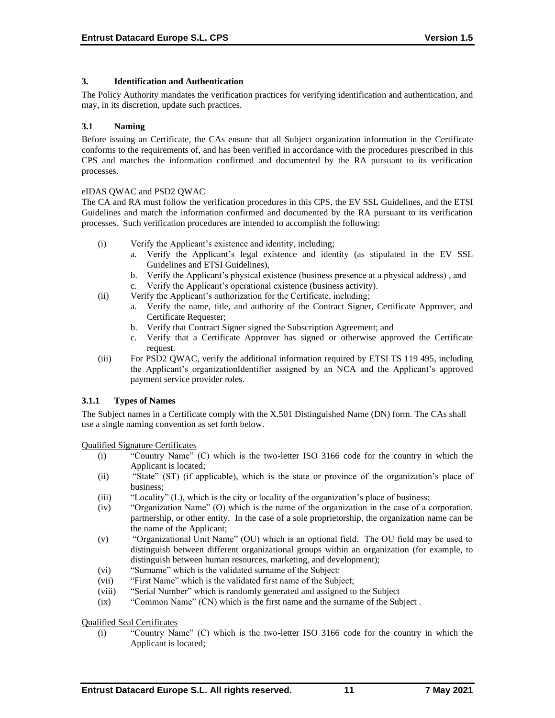## **3. Identification and Authentication**

The Policy Authority mandates the verification practices for verifying identification and authentication, and may, in its discretion, update such practices.

## **3.1 Naming**

Before issuing an Certificate, the CAs ensure that all Subject organization information in the Certificate conforms to the requirements of, and has been verified in accordance with the procedures prescribed in this CPS and matches the information confirmed and documented by the RA pursuant to its verification processes.

## eIDAS QWAC and PSD2 QWAC

The CA and RA must follow the verification procedures in this CPS, the EV SSL Guidelines, and the ETSI Guidelines and match the information confirmed and documented by the RA pursuant to its verification processes. Such verification procedures are intended to accomplish the following:

- (i) Verify the Applicant's existence and identity, including;
	- a. Verify the Applicant's legal existence and identity (as stipulated in the EV SSL Guidelines and ETSI Guidelines),
	- b. Verify the Applicant's physical existence (business presence at a physical address) , and c. Verify the Applicant's operational existence (business activity).
- (ii) Verify the Applicant's authorization for the Certificate, including;
	- a. Verify the name, title, and authority of the Contract Signer, Certificate Approver, and Certificate Requester;
	- b. Verify that Contract Signer signed the Subscription Agreement; and
	- c. Verify that a Certificate Approver has signed or otherwise approved the Certificate request.
- (iii) For PSD2 QWAC, verify the additional information required by ETSI TS 119 495, including the Applicant's organizationIdentifier assigned by an NCA and the Applicant's approved payment service provider roles.

## **3.1.1 Types of Names**

The Subject names in a Certificate comply with the X.501 Distinguished Name (DN) form. The CAs shall use a single naming convention as set forth below.

Qualified Signature Certificates

- (i) "Country Name" (C) which is the two-letter ISO 3166 code for the country in which the Applicant is located;
- (ii) "State" (ST) (if applicable), which is the state or province of the organization's place of business;
- (iii) "Locality" (L), which is the city or locality of the organization's place of business;
- (iv) "Organization Name" (O) which is the name of the organization in the case of a corporation, partnership, or other entity. In the case of a sole proprietorship, the organization name can be the name of the Applicant;
- (v) "Organizational Unit Name" (OU) which is an optional field. The OU field may be used to distinguish between different organizational groups within an organization (for example, to distinguish between human resources, marketing, and development);
- (vi) "Surname" which is the validated surname of the Subject:
- (vii) "First Name" which is the validated first name of the Subject;
- (viii) "Serial Number" which is randomly generated and assigned to the Subject
- (ix) "Common Name" (CN) which is the first name and the surname of the Subject .

Qualified Seal Certificates

(i) "Country Name" (C) which is the two-letter ISO 3166 code for the country in which the Applicant is located;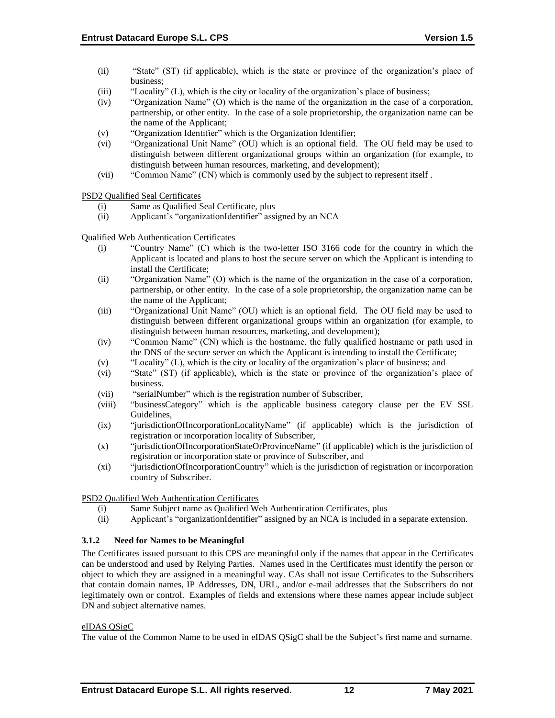- (ii) "State" (ST) (if applicable), which is the state or province of the organization's place of business;
- (iii) "Locality" (L), which is the city or locality of the organization's place of business;
- (iv) "Organization Name" (O) which is the name of the organization in the case of a corporation, partnership, or other entity. In the case of a sole proprietorship, the organization name can be the name of the Applicant;
- (v) "Organization Identifier" which is the Organization Identifier;
- (vi) "Organizational Unit Name" (OU) which is an optional field. The OU field may be used to distinguish between different organizational groups within an organization (for example, to distinguish between human resources, marketing, and development);
- (vii) "Common Name" (CN) which is commonly used by the subject to represent itself .

PSD2 Qualified Seal Certificates

- (i) Same as Qualified Seal Certificate, plus
- (ii) Applicant's "organizationIdentifier" assigned by an NCA

Qualified Web Authentication Certificates

- (i) "Country Name" (C) which is the two-letter ISO 3166 code for the country in which the Applicant is located and plans to host the secure server on which the Applicant is intending to install the Certificate;
- (ii) "Organization Name" (O) which is the name of the organization in the case of a corporation, partnership, or other entity. In the case of a sole proprietorship, the organization name can be the name of the Applicant;
- (iii) "Organizational Unit Name" (OU) which is an optional field. The OU field may be used to distinguish between different organizational groups within an organization (for example, to distinguish between human resources, marketing, and development);
- (iv) "Common Name" (CN) which is the hostname, the fully qualified hostname or path used in the DNS of the secure server on which the Applicant is intending to install the Certificate;
- (v) "Locality" (L), which is the city or locality of the organization's place of business; and
- (vi) "State" (ST) (if applicable), which is the state or province of the organization's place of business.
- (vii) "serialNumber" which is the registration number of Subscriber,
- (viii) "businessCategory" which is the applicable business category clause per the EV SSL Guidelines,
- (ix) "jurisdictionOfIncorporationLocalityName" (if applicable) which is the jurisdiction of registration or incorporation locality of Subscriber,
- (x) "jurisdictionOfIncorporationStateOrProvinceName" (if applicable) which is the jurisdiction of registration or incorporation state or province of Subscriber, and
- (xi) "jurisdictionOfIncorporationCountry" which is the jurisdiction of registration or incorporation country of Subscriber.

PSD2 Qualified Web Authentication Certificates

- (i) Same Subject name as Qualified Web Authentication Certificates, plus
- (ii) Applicant's "organizationIdentifier" assigned by an NCA is included in a separate extension.

#### **3.1.2 Need for Names to be Meaningful**

The Certificates issued pursuant to this CPS are meaningful only if the names that appear in the Certificates can be understood and used by Relying Parties. Names used in the Certificates must identify the person or object to which they are assigned in a meaningful way. CAs shall not issue Certificates to the Subscribers that contain domain names, IP Addresses, DN, URL, and/or e-mail addresses that the Subscribers do not legitimately own or control. Examples of fields and extensions where these names appear include subject DN and subject alternative names.

#### eIDAS QSigC

The value of the Common Name to be used in eIDAS QSigC shall be the Subject's first name and surname.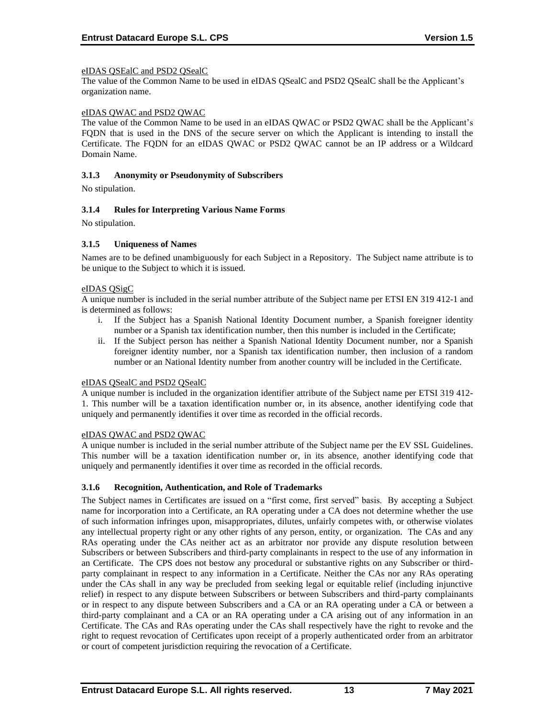## eIDAS QSEalC and PSD2 QSealC

The value of the Common Name to be used in eIDAS QSealC and PSD2 QSealC shall be the Applicant's organization name.

#### eIDAS QWAC and PSD2 QWAC

The value of the Common Name to be used in an eIDAS QWAC or PSD2 QWAC shall be the Applicant's FQDN that is used in the DNS of the secure server on which the Applicant is intending to install the Certificate. The FQDN for an eIDAS QWAC or PSD2 QWAC cannot be an IP address or a Wildcard Domain Name.

#### **3.1.3 Anonymity or Pseudonymity of Subscribers**

No stipulation.

## **3.1.4 Rules for Interpreting Various Name Forms**

No stipulation.

## **3.1.5 Uniqueness of Names**

Names are to be defined unambiguously for each Subject in a Repository. The Subject name attribute is to be unique to the Subject to which it is issued.

## eIDAS QSigC

A unique number is included in the serial number attribute of the Subject name per ETSI EN 319 412-1 and is determined as follows:

- i. If the Subject has a Spanish National Identity Document number, a Spanish foreigner identity number or a Spanish tax identification number, then this number is included in the Certificate;
- ii. If the Subject person has neither a Spanish National Identity Document number, nor a Spanish foreigner identity number, nor a Spanish tax identification number, then inclusion of a random number or an National Identity number from another country will be included in the Certificate.

#### eIDAS QSealC and PSD2 QSealC

A unique number is included in the organization identifier attribute of the Subject name per ETSI 319 412- 1. This number will be a taxation identification number or, in its absence, another identifying code that uniquely and permanently identifies it over time as recorded in the official records.

#### eIDAS QWAC and PSD2 QWAC

A unique number is included in the serial number attribute of the Subject name per the EV SSL Guidelines. This number will be a taxation identification number or, in its absence, another identifying code that uniquely and permanently identifies it over time as recorded in the official records.

#### **3.1.6 Recognition, Authentication, and Role of Trademarks**

The Subject names in Certificates are issued on a "first come, first served" basis. By accepting a Subject name for incorporation into a Certificate, an RA operating under a CA does not determine whether the use of such information infringes upon, misappropriates, dilutes, unfairly competes with, or otherwise violates any intellectual property right or any other rights of any person, entity, or organization. The CAs and any RAs operating under the CAs neither act as an arbitrator nor provide any dispute resolution between Subscribers or between Subscribers and third-party complainants in respect to the use of any information in an Certificate. The CPS does not bestow any procedural or substantive rights on any Subscriber or thirdparty complainant in respect to any information in a Certificate. Neither the CAs nor any RAs operating under the CAs shall in any way be precluded from seeking legal or equitable relief (including injunctive relief) in respect to any dispute between Subscribers or between Subscribers and third-party complainants or in respect to any dispute between Subscribers and a CA or an RA operating under a CA or between a third-party complainant and a CA or an RA operating under a CA arising out of any information in an Certificate. The CAs and RAs operating under the CAs shall respectively have the right to revoke and the right to request revocation of Certificates upon receipt of a properly authenticated order from an arbitrator or court of competent jurisdiction requiring the revocation of a Certificate.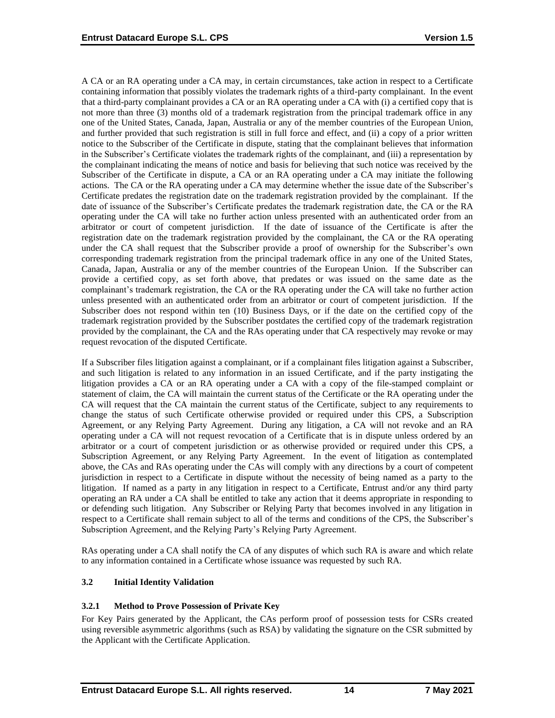A CA or an RA operating under a CA may, in certain circumstances, take action in respect to a Certificate containing information that possibly violates the trademark rights of a third-party complainant. In the event that a third-party complainant provides a CA or an RA operating under a CA with (i) a certified copy that is not more than three (3) months old of a trademark registration from the principal trademark office in any one of the United States, Canada, Japan, Australia or any of the member countries of the European Union, and further provided that such registration is still in full force and effect, and (ii) a copy of a prior written notice to the Subscriber of the Certificate in dispute, stating that the complainant believes that information in the Subscriber's Certificate violates the trademark rights of the complainant, and (iii) a representation by the complainant indicating the means of notice and basis for believing that such notice was received by the Subscriber of the Certificate in dispute, a CA or an RA operating under a CA may initiate the following actions. The CA or the RA operating under a CA may determine whether the issue date of the Subscriber's Certificate predates the registration date on the trademark registration provided by the complainant. If the date of issuance of the Subscriber's Certificate predates the trademark registration date, the CA or the RA operating under the CA will take no further action unless presented with an authenticated order from an arbitrator or court of competent jurisdiction. If the date of issuance of the Certificate is after the registration date on the trademark registration provided by the complainant, the CA or the RA operating under the CA shall request that the Subscriber provide a proof of ownership for the Subscriber's own corresponding trademark registration from the principal trademark office in any one of the United States, Canada, Japan, Australia or any of the member countries of the European Union. If the Subscriber can provide a certified copy, as set forth above, that predates or was issued on the same date as the complainant's trademark registration, the CA or the RA operating under the CA will take no further action unless presented with an authenticated order from an arbitrator or court of competent jurisdiction. If the Subscriber does not respond within ten (10) Business Days, or if the date on the certified copy of the trademark registration provided by the Subscriber postdates the certified copy of the trademark registration provided by the complainant, the CA and the RAs operating under that CA respectively may revoke or may request revocation of the disputed Certificate.

If a Subscriber files litigation against a complainant, or if a complainant files litigation against a Subscriber, and such litigation is related to any information in an issued Certificate, and if the party instigating the litigation provides a CA or an RA operating under a CA with a copy of the file-stamped complaint or statement of claim, the CA will maintain the current status of the Certificate or the RA operating under the CA will request that the CA maintain the current status of the Certificate, subject to any requirements to change the status of such Certificate otherwise provided or required under this CPS, a Subscription Agreement, or any Relying Party Agreement. During any litigation, a CA will not revoke and an RA operating under a CA will not request revocation of a Certificate that is in dispute unless ordered by an arbitrator or a court of competent jurisdiction or as otherwise provided or required under this CPS, a Subscription Agreement, or any Relying Party Agreement. In the event of litigation as contemplated above, the CAs and RAs operating under the CAs will comply with any directions by a court of competent jurisdiction in respect to a Certificate in dispute without the necessity of being named as a party to the litigation. If named as a party in any litigation in respect to a Certificate, Entrust and/or any third party operating an RA under a CA shall be entitled to take any action that it deems appropriate in responding to or defending such litigation. Any Subscriber or Relying Party that becomes involved in any litigation in respect to a Certificate shall remain subject to all of the terms and conditions of the CPS, the Subscriber's Subscription Agreement, and the Relying Party's Relying Party Agreement.

RAs operating under a CA shall notify the CA of any disputes of which such RA is aware and which relate to any information contained in a Certificate whose issuance was requested by such RA.

## **3.2 Initial Identity Validation**

## **3.2.1 Method to Prove Possession of Private Key**

For Key Pairs generated by the Applicant, the CAs perform proof of possession tests for CSRs created using reversible asymmetric algorithms (such as RSA) by validating the signature on the CSR submitted by the Applicant with the Certificate Application.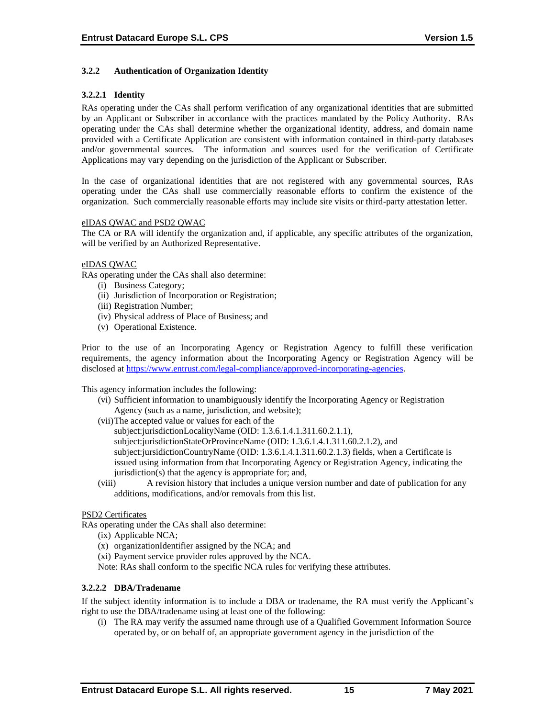## **3.2.2 Authentication of Organization Identity**

## **3.2.2.1 Identity**

RAs operating under the CAs shall perform verification of any organizational identities that are submitted by an Applicant or Subscriber in accordance with the practices mandated by the Policy Authority. RAs operating under the CAs shall determine whether the organizational identity, address, and domain name provided with a Certificate Application are consistent with information contained in third-party databases and/or governmental sources. The information and sources used for the verification of Certificate Applications may vary depending on the jurisdiction of the Applicant or Subscriber.

In the case of organizational identities that are not registered with any governmental sources, RAs operating under the CAs shall use commercially reasonable efforts to confirm the existence of the organization. Such commercially reasonable efforts may include site visits or third-party attestation letter.

#### eIDAS QWAC and PSD2 QWAC

The CA or RA will identify the organization and, if applicable, any specific attributes of the organization, will be verified by an Authorized Representative.

#### eIDAS QWAC

RAs operating under the CAs shall also determine:

- (i) Business Category;
- (ii) Jurisdiction of Incorporation or Registration;
- (iii) Registration Number;
- (iv) Physical address of Place of Business; and
- (v) Operational Existence.

Prior to the use of an Incorporating Agency or Registration Agency to fulfill these verification requirements, the agency information about the Incorporating Agency or Registration Agency will be disclosed at [https://www.entrust.com/legal-compliance/approved-incorporating-agencies.](https://www.entrust.com/legal-compliance/approved-incorporating-agencies)

This agency information includes the following:

- (vi) Sufficient information to unambiguously identify the Incorporating Agency or Registration Agency (such as a name, jurisdiction, and website);
- (vii)The accepted value or values for each of the
	- subject:jurisdictionLocalityName (OID: 1.3.6.1.4.1.311.60.2.1.1),
	- subject:jurisdictionStateOrProvinceName (OID: 1.3.6.1.4.1.311.60.2.1.2), and
	- subject:jursidictionCountryName (OID: 1.3.6.1.4.1.311.60.2.1.3) fields, when a Certificate is issued using information from that Incorporating Agency or Registration Agency, indicating the jurisdiction(s) that the agency is appropriate for; and,
- (viii) A revision history that includes a unique version number and date of publication for any additions, modifications, and/or removals from this list.

#### PSD2 Certificates

RAs operating under the CAs shall also determine:

- (ix) Applicable NCA;
- (x) organizationIdentifier assigned by the NCA; and
- (xi) Payment service provider roles approved by the NCA.
- Note: RAs shall conform to the specific NCA rules for verifying these attributes.

#### **3.2.2.2 DBA/Tradename**

If the subject identity information is to include a DBA or tradename, the RA must verify the Applicant's right to use the DBA/tradename using at least one of the following:

(i) The RA may verify the assumed name through use of a Qualified Government Information Source operated by, or on behalf of, an appropriate government agency in the jurisdiction of the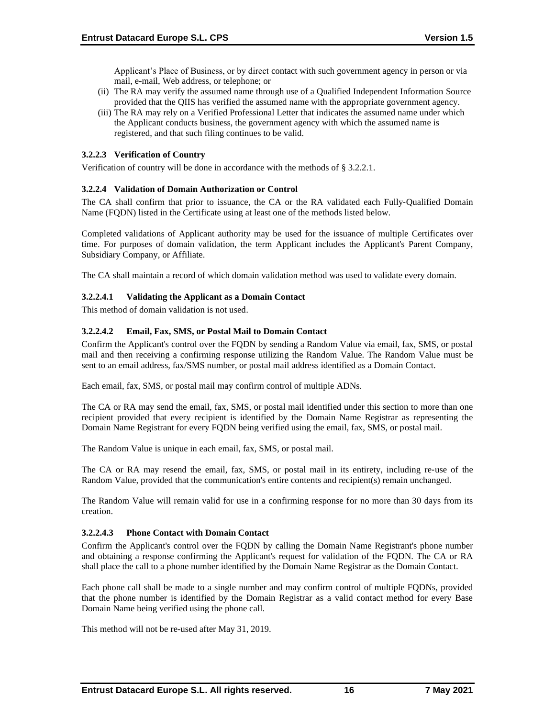Applicant's Place of Business, or by direct contact with such government agency in person or via mail, e-mail, Web address, or telephone; or

- (ii) The RA may verify the assumed name through use of a Qualified Independent Information Source provided that the QIIS has verified the assumed name with the appropriate government agency.
- (iii) The RA may rely on a Verified Professional Letter that indicates the assumed name under which the Applicant conducts business, the government agency with which the assumed name is registered, and that such filing continues to be valid.

## **3.2.2.3 Verification of Country**

Verification of country will be done in accordance with the methods of § 3.2.2.1.

#### **3.2.2.4 Validation of Domain Authorization or Control**

The CA shall confirm that prior to issuance, the CA or the RA validated each Fully‐Qualified Domain Name (FQDN) listed in the Certificate using at least one of the methods listed below.

Completed validations of Applicant authority may be used for the issuance of multiple Certificates over time. For purposes of domain validation, the term Applicant includes the Applicant's Parent Company, Subsidiary Company, or Affiliate.

The CA shall maintain a record of which domain validation method was used to validate every domain.

#### **3.2.2.4.1 Validating the Applicant as a Domain Contact**

This method of domain validation is not used.

## **3.2.2.4.2 Email, Fax, SMS, or Postal Mail to Domain Contact**

Confirm the Applicant's control over the FQDN by sending a Random Value via email, fax, SMS, or postal mail and then receiving a confirming response utilizing the Random Value. The Random Value must be sent to an email address, fax/SMS number, or postal mail address identified as a Domain Contact.

Each email, fax, SMS, or postal mail may confirm control of multiple ADNs.

The CA or RA may send the email, fax, SMS, or postal mail identified under this section to more than one recipient provided that every recipient is identified by the Domain Name Registrar as representing the Domain Name Registrant for every FQDN being verified using the email, fax, SMS, or postal mail.

The Random Value is unique in each email, fax, SMS, or postal mail.

The CA or RA may resend the email, fax, SMS, or postal mail in its entirety, including re‐use of the Random Value, provided that the communication's entire contents and recipient(s) remain unchanged.

The Random Value will remain valid for use in a confirming response for no more than 30 days from its creation.

#### **3.2.2.4.3 Phone Contact with Domain Contact**

Confirm the Applicant's control over the FQDN by calling the Domain Name Registrant's phone number and obtaining a response confirming the Applicant's request for validation of the FQDN. The CA or RA shall place the call to a phone number identified by the Domain Name Registrar as the Domain Contact.

Each phone call shall be made to a single number and may confirm control of multiple FQDNs, provided that the phone number is identified by the Domain Registrar as a valid contact method for every Base Domain Name being verified using the phone call.

This method will not be re-used after May 31, 2019.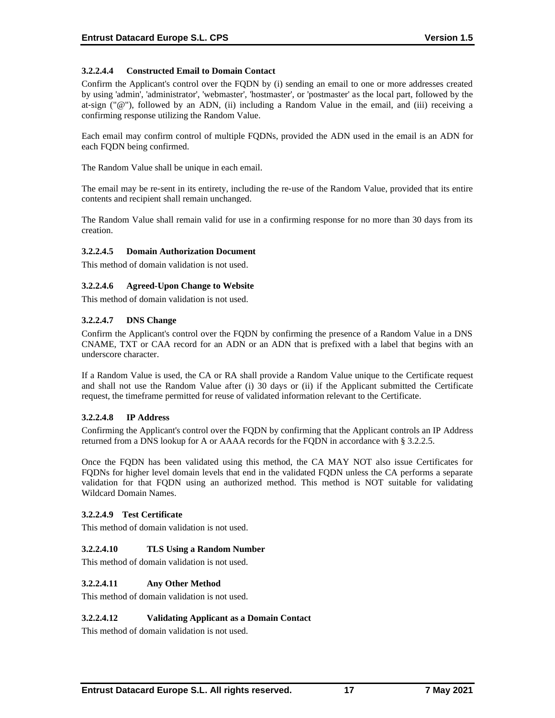## **3.2.2.4.4 Constructed Email to Domain Contact**

Confirm the Applicant's control over the FQDN by (i) sending an email to one or more addresses created by using 'admin', 'administrator', 'webmaster', 'hostmaster', or 'postmaster' as the local part, followed by the at-sign (" $@$ "), followed by an ADN, (ii) including a Random Value in the email, and (iii) receiving a confirming response utilizing the Random Value.

Each email may confirm control of multiple FQDNs, provided the ADN used in the email is an ADN for each FQDN being confirmed.

The Random Value shall be unique in each email.

The email may be re-sent in its entirety, including the re-use of the Random Value, provided that its entire contents and recipient shall remain unchanged.

The Random Value shall remain valid for use in a confirming response for no more than 30 days from its creation.

#### **3.2.2.4.5 Domain Authorization Document**

This method of domain validation is not used.

## **3.2.2.4.6 Agreed-Upon Change to Website**

This method of domain validation is not used.

#### **3.2.2.4.7 DNS Change**

Confirm the Applicant's control over the FQDN by confirming the presence of a Random Value in a DNS CNAME, TXT or CAA record for an ADN or an ADN that is prefixed with a label that begins with an underscore character.

If a Random Value is used, the CA or RA shall provide a Random Value unique to the Certificate request and shall not use the Random Value after (i) 30 days or (ii) if the Applicant submitted the Certificate request, the timeframe permitted for reuse of validated information relevant to the Certificate.

#### **3.2.2.4.8 IP Address**

Confirming the Applicant's control over the FQDN by confirming that the Applicant controls an IP Address returned from a DNS lookup for A or AAAA records for the FQDN in accordance with § 3.2.2.5.

Once the FQDN has been validated using this method, the CA MAY NOT also issue Certificates for FQDNs for higher level domain levels that end in the validated FQDN unless the CA performs a separate validation for that FQDN using an authorized method. This method is NOT suitable for validating Wildcard Domain Names.

#### **3.2.2.4.9 Test Certificate**

This method of domain validation is not used.

#### **3.2.2.4.10 TLS Using a Random Number**

This method of domain validation is not used.

#### **3.2.2.4.11 Any Other Method**

This method of domain validation is not used.

#### **3.2.2.4.12 Validating Applicant as a Domain Contact**

This method of domain validation is not used.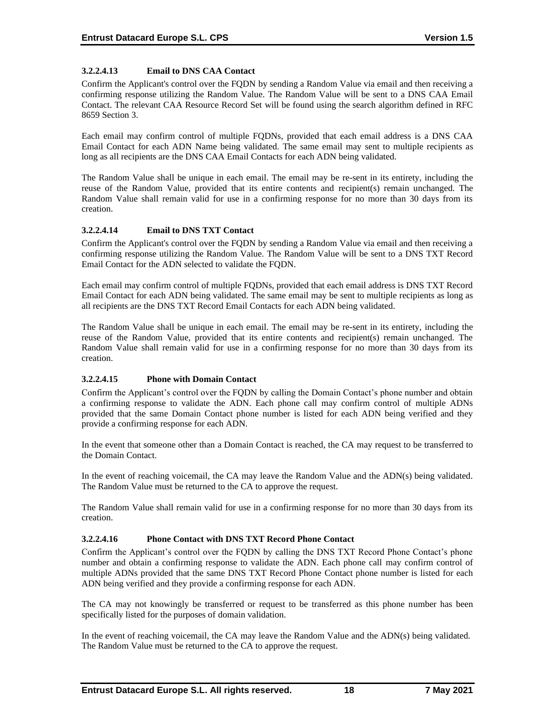## **3.2.2.4.13 Email to DNS CAA Contact**

Confirm the Applicant's control over the FQDN by sending a Random Value via email and then receiving a confirming response utilizing the Random Value. The Random Value will be sent to a DNS CAA Email Contact. The relevant CAA Resource Record Set will be found using the search algorithm defined in RFC 8659 Section 3.

Each email may confirm control of multiple FQDNs, provided that each email address is a DNS CAA Email Contact for each ADN Name being validated. The same email may sent to multiple recipients as long as all recipients are the DNS CAA Email Contacts for each ADN being validated.

The Random Value shall be unique in each email. The email may be re-sent in its entirety, including the reuse of the Random Value, provided that its entire contents and recipient(s) remain unchanged. The Random Value shall remain valid for use in a confirming response for no more than 30 days from its creation.

## **3.2.2.4.14 Email to DNS TXT Contact**

Confirm the Applicant's control over the FQDN by sending a Random Value via email and then receiving a confirming response utilizing the Random Value. The Random Value will be sent to a DNS TXT Record Email Contact for the ADN selected to validate the FQDN.

Each email may confirm control of multiple FQDNs, provided that each email address is DNS TXT Record Email Contact for each ADN being validated. The same email may be sent to multiple recipients as long as all recipients are the DNS TXT Record Email Contacts for each ADN being validated.

The Random Value shall be unique in each email. The email may be re-sent in its entirety, including the reuse of the Random Value, provided that its entire contents and recipient(s) remain unchanged. The Random Value shall remain valid for use in a confirming response for no more than 30 days from its creation.

## **3.2.2.4.15 Phone with Domain Contact**

Confirm the Applicant's control over the FQDN by calling the Domain Contact's phone number and obtain a confirming response to validate the ADN. Each phone call may confirm control of multiple ADNs provided that the same Domain Contact phone number is listed for each ADN being verified and they provide a confirming response for each ADN.

In the event that someone other than a Domain Contact is reached, the CA may request to be transferred to the Domain Contact.

In the event of reaching voicemail, the CA may leave the Random Value and the ADN(s) being validated. The Random Value must be returned to the CA to approve the request.

The Random Value shall remain valid for use in a confirming response for no more than 30 days from its creation.

## **3.2.2.4.16 Phone Contact with DNS TXT Record Phone Contact**

Confirm the Applicant's control over the FQDN by calling the DNS TXT Record Phone Contact's phone number and obtain a confirming response to validate the ADN. Each phone call may confirm control of multiple ADNs provided that the same DNS TXT Record Phone Contact phone number is listed for each ADN being verified and they provide a confirming response for each ADN.

The CA may not knowingly be transferred or request to be transferred as this phone number has been specifically listed for the purposes of domain validation.

In the event of reaching voicemail, the CA may leave the Random Value and the ADN(s) being validated. The Random Value must be returned to the CA to approve the request.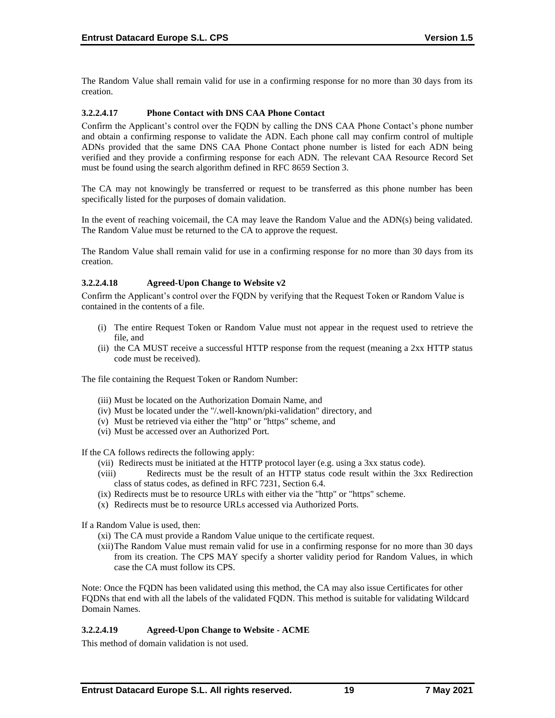The Random Value shall remain valid for use in a confirming response for no more than 30 days from its creation.

#### **3.2.2.4.17 Phone Contact with DNS CAA Phone Contact**

Confirm the Applicant's control over the FQDN by calling the DNS CAA Phone Contact's phone number and obtain a confirming response to validate the ADN. Each phone call may confirm control of multiple ADNs provided that the same DNS CAA Phone Contact phone number is listed for each ADN being verified and they provide a confirming response for each ADN. The relevant CAA Resource Record Set must be found using the search algorithm defined in RFC 8659 Section 3.

The CA may not knowingly be transferred or request to be transferred as this phone number has been specifically listed for the purposes of domain validation.

In the event of reaching voicemail, the CA may leave the Random Value and the ADN(s) being validated. The Random Value must be returned to the CA to approve the request.

The Random Value shall remain valid for use in a confirming response for no more than 30 days from its creation.

#### **3.2.2.4.18 Agreed-Upon Change to Website v2**

Confirm the Applicant's control over the FQDN by verifying that the Request Token or Random Value is contained in the contents of a file.

- (i) The entire Request Token or Random Value must not appear in the request used to retrieve the file, and
- (ii) the CA MUST receive a successful HTTP response from the request (meaning a 2xx HTTP status code must be received).

The file containing the Request Token or Random Number:

- (iii) Must be located on the Authorization Domain Name, and
- (iv) Must be located under the "/.well-known/pki-validation" directory, and
- (v) Must be retrieved via either the "http" or "https" scheme, and
- (vi) Must be accessed over an Authorized Port.

If the CA follows redirects the following apply:

- (vii) Redirects must be initiated at the HTTP protocol layer (e.g. using a 3xx status code).
- (viii) Redirects must be the result of an HTTP status code result within the 3xx Redirection class of status codes, as defined in RFC 7231, Section 6.4.
- (ix) Redirects must be to resource URLs with either via the "http" or "https" scheme.
- (x) Redirects must be to resource URLs accessed via Authorized Ports.

If a Random Value is used, then:

(xi) The CA must provide a Random Value unique to the certificate request.

(xii)The Random Value must remain valid for use in a confirming response for no more than 30 days from its creation. The CPS MAY specify a shorter validity period for Random Values, in which case the CA must follow its CPS.

Note: Once the FQDN has been validated using this method, the CA may also issue Certificates for other FQDNs that end with all the labels of the validated FQDN. This method is suitable for validating Wildcard Domain Names.

#### **3.2.2.4.19 Agreed-Upon Change to Website - ACME**

This method of domain validation is not used.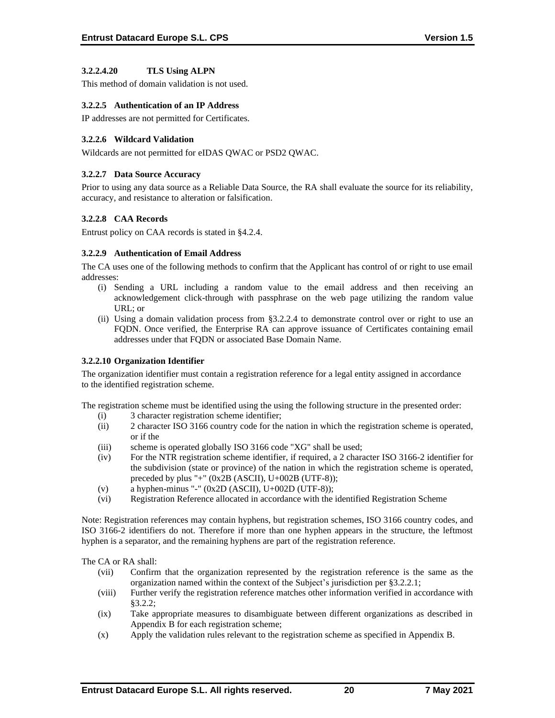## **3.2.2.4.20 TLS Using ALPN**

This method of domain validation is not used.

## **3.2.2.5 Authentication of an IP Address**

IP addresses are not permitted for Certificates.

## **3.2.2.6 Wildcard Validation**

Wildcards are not permitted for eIDAS QWAC or PSD2 QWAC.

#### **3.2.2.7 Data Source Accuracy**

Prior to using any data source as a Reliable Data Source, the RA shall evaluate the source for its reliability, accuracy, and resistance to alteration or falsification.

## **3.2.2.8 CAA Records**

Entrust policy on CAA records is stated in §4.2.4.

#### **3.2.2.9 Authentication of Email Address**

The CA uses one of the following methods to confirm that the Applicant has control of or right to use email addresses:

- (i) Sending a URL including a random value to the email address and then receiving an acknowledgement click-through with passphrase on the web page utilizing the random value URL; or
- (ii) Using a domain validation process from §3.2.2.4 to demonstrate control over or right to use an FQDN. Once verified, the Enterprise RA can approve issuance of Certificates containing email addresses under that FQDN or associated Base Domain Name.

#### **3.2.2.10 Organization Identifier**

The organization identifier must contain a registration reference for a legal entity assigned in accordance to the identified registration scheme.

The registration scheme must be identified using the using the following structure in the presented order:

- (i) 3 character registration scheme identifier;
- (ii) 2 character ISO 3166 country code for the nation in which the registration scheme is operated, or if the
- (iii) scheme is operated globally ISO 3166 code "XG" shall be used;
- (iv) For the NTR registration scheme identifier, if required, a 2 character ISO 3166-2 identifier for the subdivision (state or province) of the nation in which the registration scheme is operated, preceded by plus "+" (0x2B (ASCII), U+002B (UTF-8));
- (v) a hyphen-minus "-" (0x2D (ASCII), U+002D (UTF-8));
- (vi) Registration Reference allocated in accordance with the identified Registration Scheme

Note: Registration references may contain hyphens, but registration schemes, ISO 3166 country codes, and ISO 3166-2 identifiers do not. Therefore if more than one hyphen appears in the structure, the leftmost hyphen is a separator, and the remaining hyphens are part of the registration reference.

The CA or RA shall:

- (vii) Confirm that the organization represented by the registration reference is the same as the organization named within the context of the Subject's jurisdiction per §3.2.2.1;
- (viii) Further verify the registration reference matches other information verified in accordance with §3.2.2;
- (ix) Take appropriate measures to disambiguate between different organizations as described in Appendix B for each registration scheme;
- (x) Apply the validation rules relevant to the registration scheme as specified in Appendix B.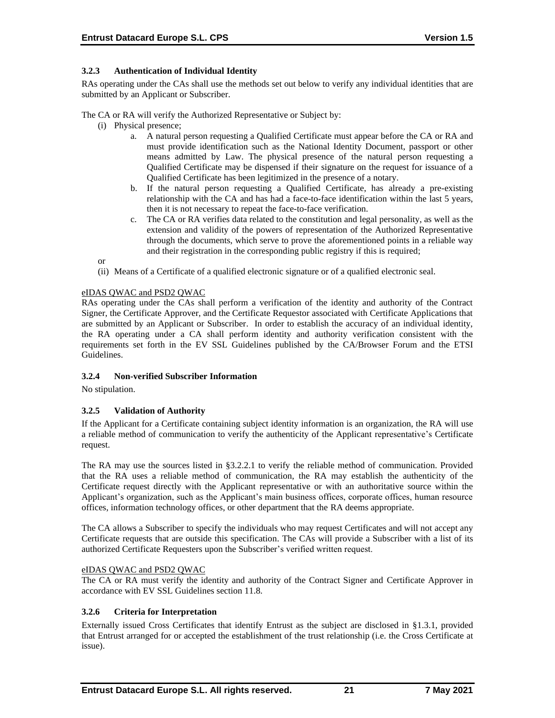## **3.2.3 Authentication of Individual Identity**

RAs operating under the CAs shall use the methods set out below to verify any individual identities that are submitted by an Applicant or Subscriber.

The CA or RA will verify the Authorized Representative or Subject by:

- (i) Physical presence;
	- a. A natural person requesting a Qualified Certificate must appear before the CA or RA and must provide identification such as the National Identity Document, passport or other means admitted by Law. The physical presence of the natural person requesting a Qualified Certificate may be dispensed if their signature on the request for issuance of a Qualified Certificate has been legitimized in the presence of a notary.
	- b. If the natural person requesting a Qualified Certificate, has already a pre-existing relationship with the CA and has had a face-to-face identification within the last 5 years, then it is not necessary to repeat the face-to-face verification.
	- c. The CA or RA verifies data related to the constitution and legal personality, as well as the extension and validity of the powers of representation of the Authorized Representative through the documents, which serve to prove the aforementioned points in a reliable way and their registration in the corresponding public registry if this is required;

or

(ii) Means of a Certificate of a qualified electronic signature or of a qualified electronic seal.

## eIDAS QWAC and PSD2 QWAC

RAs operating under the CAs shall perform a verification of the identity and authority of the Contract Signer, the Certificate Approver, and the Certificate Requestor associated with Certificate Applications that are submitted by an Applicant or Subscriber. In order to establish the accuracy of an individual identity, the RA operating under a CA shall perform identity and authority verification consistent with the requirements set forth in the EV SSL Guidelines published by the CA/Browser Forum and the ETSI Guidelines.

#### **3.2.4 Non-verified Subscriber Information**

No stipulation.

## **3.2.5 Validation of Authority**

If the Applicant for a Certificate containing subject identity information is an organization, the RA will use a reliable method of communication to verify the authenticity of the Applicant representative's Certificate request.

The RA may use the sources listed in §3.2.2.1 to verify the reliable method of communication. Provided that the RA uses a reliable method of communication, the RA may establish the authenticity of the Certificate request directly with the Applicant representative or with an authoritative source within the Applicant's organization, such as the Applicant's main business offices, corporate offices, human resource offices, information technology offices, or other department that the RA deems appropriate.

The CA allows a Subscriber to specify the individuals who may request Certificates and will not accept any Certificate requests that are outside this specification. The CAs will provide a Subscriber with a list of its authorized Certificate Requesters upon the Subscriber's verified written request.

#### eIDAS QWAC and PSD2 QWAC

The CA or RA must verify the identity and authority of the Contract Signer and Certificate Approver in accordance with EV SSL Guidelines section 11.8.

#### **3.2.6 Criteria for Interpretation**

Externally issued Cross Certificates that identify Entrust as the subject are disclosed in §1.3.1, provided that Entrust arranged for or accepted the establishment of the trust relationship (i.e. the Cross Certificate at issue).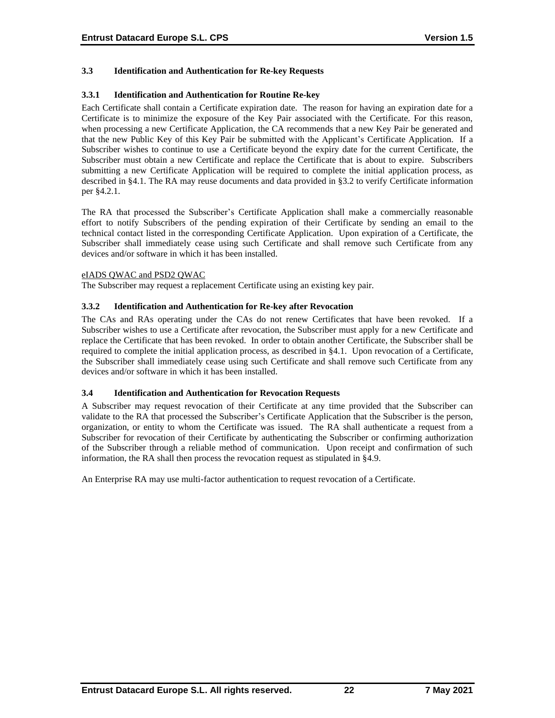## **3.3 Identification and Authentication for Re-key Requests**

#### **3.3.1 Identification and Authentication for Routine Re-key**

Each Certificate shall contain a Certificate expiration date. The reason for having an expiration date for a Certificate is to minimize the exposure of the Key Pair associated with the Certificate. For this reason, when processing a new Certificate Application, the CA recommends that a new Key Pair be generated and that the new Public Key of this Key Pair be submitted with the Applicant's Certificate Application. If a Subscriber wishes to continue to use a Certificate beyond the expiry date for the current Certificate, the Subscriber must obtain a new Certificate and replace the Certificate that is about to expire. Subscribers submitting a new Certificate Application will be required to complete the initial application process, as described in §4.1. The RA may reuse documents and data provided in §3.2 to verify Certificate information per §4.2.1.

The RA that processed the Subscriber's Certificate Application shall make a commercially reasonable effort to notify Subscribers of the pending expiration of their Certificate by sending an email to the technical contact listed in the corresponding Certificate Application. Upon expiration of a Certificate, the Subscriber shall immediately cease using such Certificate and shall remove such Certificate from any devices and/or software in which it has been installed.

#### eIADS QWAC and PSD2 QWAC

The Subscriber may request a replacement Certificate using an existing key pair.

#### **3.3.2 Identification and Authentication for Re-key after Revocation**

The CAs and RAs operating under the CAs do not renew Certificates that have been revoked. If a Subscriber wishes to use a Certificate after revocation, the Subscriber must apply for a new Certificate and replace the Certificate that has been revoked. In order to obtain another Certificate, the Subscriber shall be required to complete the initial application process, as described in §4.1. Upon revocation of a Certificate, the Subscriber shall immediately cease using such Certificate and shall remove such Certificate from any devices and/or software in which it has been installed.

#### **3.4 Identification and Authentication for Revocation Requests**

A Subscriber may request revocation of their Certificate at any time provided that the Subscriber can validate to the RA that processed the Subscriber's Certificate Application that the Subscriber is the person, organization, or entity to whom the Certificate was issued. The RA shall authenticate a request from a Subscriber for revocation of their Certificate by authenticating the Subscriber or confirming authorization of the Subscriber through a reliable method of communication. Upon receipt and confirmation of such information, the RA shall then process the revocation request as stipulated in §4.9.

An Enterprise RA may use multi-factor authentication to request revocation of a Certificate.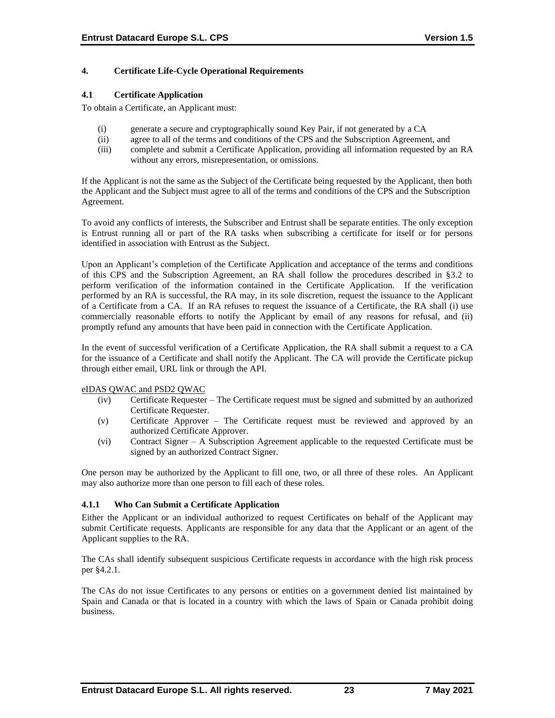## **4. Certificate Life-Cycle Operational Requirements**

#### **4.1 Certificate Application**

To obtain a Certificate, an Applicant must:

- (i) generate a secure and cryptographically sound Key Pair, if not generated by a CA
- (ii) agree to all of the terms and conditions of the CPS and the Subscription Agreement, and
- (iii) complete and submit a Certificate Application, providing all information requested by an RA without any errors, misrepresentation, or omissions.

If the Applicant is not the same as the Subject of the Certificate being requested by the Applicant, then both the Applicant and the Subject must agree to all of the terms and conditions of the CPS and the Subscription Agreement.

To avoid any conflicts of interests, the Subscriber and Entrust shall be separate entities. The only exception is Entrust running all or part of the RA tasks when subscribing a certificate for itself or for persons identified in association with Entrust as the Subject.

Upon an Applicant's completion of the Certificate Application and acceptance of the terms and conditions of this CPS and the Subscription Agreement, an RA shall follow the procedures described in §3.2 to perform verification of the information contained in the Certificate Application. If the verification performed by an RA is successful, the RA may, in its sole discretion, request the issuance to the Applicant of a Certificate from a CA. If an RA refuses to request the issuance of a Certificate, the RA shall (i) use commercially reasonable efforts to notify the Applicant by email of any reasons for refusal, and (ii) promptly refund any amounts that have been paid in connection with the Certificate Application.

In the event of successful verification of a Certificate Application, the RA shall submit a request to a CA for the issuance of a Certificate and shall notify the Applicant. The CA will provide the Certificate pickup through either email, URL link or through the API.

#### eIDAS QWAC and PSD2 QWAC

- (iv) Certificate Requester The Certificate request must be signed and submitted by an authorized Certificate Requester.
- (v) Certificate Approver The Certificate request must be reviewed and approved by an authorized Certificate Approver.
- (vi) Contract Signer A Subscription Agreement applicable to the requested Certificate must be signed by an authorized Contract Signer.

One person may be authorized by the Applicant to fill one, two, or all three of these roles. An Applicant may also authorize more than one person to fill each of these roles.

## **4.1.1 Who Can Submit a Certificate Application**

Either the Applicant or an individual authorized to request Certificates on behalf of the Applicant may submit Certificate requests. Applicants are responsible for any data that the Applicant or an agent of the Applicant supplies to the RA.

The CAs shall identify subsequent suspicious Certificate requests in accordance with the high risk process per §4.2.1.

The CAs do not issue Certificates to any persons or entities on a government denied list maintained by Spain and Canada or that is located in a country with which the laws of Spain or Canada prohibit doing business.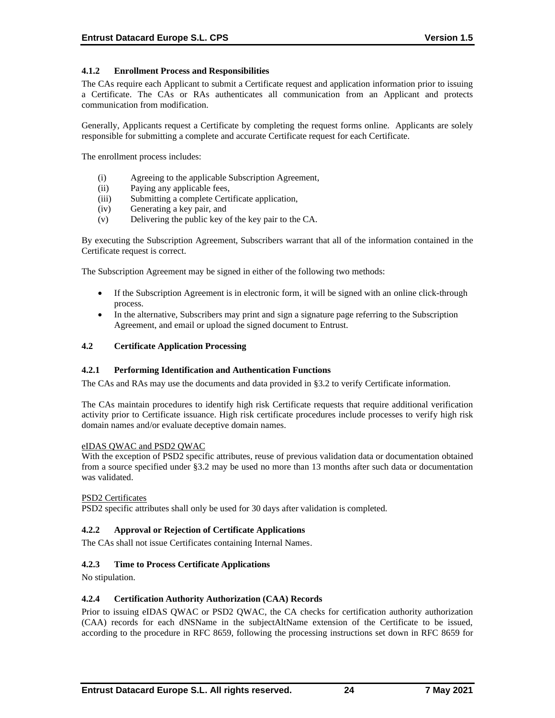## **4.1.2 Enrollment Process and Responsibilities**

The CAs require each Applicant to submit a Certificate request and application information prior to issuing a Certificate. The CAs or RAs authenticates all communication from an Applicant and protects communication from modification.

Generally, Applicants request a Certificate by completing the request forms online. Applicants are solely responsible for submitting a complete and accurate Certificate request for each Certificate.

The enrollment process includes:

- (i) Agreeing to the applicable Subscription Agreement,
- (ii) Paying any applicable fees,
- (iii) Submitting a complete Certificate application,
- (iv) Generating a key pair, and
- (v) Delivering the public key of the key pair to the CA.

By executing the Subscription Agreement, Subscribers warrant that all of the information contained in the Certificate request is correct.

The Subscription Agreement may be signed in either of the following two methods:

- If the Subscription Agreement is in electronic form, it will be signed with an online click-through process.
- In the alternative, Subscribers may print and sign a signature page referring to the Subscription Agreement, and email or upload the signed document to Entrust.

#### **4.2 Certificate Application Processing**

#### **4.2.1 Performing Identification and Authentication Functions**

The CAs and RAs may use the documents and data provided in §3.2 to verify Certificate information.

The CAs maintain procedures to identify high risk Certificate requests that require additional verification activity prior to Certificate issuance. High risk certificate procedures include processes to verify high risk domain names and/or evaluate deceptive domain names.

#### eIDAS QWAC and PSD2 QWAC

With the exception of PSD2 specific attributes, reuse of previous validation data or documentation obtained from a source specified under §3.2 may be used no more than 13 months after such data or documentation was validated.

#### PSD2 Certificates

PSD2 specific attributes shall only be used for 30 days after validation is completed.

### **4.2.2 Approval or Rejection of Certificate Applications**

The CAs shall not issue Certificates containing Internal Names.

#### **4.2.3 Time to Process Certificate Applications**

No stipulation.

#### **4.2.4 Certification Authority Authorization (CAA) Records**

Prior to issuing eIDAS QWAC or PSD2 QWAC, the CA checks for certification authority authorization (CAA) records for each dNSName in the subjectAltName extension of the Certificate to be issued, according to the procedure in RFC 8659, following the processing instructions set down in RFC 8659 for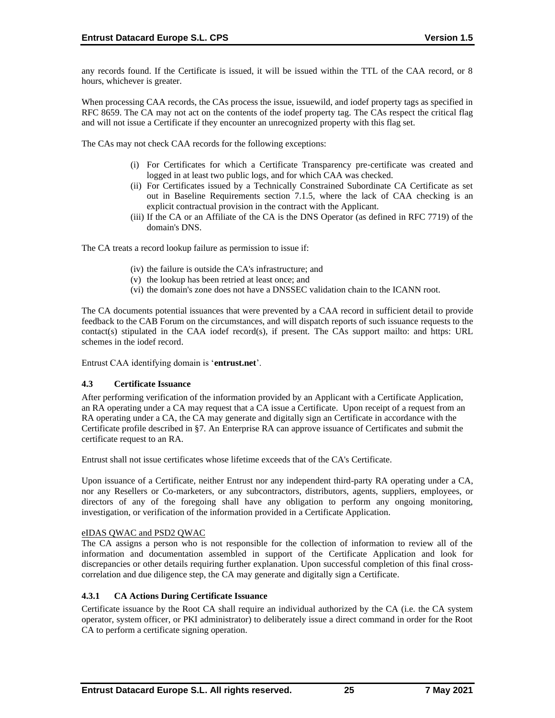any records found. If the Certificate is issued, it will be issued within the TTL of the CAA record, or 8 hours, whichever is greater.

When processing CAA records, the CAs process the issue, issuewild, and iodef property tags as specified in RFC 8659. The CA may not act on the contents of the iodef property tag. The CAs respect the critical flag and will not issue a Certificate if they encounter an unrecognized property with this flag set.

The CAs may not check CAA records for the following exceptions:

- (i) For Certificates for which a Certificate Transparency pre‐certificate was created and logged in at least two public logs, and for which CAA was checked.
- (ii) For Certificates issued by a Technically Constrained Subordinate CA Certificate as set out in Baseline Requirements section 7.1.5, where the lack of CAA checking is an explicit contractual provision in the contract with the Applicant.
- (iii) If the CA or an Affiliate of the CA is the DNS Operator (as defined in RFC 7719) of the domain's DNS.

The CA treats a record lookup failure as permission to issue if:

- (iv) the failure is outside the CA's infrastructure; and
- (v) the lookup has been retried at least once; and
- (vi) the domain's zone does not have a DNSSEC validation chain to the ICANN root.

The CA documents potential issuances that were prevented by a CAA record in sufficient detail to provide feedback to the CAB Forum on the circumstances, and will dispatch reports of such issuance requests to the contact(s) stipulated in the CAA iodef record(s), if present. The CAs support mailto: and https: URL schemes in the iodef record.

Entrust CAA identifying domain is '**entrust.net**'.

#### **4.3 Certificate Issuance**

After performing verification of the information provided by an Applicant with a Certificate Application, an RA operating under a CA may request that a CA issue a Certificate. Upon receipt of a request from an RA operating under a CA, the CA may generate and digitally sign an Certificate in accordance with the Certificate profile described in §7. An Enterprise RA can approve issuance of Certificates and submit the certificate request to an RA.

Entrust shall not issue certificates whose lifetime exceeds that of the CA's Certificate.

Upon issuance of a Certificate, neither Entrust nor any independent third-party RA operating under a CA, nor any Resellers or Co-marketers, or any subcontractors, distributors, agents, suppliers, employees, or directors of any of the foregoing shall have any obligation to perform any ongoing monitoring, investigation, or verification of the information provided in a Certificate Application.

#### eIDAS QWAC and PSD2 QWAC

The CA assigns a person who is not responsible for the collection of information to review all of the information and documentation assembled in support of the Certificate Application and look for discrepancies or other details requiring further explanation. Upon successful completion of this final crosscorrelation and due diligence step, the CA may generate and digitally sign a Certificate.

## **4.3.1 CA Actions During Certificate Issuance**

Certificate issuance by the Root CA shall require an individual authorized by the CA (i.e. the CA system operator, system officer, or PKI administrator) to deliberately issue a direct command in order for the Root CA to perform a certificate signing operation.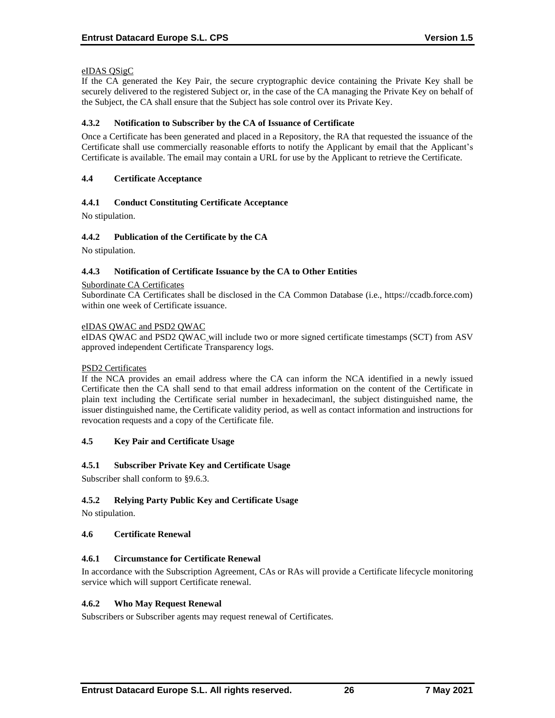## eIDAS QSigC

If the CA generated the Key Pair, the secure cryptographic device containing the Private Key shall be securely delivered to the registered Subject or, in the case of the CA managing the Private Key on behalf of the Subject, the CA shall ensure that the Subject has sole control over its Private Key.

## **4.3.2 Notification to Subscriber by the CA of Issuance of Certificate**

Once a Certificate has been generated and placed in a Repository, the RA that requested the issuance of the Certificate shall use commercially reasonable efforts to notify the Applicant by email that the Applicant's Certificate is available. The email may contain a URL for use by the Applicant to retrieve the Certificate.

## **4.4 Certificate Acceptance**

## **4.4.1 Conduct Constituting Certificate Acceptance**

No stipulation.

## **4.4.2 Publication of the Certificate by the CA**

No stipulation.

#### **4.4.3 Notification of Certificate Issuance by the CA to Other Entities**

#### Subordinate CA Certificates

Subordinate CA Certificates shall be disclosed in the CA Common Database (i.e., https://ccadb.force.com) within one week of Certificate issuance.

#### eIDAS QWAC and PSD2 QWAC

eIDAS QWAC and PSD2 QWAC will include two or more signed certificate timestamps (SCT) from ASV approved independent Certificate Transparency logs.

#### PSD2 Certificates

If the NCA provides an email address where the CA can inform the NCA identified in a newly issued Certificate then the CA shall send to that email address information on the content of the Certificate in plain text including the Certificate serial number in hexadecimanl, the subject distinguished name, the issuer distinguished name, the Certificate validity period, as well as contact information and instructions for revocation requests and a copy of the Certificate file.

#### **4.5 Key Pair and Certificate Usage**

#### **4.5.1 Subscriber Private Key and Certificate Usage**

Subscriber shall conform to §9.6.3.

## **4.5.2 Relying Party Public Key and Certificate Usage**

No stipulation.

#### **4.6 Certificate Renewal**

#### **4.6.1 Circumstance for Certificate Renewal**

In accordance with the Subscription Agreement, CAs or RAs will provide a Certificate lifecycle monitoring service which will support Certificate renewal.

#### **4.6.2 Who May Request Renewal**

Subscribers or Subscriber agents may request renewal of Certificates.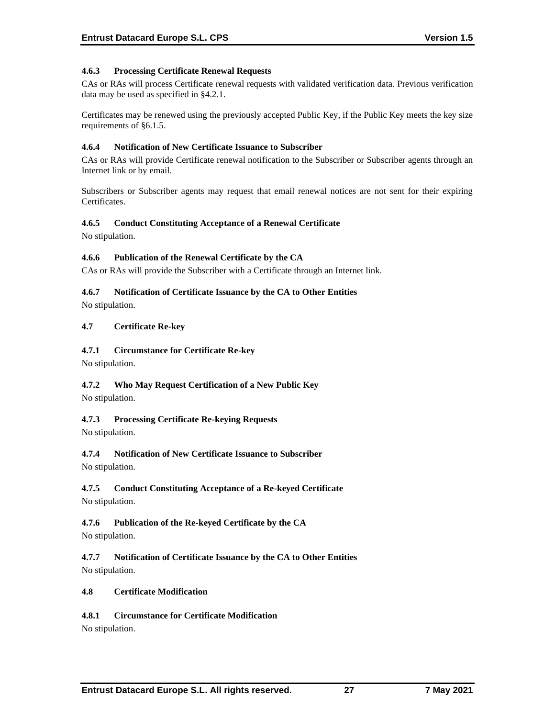## **4.6.3 Processing Certificate Renewal Requests**

CAs or RAs will process Certificate renewal requests with validated verification data. Previous verification data may be used as specified in §4.2.1.

Certificates may be renewed using the previously accepted Public Key, if the Public Key meets the key size requirements of §6.1.5.

#### **4.6.4 Notification of New Certificate Issuance to Subscriber**

CAs or RAs will provide Certificate renewal notification to the Subscriber or Subscriber agents through an Internet link or by email.

Subscribers or Subscriber agents may request that email renewal notices are not sent for their expiring Certificates.

## **4.6.5 Conduct Constituting Acceptance of a Renewal Certificate**

No stipulation.

## **4.6.6 Publication of the Renewal Certificate by the CA**

CAs or RAs will provide the Subscriber with a Certificate through an Internet link.

## **4.6.7 Notification of Certificate Issuance by the CA to Other Entities**

No stipulation.

## **4.7 Certificate Re-key**

## **4.7.1 Circumstance for Certificate Re-key**

No stipulation.

## **4.7.2 Who May Request Certification of a New Public Key**

No stipulation.

## **4.7.3 Processing Certificate Re-keying Requests**

No stipulation.

## **4.7.4 Notification of New Certificate Issuance to Subscriber**

No stipulation.

## **4.7.5 Conduct Constituting Acceptance of a Re-keyed Certificate**

No stipulation.

## **4.7.6 Publication of the Re-keyed Certificate by the CA**

No stipulation.

**4.7.7 Notification of Certificate Issuance by the CA to Other Entities** No stipulation.

#### **4.8 Certificate Modification**

## **4.8.1 Circumstance for Certificate Modification**

No stipulation.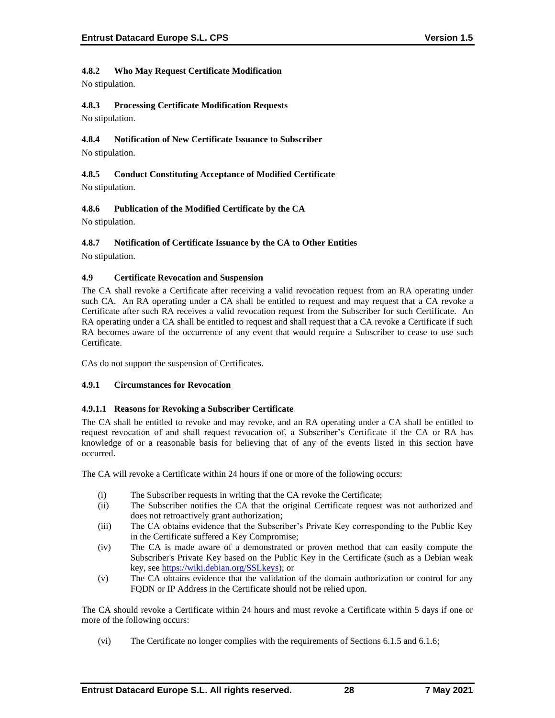# **4.8.2 Who May Request Certificate Modification**

No stipulation.

# **4.8.3 Processing Certificate Modification Requests**

No stipulation.

# **4.8.4 Notification of New Certificate Issuance to Subscriber**

No stipulation.

# **4.8.5 Conduct Constituting Acceptance of Modified Certificate** No stipulation.

# **4.8.6 Publication of the Modified Certificate by the CA**

No stipulation.

# **4.8.7 Notification of Certificate Issuance by the CA to Other Entities**

No stipulation.

# **4.9 Certificate Revocation and Suspension**

The CA shall revoke a Certificate after receiving a valid revocation request from an RA operating under such CA. An RA operating under a CA shall be entitled to request and may request that a CA revoke a Certificate after such RA receives a valid revocation request from the Subscriber for such Certificate. An RA operating under a CA shall be entitled to request and shall request that a CA revoke a Certificate if such RA becomes aware of the occurrence of any event that would require a Subscriber to cease to use such Certificate.

CAs do not support the suspension of Certificates.

# **4.9.1 Circumstances for Revocation**

# **4.9.1.1 Reasons for Revoking a Subscriber Certificate**

The CA shall be entitled to revoke and may revoke, and an RA operating under a CA shall be entitled to request revocation of and shall request revocation of, a Subscriber's Certificate if the CA or RA has knowledge of or a reasonable basis for believing that of any of the events listed in this section have occurred.

The CA will revoke a Certificate within 24 hours if one or more of the following occurs:

- (i) The Subscriber requests in writing that the CA revoke the Certificate;
- (ii) The Subscriber notifies the CA that the original Certificate request was not authorized and does not retroactively grant authorization;
- (iii) The CA obtains evidence that the Subscriber's Private Key corresponding to the Public Key in the Certificate suffered a Key Compromise;
- (iv) The CA is made aware of a demonstrated or proven method that can easily compute the Subscriber's Private Key based on the Public Key in the Certificate (such as a Debian weak key, se[e https://wiki.debian.org/SSLkeys\)](https://wiki.debian.org/SSLkeys); or
- (v) The CA obtains evidence that the validation of the domain authorization or control for any FQDN or IP Address in the Certificate should not be relied upon.

The CA should revoke a Certificate within 24 hours and must revoke a Certificate within 5 days if one or more of the following occurs:

(vi) The Certificate no longer complies with the requirements of Sections 6.1.5 and 6.1.6;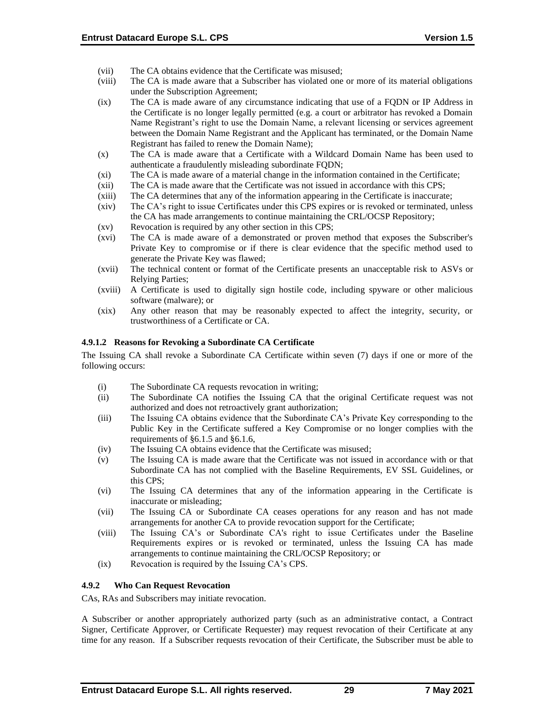- (vii) The CA obtains evidence that the Certificate was misused;
- (viii) The CA is made aware that a Subscriber has violated one or more of its material obligations under the Subscription Agreement;
- (ix) The CA is made aware of any circumstance indicating that use of a FQDN or IP Address in the Certificate is no longer legally permitted (e.g. a court or arbitrator has revoked a Domain Name Registrant's right to use the Domain Name, a relevant licensing or services agreement between the Domain Name Registrant and the Applicant has terminated, or the Domain Name Registrant has failed to renew the Domain Name);
- (x) The CA is made aware that a Certificate with a Wildcard Domain Name has been used to authenticate a fraudulently misleading subordinate FQDN;
- (xi) The CA is made aware of a material change in the information contained in the Certificate;
- (xii) The CA is made aware that the Certificate was not issued in accordance with this CPS;
- (xiii) The CA determines that any of the information appearing in the Certificate is inaccurate;
- (xiv) The CA's right to issue Certificates under this CPS expires or is revoked or terminated, unless the CA has made arrangements to continue maintaining the CRL/OCSP Repository;
- (xv) Revocation is required by any other section in this CPS;
- (xvi) The CA is made aware of a demonstrated or proven method that exposes the Subscriber's Private Key to compromise or if there is clear evidence that the specific method used to generate the Private Key was flawed;
- (xvii) The technical content or format of the Certificate presents an unacceptable risk to ASVs or Relying Parties;
- (xviii) A Certificate is used to digitally sign hostile code, including spyware or other malicious software (malware); or
- (xix) Any other reason that may be reasonably expected to affect the integrity, security, or trustworthiness of a Certificate or CA.

#### **4.9.1.2 Reasons for Revoking a Subordinate CA Certificate**

The Issuing CA shall revoke a Subordinate CA Certificate within seven (7) days if one or more of the following occurs:

- (i) The Subordinate CA requests revocation in writing;
- (ii) The Subordinate CA notifies the Issuing CA that the original Certificate request was not authorized and does not retroactively grant authorization;
- (iii) The Issuing CA obtains evidence that the Subordinate CA's Private Key corresponding to the Public Key in the Certificate suffered a Key Compromise or no longer complies with the requirements of §6.1.5 and §6.1.6,
- (iv) The Issuing CA obtains evidence that the Certificate was misused;
- (v) The Issuing CA is made aware that the Certificate was not issued in accordance with or that Subordinate CA has not complied with the Baseline Requirements, EV SSL Guidelines, or this CPS;
- (vi) The Issuing CA determines that any of the information appearing in the Certificate is inaccurate or misleading;
- (vii) The Issuing CA or Subordinate CA ceases operations for any reason and has not made arrangements for another CA to provide revocation support for the Certificate;
- (viii) The Issuing CA's or Subordinate CA's right to issue Certificates under the Baseline Requirements expires or is revoked or terminated, unless the Issuing CA has made arrangements to continue maintaining the CRL/OCSP Repository; or
- (ix) Revocation is required by the Issuing CA's CPS.

#### **4.9.2 Who Can Request Revocation**

CAs, RAs and Subscribers may initiate revocation.

A Subscriber or another appropriately authorized party (such as an administrative contact, a Contract Signer, Certificate Approver, or Certificate Requester) may request revocation of their Certificate at any time for any reason. If a Subscriber requests revocation of their Certificate, the Subscriber must be able to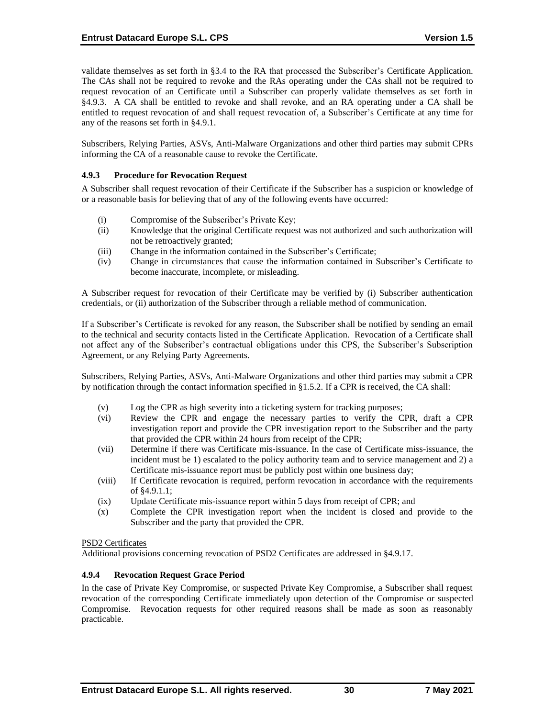validate themselves as set forth in §3.4 to the RA that processed the Subscriber's Certificate Application. The CAs shall not be required to revoke and the RAs operating under the CAs shall not be required to request revocation of an Certificate until a Subscriber can properly validate themselves as set forth in §4.9.3. A CA shall be entitled to revoke and shall revoke, and an RA operating under a CA shall be entitled to request revocation of and shall request revocation of, a Subscriber's Certificate at any time for any of the reasons set forth in §4.9.1.

Subscribers, Relying Parties, ASVs, Anti-Malware Organizations and other third parties may submit CPRs informing the CA of a reasonable cause to revoke the Certificate.

## **4.9.3 Procedure for Revocation Request**

A Subscriber shall request revocation of their Certificate if the Subscriber has a suspicion or knowledge of or a reasonable basis for believing that of any of the following events have occurred:

- (i) Compromise of the Subscriber's Private Key;
- (ii) Knowledge that the original Certificate request was not authorized and such authorization will not be retroactively granted;
- (iii) Change in the information contained in the Subscriber's Certificate;
- (iv) Change in circumstances that cause the information contained in Subscriber's Certificate to become inaccurate, incomplete, or misleading.

A Subscriber request for revocation of their Certificate may be verified by (i) Subscriber authentication credentials, or (ii) authorization of the Subscriber through a reliable method of communication.

If a Subscriber's Certificate is revoked for any reason, the Subscriber shall be notified by sending an email to the technical and security contacts listed in the Certificate Application. Revocation of a Certificate shall not affect any of the Subscriber's contractual obligations under this CPS, the Subscriber's Subscription Agreement, or any Relying Party Agreements.

Subscribers, Relying Parties, ASVs, Anti-Malware Organizations and other third parties may submit a CPR by notification through the contact information specified in §1.5.2. If a CPR is received, the CA shall:

- (v) Log the CPR as high severity into a ticketing system for tracking purposes;
- (vi) Review the CPR and engage the necessary parties to verify the CPR, draft a CPR investigation report and provide the CPR investigation report to the Subscriber and the party that provided the CPR within 24 hours from receipt of the CPR;
- (vii) Determine if there was Certificate mis-issuance. In the case of Certificate miss-issuance, the incident must be 1) escalated to the policy authority team and to service management and 2) a Certificate mis-issuance report must be publicly post within one business day;
- (viii) If Certificate revocation is required, perform revocation in accordance with the requirements of §4.9.1.1;
- (ix) Update Certificate mis-issuance report within 5 days from receipt of CPR; and
- (x) Complete the CPR investigation report when the incident is closed and provide to the Subscriber and the party that provided the CPR.

#### PSD2 Certificates

Additional provisions concerning revocation of PSD2 Certificates are addressed in §4.9.17.

#### **4.9.4 Revocation Request Grace Period**

In the case of Private Key Compromise, or suspected Private Key Compromise, a Subscriber shall request revocation of the corresponding Certificate immediately upon detection of the Compromise or suspected Compromise. Revocation requests for other required reasons shall be made as soon as reasonably practicable.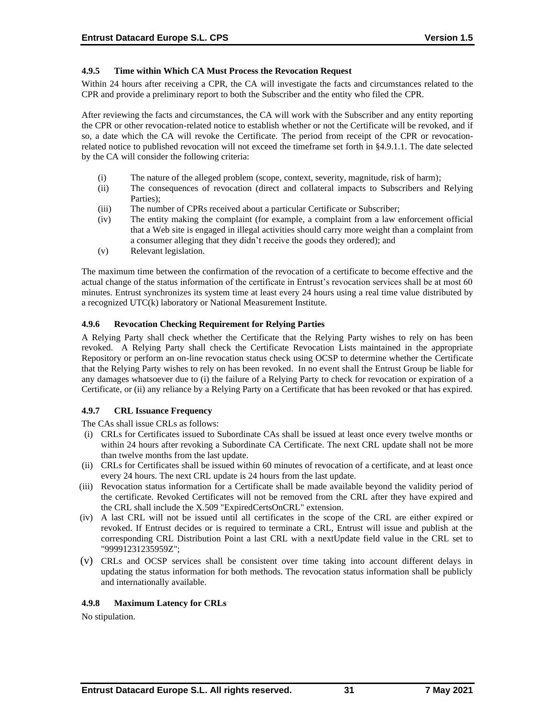# **4.9.5 Time within Which CA Must Process the Revocation Request**

Within 24 hours after receiving a CPR, the CA will investigate the facts and circumstances related to the CPR and provide a preliminary report to both the Subscriber and the entity who filed the CPR.

After reviewing the facts and circumstances, the CA will work with the Subscriber and any entity reporting the CPR or other revocation-related notice to establish whether or not the Certificate will be revoked, and if so, a date which the CA will revoke the Certificate. The period from receipt of the CPR or revocationrelated notice to published revocation will not exceed the timeframe set forth in §4.9.1.1. The date selected by the CA will consider the following criteria:

- (i) The nature of the alleged problem (scope, context, severity, magnitude, risk of harm);
- (ii) The consequences of revocation (direct and collateral impacts to Subscribers and Relying Parties);
- (iii) The number of CPRs received about a particular Certificate or Subscriber;
- (iv) The entity making the complaint (for example, a complaint from a law enforcement official that a Web site is engaged in illegal activities should carry more weight than a complaint from a consumer alleging that they didn't receive the goods they ordered); and
- (v) Relevant legislation.

The maximum time between the confirmation of the revocation of a certificate to become effective and the actual change of the status information of the certificate in Entrust's revocation services shall be at most 60 minutes. Entrust synchronizes its system time at least every 24 hours using a real time value distributed by a recognized UTC(k) laboratory or National Measurement Institute.

## **4.9.6 Revocation Checking Requirement for Relying Parties**

A Relying Party shall check whether the Certificate that the Relying Party wishes to rely on has been revoked. A Relying Party shall check the Certificate Revocation Lists maintained in the appropriate Repository or perform an on-line revocation status check using OCSP to determine whether the Certificate that the Relying Party wishes to rely on has been revoked. In no event shall the Entrust Group be liable for any damages whatsoever due to (i) the failure of a Relying Party to check for revocation or expiration of a Certificate, or (ii) any reliance by a Relying Party on a Certificate that has been revoked or that has expired.

# **4.9.7 CRL Issuance Frequency**

The CAs shall issue CRLs as follows:

- (i) CRLs for Certificates issued to Subordinate CAs shall be issued at least once every twelve months or within 24 hours after revoking a Subordinate CA Certificate. The next CRL update shall not be more than twelve months from the last update.
- (ii) CRLs for Certificates shall be issued within 60 minutes of revocation of a certificate, and at least once every 24 hours. The next CRL update is 24 hours from the last update.
- (iii) Revocation status information for a Certificate shall be made available beyond the validity period of the certificate. Revoked Certificates will not be removed from the CRL after they have expired and the CRL shall include the X.509 "ExpiredCertsOnCRL" extension.
- (iv) A last CRL will not be issued until all certificates in the scope of the CRL are either expired or revoked. If Entrust decides or is required to terminate a CRL, Entrust will issue and publish at the corresponding CRL Distribution Point a last CRL with a nextUpdate field value in the CRL set to "99991231235959Z";
- (v) CRLs and OCSP services shall be consistent over time taking into account different delays in updating the status information for both methods. The revocation status information shall be publicly and internationally available.

# **4.9.8 Maximum Latency for CRLs**

No stipulation.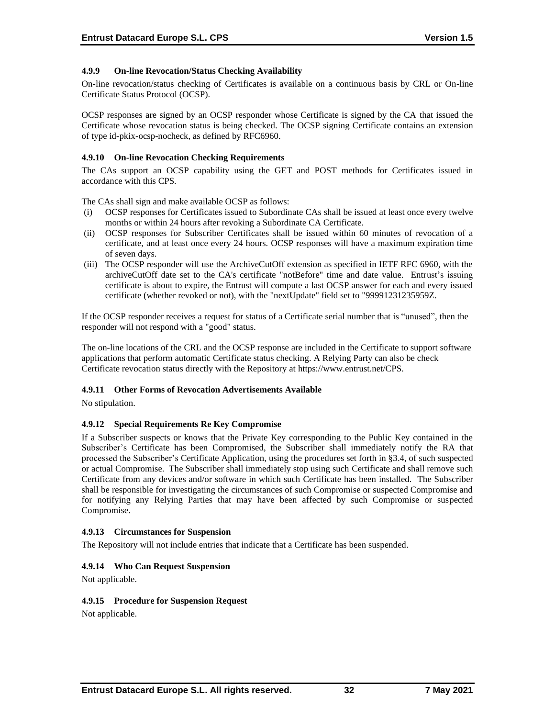# **4.9.9 On-line Revocation/Status Checking Availability**

On-line revocation/status checking of Certificates is available on a continuous basis by CRL or On-line Certificate Status Protocol (OCSP).

OCSP responses are signed by an OCSP responder whose Certificate is signed by the CA that issued the Certificate whose revocation status is being checked. The OCSP signing Certificate contains an extension of type id-pkix-ocsp-nocheck, as defined by RFC6960.

# **4.9.10 On-line Revocation Checking Requirements**

The CAs support an OCSP capability using the GET and POST methods for Certificates issued in accordance with this CPS.

The CAs shall sign and make available OCSP as follows:

- (i) OCSP responses for Certificates issued to Subordinate CAs shall be issued at least once every twelve months or within 24 hours after revoking a Subordinate CA Certificate.
- (ii) OCSP responses for Subscriber Certificates shall be issued within 60 minutes of revocation of a certificate, and at least once every 24 hours. OCSP responses will have a maximum expiration time of seven days.
- (iii) The OCSP responder will use the ArchiveCutOff extension as specified in IETF RFC 6960, with the archiveCutOff date set to the CA's certificate "notBefore" time and date value. Entrust's issuing certificate is about to expire, the Entrust will compute a last OCSP answer for each and every issued certificate (whether revoked or not), with the "nextUpdate" field set to "99991231235959Z.

If the OCSP responder receives a request for status of a Certificate serial number that is "unused", then the responder will not respond with a "good" status.

The on-line locations of the CRL and the OCSP response are included in the Certificate to support software applications that perform automatic Certificate status checking. A Relying Party can also be check Certificate revocation status directly with the Repository at [https://www.entrust.net/CPS.](https://www.entrust.net/CPS) 

#### **4.9.11 Other Forms of Revocation Advertisements Available**

No stipulation.

#### **4.9.12 Special Requirements Re Key Compromise**

If a Subscriber suspects or knows that the Private Key corresponding to the Public Key contained in the Subscriber's Certificate has been Compromised, the Subscriber shall immediately notify the RA that processed the Subscriber's Certificate Application, using the procedures set forth in §3.4, of such suspected or actual Compromise. The Subscriber shall immediately stop using such Certificate and shall remove such Certificate from any devices and/or software in which such Certificate has been installed. The Subscriber shall be responsible for investigating the circumstances of such Compromise or suspected Compromise and for notifying any Relying Parties that may have been affected by such Compromise or suspected Compromise.

#### **4.9.13 Circumstances for Suspension**

The Repository will not include entries that indicate that a Certificate has been suspended.

#### **4.9.14 Who Can Request Suspension**

Not applicable.

#### **4.9.15 Procedure for Suspension Request**

Not applicable.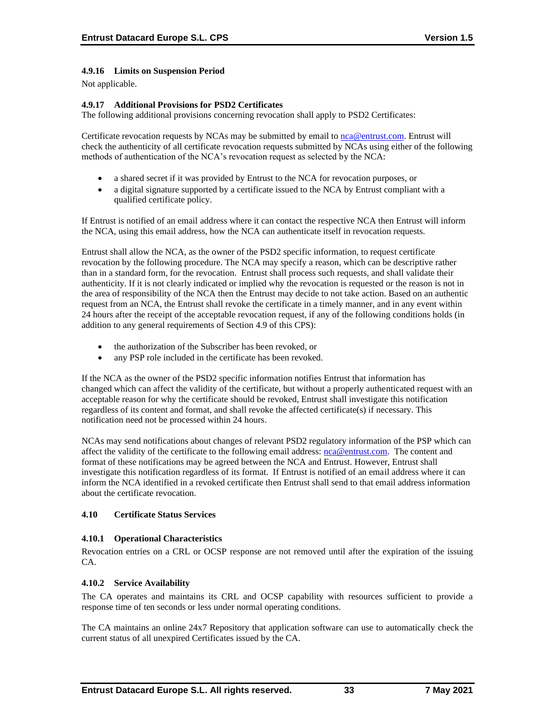# **4.9.16 Limits on Suspension Period**

Not applicable.

## **4.9.17 Additional Provisions for PSD2 Certificates**

The following additional provisions concerning revocation shall apply to PSD2 Certificates:

Certificate revocation requests by NCAs may be submitted by email to [nca@entrust.com.](mailto:nca@entrustdatacard.com) Entrust will check the authenticity of all certificate revocation requests submitted by NCAs using either of the following methods of authentication of the NCA's revocation request as selected by the NCA:

- a shared secret if it was provided by Entrust to the NCA for revocation purposes, or
- a digital signature supported by a certificate issued to the NCA by Entrust compliant with a qualified certificate policy.

If Entrust is notified of an email address where it can contact the respective NCA then Entrust will inform the NCA, using this email address, how the NCA can authenticate itself in revocation requests.

Entrust shall allow the NCA, as the owner of the PSD2 specific information, to request certificate revocation by the following procedure. The NCA may specify a reason, which can be descriptive rather than in a standard form, for the revocation. Entrust shall process such requests, and shall validate their authenticity. If it is not clearly indicated or implied why the revocation is requested or the reason is not in the area of responsibility of the NCA then the Entrust may decide to not take action. Based on an authentic request from an NCA, the Entrust shall revoke the certificate in a timely manner, and in any event within 24 hours after the receipt of the acceptable revocation request, if any of the following conditions holds (in addition to any general requirements of Section 4.9 of this CPS):

- the authorization of the Subscriber has been revoked, or
- any PSP role included in the certificate has been revoked.

If the NCA as the owner of the PSD2 specific information notifies Entrust that information has changed which can affect the validity of the certificate, but without a properly authenticated request with an acceptable reason for why the certificate should be revoked, Entrust shall investigate this notification regardless of its content and format, and shall revoke the affected certificate(s) if necessary. This notification need not be processed within 24 hours.

NCAs may send notifications about changes of relevant PSD2 regulatory information of the PSP which can affect the validity of the certificate to the following email address: [nca@entrust.com.](mailto:nca@entrust.com) The content and format of these notifications may be agreed between the NCA and Entrust. However, Entrust shall investigate this notification regardless of its format. If Entrust is notified of an email address where it can inform the NCA identified in a revoked certificate then Entrust shall send to that email address information about the certificate revocation.

#### **4.10 Certificate Status Services**

#### **4.10.1 Operational Characteristics**

Revocation entries on a CRL or OCSP response are not removed until after the expiration of the issuing CA.

#### **4.10.2 Service Availability**

The CA operates and maintains its CRL and OCSP capability with resources sufficient to provide a response time of ten seconds or less under normal operating conditions.

The CA maintains an online 24x7 Repository that application software can use to automatically check the current status of all unexpired Certificates issued by the CA.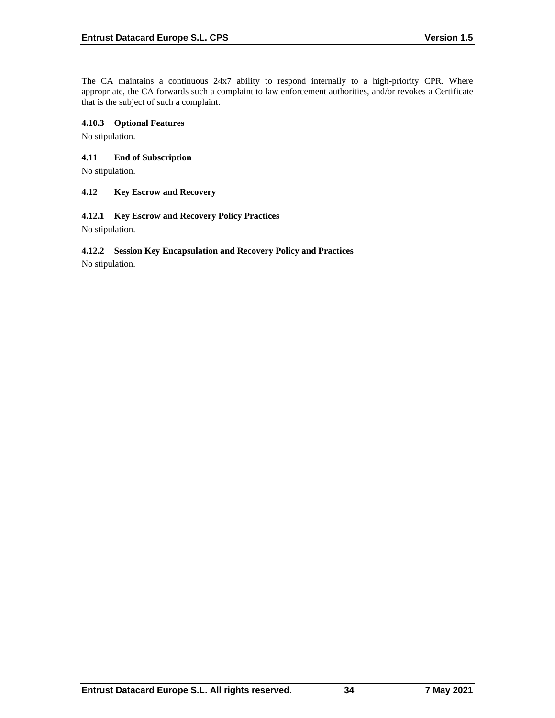The CA maintains a continuous 24x7 ability to respond internally to a high-priority CPR. Where appropriate, the CA forwards such a complaint to law enforcement authorities, and/or revokes a Certificate that is the subject of such a complaint.

# **4.10.3 Optional Features**

No stipulation.

# **4.11 End of Subscription**

No stipulation.

## **4.12 Key Escrow and Recovery**

## **4.12.1 Key Escrow and Recovery Policy Practices**

No stipulation.

# **4.12.2 Session Key Encapsulation and Recovery Policy and Practices**

No stipulation.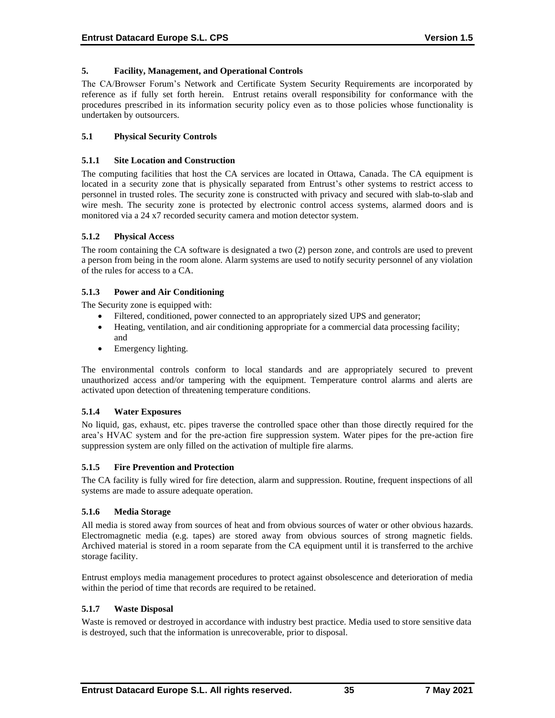# **5. Facility, Management, and Operational Controls**

The CA/Browser Forum's Network and Certificate System Security Requirements are incorporated by reference as if fully set forth herein. Entrust retains overall responsibility for conformance with the procedures prescribed in its information security policy even as to those policies whose functionality is undertaken by outsourcers.

# **5.1 Physical Security Controls**

### **5.1.1 Site Location and Construction**

The computing facilities that host the CA services are located in Ottawa, Canada. The CA equipment is located in a security zone that is physically separated from Entrust's other systems to restrict access to personnel in trusted roles. The security zone is constructed with privacy and secured with slab-to-slab and wire mesh. The security zone is protected by electronic control access systems, alarmed doors and is monitored via a 24 x7 recorded security camera and motion detector system.

## **5.1.2 Physical Access**

The room containing the CA software is designated a two (2) person zone, and controls are used to prevent a person from being in the room alone. Alarm systems are used to notify security personnel of any violation of the rules for access to a CA.

## **5.1.3 Power and Air Conditioning**

The Security zone is equipped with:

- Filtered, conditioned, power connected to an appropriately sized UPS and generator;
- Heating, ventilation, and air conditioning appropriate for a commercial data processing facility; and
- Emergency lighting.

The environmental controls conform to local standards and are appropriately secured to prevent unauthorized access and/or tampering with the equipment. Temperature control alarms and alerts are activated upon detection of threatening temperature conditions.

# **5.1.4 Water Exposures**

No liquid, gas, exhaust, etc. pipes traverse the controlled space other than those directly required for the area's HVAC system and for the pre-action fire suppression system. Water pipes for the pre-action fire suppression system are only filled on the activation of multiple fire alarms.

#### **5.1.5 Fire Prevention and Protection**

The CA facility is fully wired for fire detection, alarm and suppression. Routine, frequent inspections of all systems are made to assure adequate operation.

#### **5.1.6 Media Storage**

All media is stored away from sources of heat and from obvious sources of water or other obvious hazards. Electromagnetic media (e.g. tapes) are stored away from obvious sources of strong magnetic fields. Archived material is stored in a room separate from the CA equipment until it is transferred to the archive storage facility.

Entrust employs media management procedures to protect against obsolescence and deterioration of media within the period of time that records are required to be retained.

#### **5.1.7 Waste Disposal**

Waste is removed or destroyed in accordance with industry best practice. Media used to store sensitive data is destroyed, such that the information is unrecoverable, prior to disposal.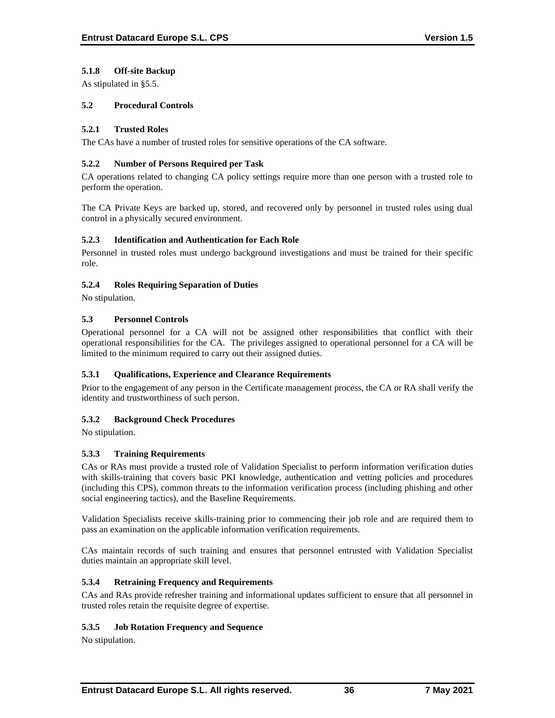# **5.1.8 Off-site Backup**

As stipulated in §5.5.

# **5.2 Procedural Controls**

# **5.2.1 Trusted Roles**

The CAs have a number of trusted roles for sensitive operations of the CA software.

## **5.2.2 Number of Persons Required per Task**

CA operations related to changing CA policy settings require more than one person with a trusted role to perform the operation.

The CA Private Keys are backed up, stored, and recovered only by personnel in trusted roles using dual control in a physically secured environment.

## **5.2.3 Identification and Authentication for Each Role**

Personnel in trusted roles must undergo background investigations and must be trained for their specific role.

## **5.2.4 Roles Requiring Separation of Duties**

No stipulation.

# **5.3 Personnel Controls**

Operational personnel for a CA will not be assigned other responsibilities that conflict with their operational responsibilities for the CA. The privileges assigned to operational personnel for a CA will be limited to the minimum required to carry out their assigned duties.

# **5.3.1 Qualifications, Experience and Clearance Requirements**

Prior to the engagement of any person in the Certificate management process, the CA or RA shall verify the identity and trustworthiness of such person.

# **5.3.2 Background Check Procedures**

No stipulation.

# **5.3.3 Training Requirements**

CAs or RAs must provide a trusted role of Validation Specialist to perform information verification duties with skills-training that covers basic PKI knowledge, authentication and vetting policies and procedures (including this CPS), common threats to the information verification process (including phishing and other social engineering tactics), and the Baseline Requirements.

Validation Specialists receive skills-training prior to commencing their job role and are required them to pass an examination on the applicable information verification requirements.

CAs maintain records of such training and ensures that personnel entrusted with Validation Specialist duties maintain an appropriate skill level.

# **5.3.4 Retraining Frequency and Requirements**

CAs and RAs provide refresher training and informational updates sufficient to ensure that all personnel in trusted roles retain the requisite degree of expertise.

#### **5.3.5 Job Rotation Frequency and Sequence**

No stipulation.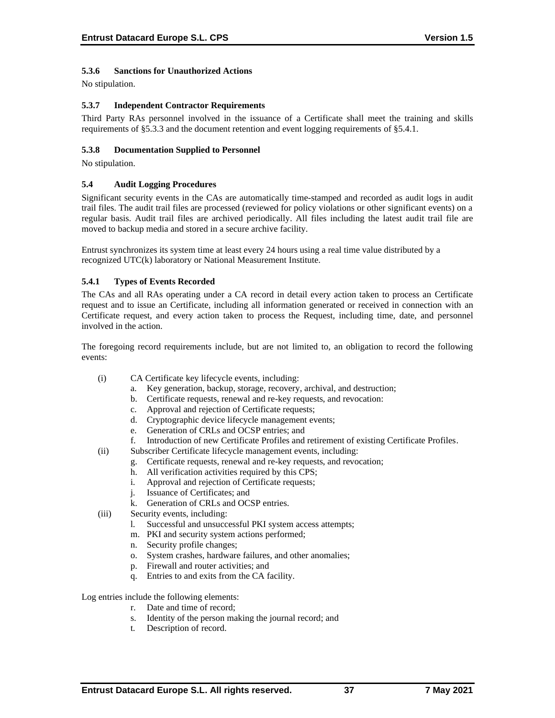# **5.3.6 Sanctions for Unauthorized Actions**

No stipulation.

## **5.3.7 Independent Contractor Requirements**

Third Party RAs personnel involved in the issuance of a Certificate shall meet the training and skills requirements of §5.3.3 and the document retention and event logging requirements of §5.4.1.

## **5.3.8 Documentation Supplied to Personnel**

No stipulation.

### **5.4 Audit Logging Procedures**

Significant security events in the CAs are automatically time-stamped and recorded as audit logs in audit trail files. The audit trail files are processed (reviewed for policy violations or other significant events) on a regular basis. Audit trail files are archived periodically. All files including the latest audit trail file are moved to backup media and stored in a secure archive facility.

Entrust synchronizes its system time at least every 24 hours using a real time value distributed by a recognized UTC(k) laboratory or National Measurement Institute.

## **5.4.1 Types of Events Recorded**

The CAs and all RAs operating under a CA record in detail every action taken to process an Certificate request and to issue an Certificate, including all information generated or received in connection with an Certificate request, and every action taken to process the Request, including time, date, and personnel involved in the action.

The foregoing record requirements include, but are not limited to, an obligation to record the following events:

- (i) CA Certificate key lifecycle events, including:
	- a. Key generation, backup, storage, recovery, archival, and destruction;
	- b. Certificate requests, renewal and re-key requests, and revocation:
	- c. Approval and rejection of Certificate requests;
	- d. Cryptographic device lifecycle management events;
	- e. Generation of CRLs and OCSP entries; and
	- f. Introduction of new Certificate Profiles and retirement of existing Certificate Profiles.
- (ii) Subscriber Certificate lifecycle management events, including:
	- g. Certificate requests, renewal and re-key requests, and revocation;
	- h. All verification activities required by this CPS;
	- i. Approval and rejection of Certificate requests;
	- j. Issuance of Certificates; and
	- k. Generation of CRLs and OCSP entries.
- (iii) Security events, including:
	- l. Successful and unsuccessful PKI system access attempts;
	- m. PKI and security system actions performed;
	- n. Security profile changes;
	- o. System crashes, hardware failures, and other anomalies;
	- p. Firewall and router activities; and
	- q. Entries to and exits from the CA facility.

Log entries include the following elements:

- r. Date and time of record;
- s. Identity of the person making the journal record; and
- t. Description of record.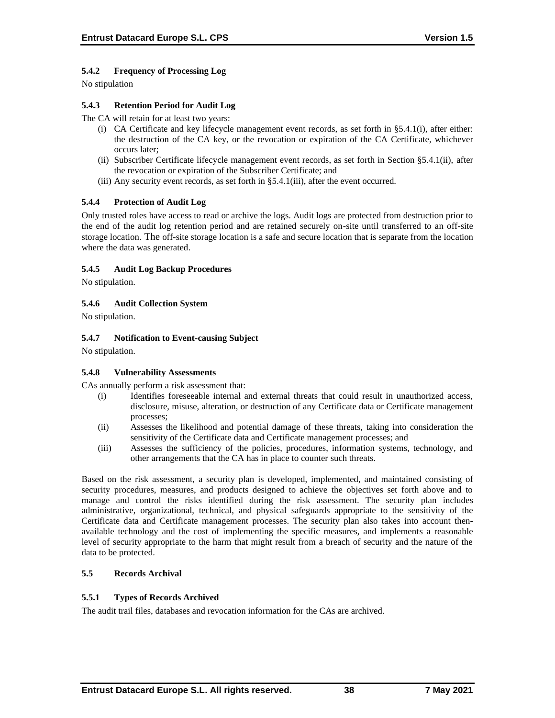# **5.4.2 Frequency of Processing Log**

No stipulation

# **5.4.3 Retention Period for Audit Log**

The CA will retain for at least two years:

- (i) CA Certificate and key lifecycle management event records, as set forth in §5.4.1(i), after either: the destruction of the CA key, or the revocation or expiration of the CA Certificate, whichever occurs later;
- (ii) Subscriber Certificate lifecycle management event records, as set forth in Section §5.4.1(ii), after the revocation or expiration of the Subscriber Certificate; and
- (iii) Any security event records, as set forth in §5.4.1(iii), after the event occurred.

# **5.4.4 Protection of Audit Log**

Only trusted roles have access to read or archive the logs. Audit logs are protected from destruction prior to the end of the audit log retention period and are retained securely on-site until transferred to an off-site storage location. The off-site storage location is a safe and secure location that is separate from the location where the data was generated.

## **5.4.5 Audit Log Backup Procedures**

No stipulation.

## **5.4.6 Audit Collection System**

No stipulation.

## **5.4.7 Notification to Event-causing Subject**

No stipulation.

#### **5.4.8 Vulnerability Assessments**

CAs annually perform a risk assessment that:

- (i) Identifies foreseeable internal and external threats that could result in unauthorized access, disclosure, misuse, alteration, or destruction of any Certificate data or Certificate management processes;
- (ii) Assesses the likelihood and potential damage of these threats, taking into consideration the sensitivity of the Certificate data and Certificate management processes; and
- (iii) Assesses the sufficiency of the policies, procedures, information systems, technology, and other arrangements that the CA has in place to counter such threats.

Based on the risk assessment, a security plan is developed, implemented, and maintained consisting of security procedures, measures, and products designed to achieve the objectives set forth above and to manage and control the risks identified during the risk assessment. The security plan includes administrative, organizational, technical, and physical safeguards appropriate to the sensitivity of the Certificate data and Certificate management processes. The security plan also takes into account thenavailable technology and the cost of implementing the specific measures, and implements a reasonable level of security appropriate to the harm that might result from a breach of security and the nature of the data to be protected.

# **5.5 Records Archival**

#### **5.5.1 Types of Records Archived**

The audit trail files, databases and revocation information for the CAs are archived.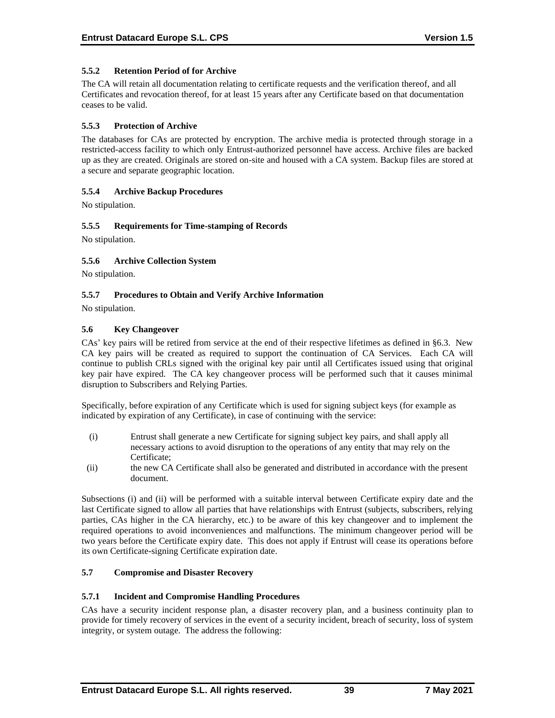# **5.5.2 Retention Period of for Archive**

The CA will retain all documentation relating to certificate requests and the verification thereof, and all Certificates and revocation thereof, for at least 15 years after any Certificate based on that documentation ceases to be valid.

## **5.5.3 Protection of Archive**

The databases for CAs are protected by encryption. The archive media is protected through storage in a restricted-access facility to which only Entrust-authorized personnel have access. Archive files are backed up as they are created. Originals are stored on-site and housed with a CA system. Backup files are stored at a secure and separate geographic location.

# **5.5.4 Archive Backup Procedures**

No stipulation.

## **5.5.5 Requirements for Time-stamping of Records**

No stipulation.

## **5.5.6 Archive Collection System**

No stipulation.

## **5.5.7 Procedures to Obtain and Verify Archive Information**

No stipulation.

## **5.6 Key Changeover**

CAs' key pairs will be retired from service at the end of their respective lifetimes as defined in §6.3. New CA key pairs will be created as required to support the continuation of CA Services. Each CA will continue to publish CRLs signed with the original key pair until all Certificates issued using that original key pair have expired. The CA key changeover process will be performed such that it causes minimal disruption to Subscribers and Relying Parties.

Specifically, before expiration of any Certificate which is used for signing subject keys (for example as indicated by expiration of any Certificate), in case of continuing with the service:

- (i) Entrust shall generate a new Certificate for signing subject key pairs, and shall apply all necessary actions to avoid disruption to the operations of any entity that may rely on the Certificate;
- (ii) the new CA Certificate shall also be generated and distributed in accordance with the present document.

Subsections (i) and (ii) will be performed with a suitable interval between Certificate expiry date and the last Certificate signed to allow all parties that have relationships with Entrust (subjects, subscribers, relying parties, CAs higher in the CA hierarchy, etc.) to be aware of this key changeover and to implement the required operations to avoid inconveniences and malfunctions. The minimum changeover period will be two years before the Certificate expiry date. This does not apply if Entrust will cease its operations before its own Certificate-signing Certificate expiration date.

### **5.7 Compromise and Disaster Recovery**

#### **5.7.1 Incident and Compromise Handling Procedures**

CAs have a security incident response plan, a disaster recovery plan, and a business continuity plan to provide for timely recovery of services in the event of a security incident, breach of security, loss of system integrity, or system outage. The address the following: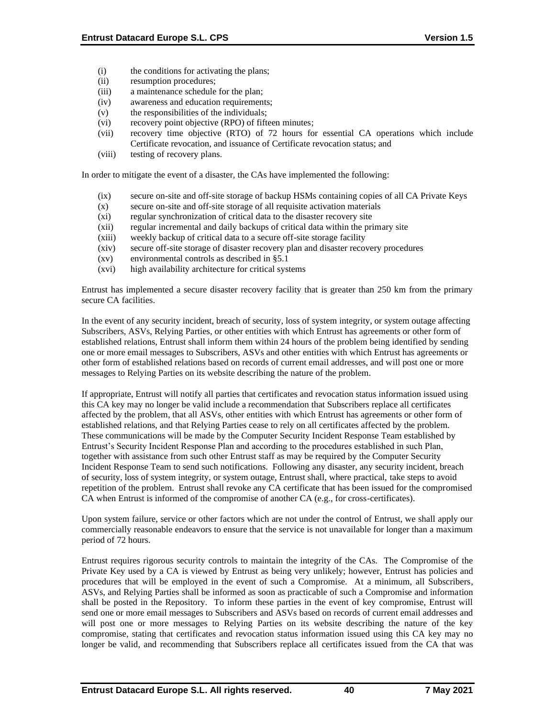- (i) the conditions for activating the plans;
- (ii) resumption procedures;
- (iii) a maintenance schedule for the plan;
- (iv) awareness and education requirements;
- (v) the responsibilities of the individuals;
- (vi) recovery point objective (RPO) of fifteen minutes;
- (vii) recovery time objective (RTO) of 72 hours for essential CA operations which include Certificate revocation, and issuance of Certificate revocation status; and
- (viii) testing of recovery plans.

In order to mitigate the event of a disaster, the CAs have implemented the following:

- (ix) secure on-site and off-site storage of backup HSMs containing copies of all CA Private Keys
- (x) secure on-site and off-site storage of all requisite activation materials
- (xi) regular synchronization of critical data to the disaster recovery site
- (xii) regular incremental and daily backups of critical data within the primary site
- (xiii) weekly backup of critical data to a secure off-site storage facility
- (xiv) secure off-site storage of disaster recovery plan and disaster recovery procedures
- (xv) environmental controls as described in §5.1
- (xvi) high availability architecture for critical systems

Entrust has implemented a secure disaster recovery facility that is greater than 250 km from the primary secure CA facilities.

In the event of any security incident, breach of security, loss of system integrity, or system outage affecting Subscribers, ASVs, Relying Parties, or other entities with which Entrust has agreements or other form of established relations, Entrust shall inform them within 24 hours of the problem being identified by sending one or more email messages to Subscribers, ASVs and other entities with which Entrust has agreements or other form of established relations based on records of current email addresses, and will post one or more messages to Relying Parties on its website describing the nature of the problem.

If appropriate, Entrust will notify all parties that certificates and revocation status information issued using this CA key may no longer be valid include a recommendation that Subscribers replace all certificates affected by the problem, that all ASVs, other entities with which Entrust has agreements or other form of established relations, and that Relying Parties cease to rely on all certificates affected by the problem. These communications will be made by the Computer Security Incident Response Team established by Entrust's Security Incident Response Plan and according to the procedures established in such Plan, together with assistance from such other Entrust staff as may be required by the Computer Security Incident Response Team to send such notifications. Following any disaster, any security incident, breach of security, loss of system integrity, or system outage, Entrust shall, where practical, take steps to avoid repetition of the problem. Entrust shall revoke any CA certificate that has been issued for the compromised CA when Entrust is informed of the compromise of another CA (e.g., for cross-certificates).

Upon system failure, service or other factors which are not under the control of Entrust, we shall apply our commercially reasonable endeavors to ensure that the service is not unavailable for longer than a maximum period of 72 hours.

Entrust requires rigorous security controls to maintain the integrity of the CAs. The Compromise of the Private Key used by a CA is viewed by Entrust as being very unlikely; however, Entrust has policies and procedures that will be employed in the event of such a Compromise. At a minimum, all Subscribers, ASVs, and Relying Parties shall be informed as soon as practicable of such a Compromise and information shall be posted in the Repository. To inform these parties in the event of key compromise, Entrust will send one or more email messages to Subscribers and ASVs based on records of current email addresses and will post one or more messages to Relying Parties on its website describing the nature of the key compromise, stating that certificates and revocation status information issued using this CA key may no longer be valid, and recommending that Subscribers replace all certificates issued from the CA that was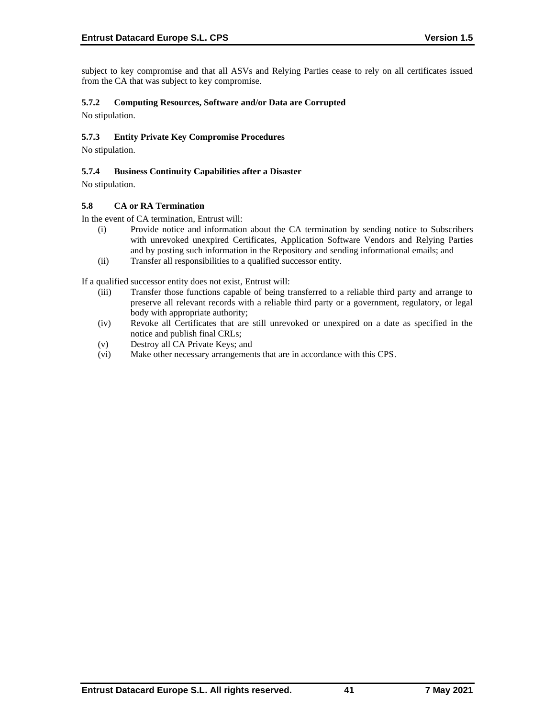subject to key compromise and that all ASVs and Relying Parties cease to rely on all certificates issued from the CA that was subject to key compromise.

# **5.7.2 Computing Resources, Software and/or Data are Corrupted**

No stipulation.

# **5.7.3 Entity Private Key Compromise Procedures**

No stipulation.

# **5.7.4 Business Continuity Capabilities after a Disaster**

No stipulation.

## **5.8 CA or RA Termination**

In the event of CA termination, Entrust will:

- (i) Provide notice and information about the CA termination by sending notice to Subscribers with unrevoked unexpired Certificates, Application Software Vendors and Relying Parties and by posting such information in the Repository and sending informational emails; and
- (ii) Transfer all responsibilities to a qualified successor entity.

If a qualified successor entity does not exist, Entrust will:

- (iii) Transfer those functions capable of being transferred to a reliable third party and arrange to preserve all relevant records with a reliable third party or a government, regulatory, or legal body with appropriate authority;
- (iv) Revoke all Certificates that are still unrevoked or unexpired on a date as specified in the notice and publish final CRLs;
- (v) Destroy all CA Private Keys; and
- (vi) Make other necessary arrangements that are in accordance with this CPS.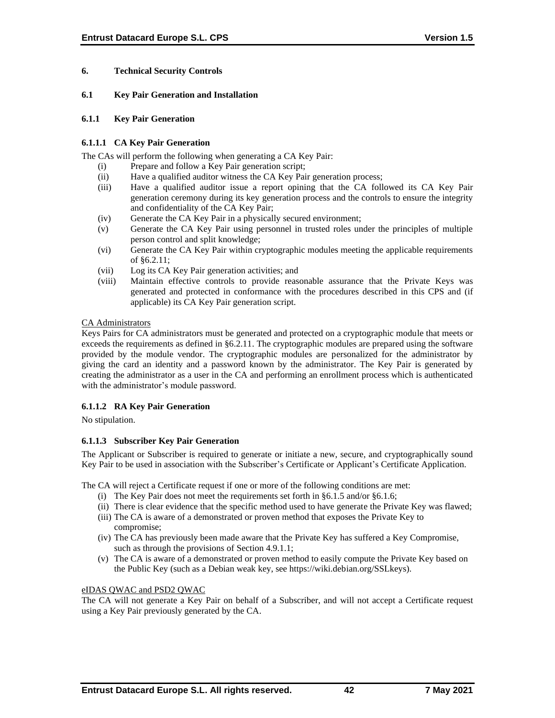# **6. Technical Security Controls**

### **6.1 Key Pair Generation and Installation**

### **6.1.1 Key Pair Generation**

# **6.1.1.1 CA Key Pair Generation**

The CAs will perform the following when generating a CA Key Pair:

- (i) Prepare and follow a Key Pair generation script;
- (ii) Have a qualified auditor witness the CA Key Pair generation process;
- (iii) Have a qualified auditor issue a report opining that the CA followed its CA Key Pair generation ceremony during its key generation process and the controls to ensure the integrity and confidentiality of the CA Key Pair;
- (iv) Generate the CA Key Pair in a physically secured environment;
- (v) Generate the CA Key Pair using personnel in trusted roles under the principles of multiple person control and split knowledge;
- (vi) Generate the CA Key Pair within cryptographic modules meeting the applicable requirements of §6.2.11;
- (vii) Log its CA Key Pair generation activities; and
- (viii) Maintain effective controls to provide reasonable assurance that the Private Keys was generated and protected in conformance with the procedures described in this CPS and (if applicable) its CA Key Pair generation script.

## CA Administrators

Keys Pairs for CA administrators must be generated and protected on a cryptographic module that meets or exceeds the requirements as defined in §6.2.11. The cryptographic modules are prepared using the software provided by the module vendor. The cryptographic modules are personalized for the administrator by giving the card an identity and a password known by the administrator. The Key Pair is generated by creating the administrator as a user in the CA and performing an enrollment process which is authenticated with the administrator's module password.

# **6.1.1.2 RA Key Pair Generation**

No stipulation.

# **6.1.1.3 Subscriber Key Pair Generation**

The Applicant or Subscriber is required to generate or initiate a new, secure, and cryptographically sound Key Pair to be used in association with the Subscriber's Certificate or Applicant's Certificate Application.

The CA will reject a Certificate request if one or more of the following conditions are met:

- (i) The Key Pair does not meet the requirements set forth in §6.1.5 and/or §6.1.6;
- (ii) There is clear evidence that the specific method used to have generate the Private Key was flawed;
- (iii) The CA is aware of a demonstrated or proven method that exposes the Private Key to compromise;
- (iv) The CA has previously been made aware that the Private Key has suffered a Key Compromise, such as through the provisions of Section 4.9.1.1;
- (v) The CA is aware of a demonstrated or proven method to easily compute the Private Key based on the Public Key (such as a Debian weak key, see https://wiki.debian.org/SSLkeys).

#### eIDAS QWAC and PSD2 QWAC

The CA will not generate a Key Pair on behalf of a Subscriber, and will not accept a Certificate request using a Key Pair previously generated by the CA.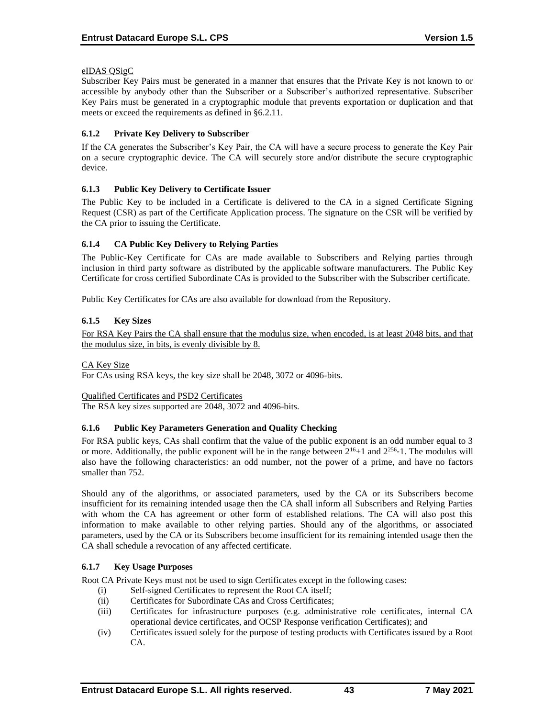# eIDAS QSigC

Subscriber Key Pairs must be generated in a manner that ensures that the Private Key is not known to or accessible by anybody other than the Subscriber or a Subscriber's authorized representative. Subscriber Key Pairs must be generated in a cryptographic module that prevents exportation or duplication and that meets or exceed the requirements as defined in §6.2.11.

# **6.1.2 Private Key Delivery to Subscriber**

If the CA generates the Subscriber's Key Pair, the CA will have a secure process to generate the Key Pair on a secure cryptographic device. The CA will securely store and/or distribute the secure cryptographic device.

## **6.1.3 Public Key Delivery to Certificate Issuer**

The Public Key to be included in a Certificate is delivered to the CA in a signed Certificate Signing Request (CSR) as part of the Certificate Application process. The signature on the CSR will be verified by the CA prior to issuing the Certificate.

# **6.1.4 CA Public Key Delivery to Relying Parties**

The Public-Key Certificate for CAs are made available to Subscribers and Relying parties through inclusion in third party software as distributed by the applicable software manufacturers. The Public Key Certificate for cross certified Subordinate CAs is provided to the Subscriber with the Subscriber certificate.

Public Key Certificates for CAs are also available for download from the Repository.

## **6.1.5 Key Sizes**

For RSA Key Pairs the CA shall ensure that the modulus size, when encoded, is at least 2048 bits, and that the modulus size, in bits, is evenly divisible by 8.

#### CA Key Size

For CAs using RSA keys, the key size shall be 2048, 3072 or 4096-bits.

#### Qualified Certificates and PSD2 Certificates

The RSA key sizes supported are 2048, 3072 and 4096-bits.

#### **6.1.6 Public Key Parameters Generation and Quality Checking**

For RSA public keys, CAs shall confirm that the value of the public exponent is an odd number equal to 3 or more. Additionally, the public exponent will be in the range between  $2^{16}+1$  and  $2^{256}$ -1. The modulus will also have the following characteristics: an odd number, not the power of a prime, and have no factors smaller than 752.

Should any of the algorithms, or associated parameters, used by the CA or its Subscribers become insufficient for its remaining intended usage then the CA shall inform all Subscribers and Relying Parties with whom the CA has agreement or other form of established relations. The CA will also post this information to make available to other relying parties. Should any of the algorithms, or associated parameters, used by the CA or its Subscribers become insufficient for its remaining intended usage then the CA shall schedule a revocation of any affected certificate.

#### **6.1.7 Key Usage Purposes**

Root CA Private Keys must not be used to sign Certificates except in the following cases:

- (i) Self-signed Certificates to represent the Root CA itself;
- (ii) Certificates for Subordinate CAs and Cross Certificates;
- (iii) Certificates for infrastructure purposes (e.g. administrative role certificates, internal CA operational device certificates, and OCSP Response verification Certificates); and
- (iv) Certificates issued solely for the purpose of testing products with Certificates issued by a Root CA.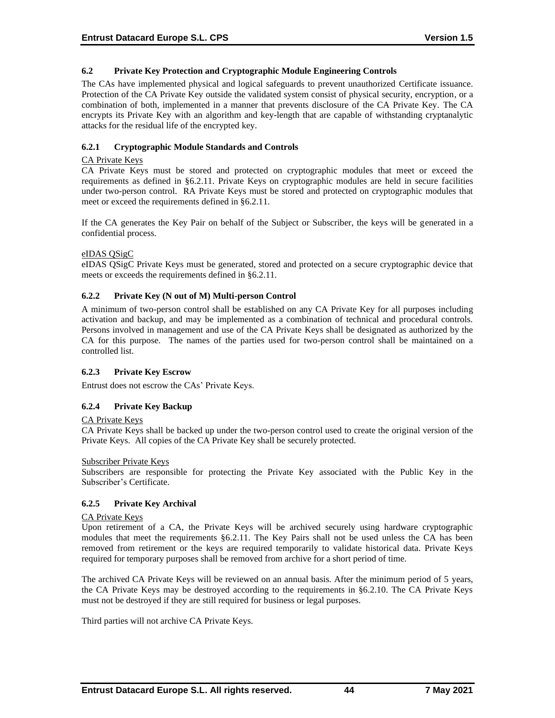# **6.2 Private Key Protection and Cryptographic Module Engineering Controls**

The CAs have implemented physical and logical safeguards to prevent unauthorized Certificate issuance. Protection of the CA Private Key outside the validated system consist of physical security, encryption, or a combination of both, implemented in a manner that prevents disclosure of the CA Private Key. The CA encrypts its Private Key with an algorithm and key-length that are capable of withstanding cryptanalytic attacks for the residual life of the encrypted key.

# **6.2.1 Cryptographic Module Standards and Controls**

### CA Private Keys

CA Private Keys must be stored and protected on cryptographic modules that meet or exceed the requirements as defined in §6.2.11. Private Keys on cryptographic modules are held in secure facilities under two-person control. RA Private Keys must be stored and protected on cryptographic modules that meet or exceed the requirements defined in §6.2.11.

If the CA generates the Key Pair on behalf of the Subject or Subscriber, the keys will be generated in a confidential process.

## eIDAS QSigC

eIDAS QSigC Private Keys must be generated, stored and protected on a secure cryptographic device that meets or exceeds the requirements defined in §6.2.11.

## **6.2.2 Private Key (N out of M) Multi-person Control**

A minimum of two-person control shall be established on any CA Private Key for all purposes including activation and backup, and may be implemented as a combination of technical and procedural controls. Persons involved in management and use of the CA Private Keys shall be designated as authorized by the CA for this purpose. The names of the parties used for two-person control shall be maintained on a controlled list.

#### **6.2.3 Private Key Escrow**

Entrust does not escrow the CAs' Private Keys.

# **6.2.4 Private Key Backup**

#### CA Private Keys

CA Private Keys shall be backed up under the two-person control used to create the original version of the Private Keys. All copies of the CA Private Key shall be securely protected.

#### Subscriber Private Keys

Subscribers are responsible for protecting the Private Key associated with the Public Key in the Subscriber's Certificate.

# **6.2.5 Private Key Archival**

#### CA Private Keys

Upon retirement of a CA, the Private Keys will be archived securely using hardware cryptographic modules that meet the requirements §6.2.11. The Key Pairs shall not be used unless the CA has been removed from retirement or the keys are required temporarily to validate historical data. Private Keys required for temporary purposes shall be removed from archive for a short period of time.

The archived CA Private Keys will be reviewed on an annual basis. After the minimum period of 5 years, the CA Private Keys may be destroyed according to the requirements in §6.2.10. The CA Private Keys must not be destroyed if they are still required for business or legal purposes.

Third parties will not archive CA Private Keys.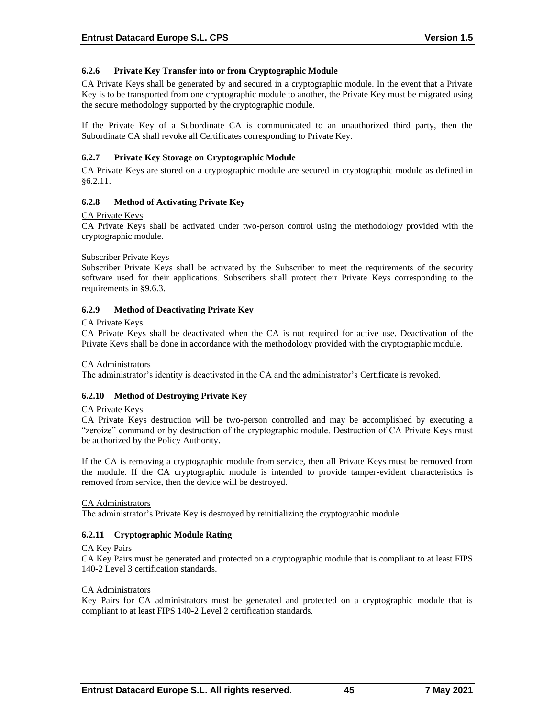# **6.2.6 Private Key Transfer into or from Cryptographic Module**

CA Private Keys shall be generated by and secured in a cryptographic module. In the event that a Private Key is to be transported from one cryptographic module to another, the Private Key must be migrated using the secure methodology supported by the cryptographic module.

If the Private Key of a Subordinate CA is communicated to an unauthorized third party, then the Subordinate CA shall revoke all Certificates corresponding to Private Key.

# **6.2.7 Private Key Storage on Cryptographic Module**

CA Private Keys are stored on a cryptographic module are secured in cryptographic module as defined in §6.2.11.

## **6.2.8 Method of Activating Private Key**

#### CA Private Keys

CA Private Keys shall be activated under two-person control using the methodology provided with the cryptographic module.

#### Subscriber Private Keys

Subscriber Private Keys shall be activated by the Subscriber to meet the requirements of the security software used for their applications. Subscribers shall protect their Private Keys corresponding to the requirements in §9.6.3.

## **6.2.9 Method of Deactivating Private Key**

#### CA Private Keys

CA Private Keys shall be deactivated when the CA is not required for active use. Deactivation of the Private Keys shall be done in accordance with the methodology provided with the cryptographic module.

#### CA Administrators

The administrator's identity is deactivated in the CA and the administrator's Certificate is revoked.

#### **6.2.10 Method of Destroying Private Key**

#### CA Private Keys

CA Private Keys destruction will be two-person controlled and may be accomplished by executing a "zeroize" command or by destruction of the cryptographic module. Destruction of CA Private Keys must be authorized by the Policy Authority.

If the CA is removing a cryptographic module from service, then all Private Keys must be removed from the module. If the CA cryptographic module is intended to provide tamper-evident characteristics is removed from service, then the device will be destroyed.

#### CA Administrators

The administrator's Private Key is destroyed by reinitializing the cryptographic module.

#### **6.2.11 Cryptographic Module Rating**

#### CA Key Pairs

CA Key Pairs must be generated and protected on a cryptographic module that is compliant to at least FIPS 140-2 Level 3 certification standards.

#### CA Administrators

Key Pairs for CA administrators must be generated and protected on a cryptographic module that is compliant to at least FIPS 140-2 Level 2 certification standards.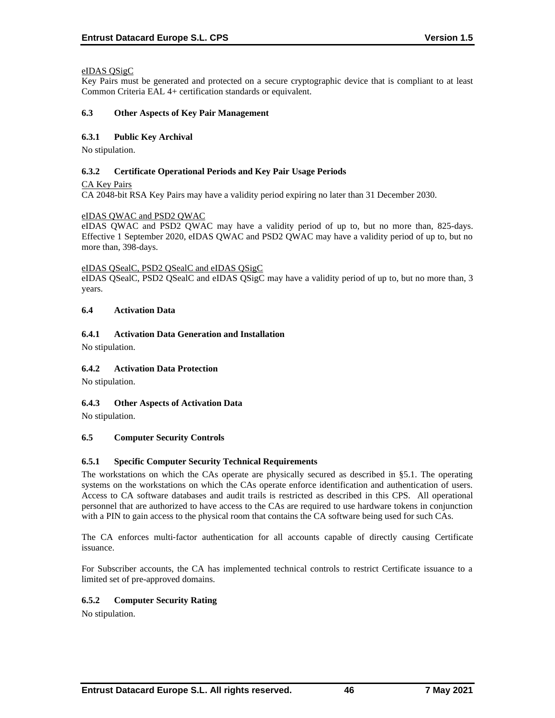# eIDAS QSigC

Key Pairs must be generated and protected on a secure cryptographic device that is compliant to at least Common Criteria EAL 4+ certification standards or equivalent.

### **6.3 Other Aspects of Key Pair Management**

# **6.3.1 Public Key Archival**

No stipulation.

## **6.3.2 Certificate Operational Periods and Key Pair Usage Periods**

CA Key Pairs

CA 2048-bit RSA Key Pairs may have a validity period expiring no later than 31 December 2030.

## eIDAS QWAC and PSD2 QWAC

eIDAS QWAC and PSD2 QWAC may have a validity period of up to, but no more than, 825-days. Effective 1 September 2020, eIDAS QWAC and PSD2 QWAC may have a validity period of up to, but no more than, 398-days.

#### eIDAS QSealC, PSD2 QSealC and eIDAS QSigC

eIDAS QSealC, PSD2 QSealC and eIDAS QSigC may have a validity period of up to, but no more than, 3 years.

## **6.4 Activation Data**

# **6.4.1 Activation Data Generation and Installation**

No stipulation.

# **6.4.2 Activation Data Protection**

No stipulation.

# **6.4.3 Other Aspects of Activation Data**

No stipulation.

# **6.5 Computer Security Controls**

# **6.5.1 Specific Computer Security Technical Requirements**

The workstations on which the CAs operate are physically secured as described in §5.1. The operating systems on the workstations on which the CAs operate enforce identification and authentication of users. Access to CA software databases and audit trails is restricted as described in this CPS. All operational personnel that are authorized to have access to the CAs are required to use hardware tokens in conjunction with a PIN to gain access to the physical room that contains the CA software being used for such CAs.

The CA enforces multi-factor authentication for all accounts capable of directly causing Certificate issuance.

For Subscriber accounts, the CA has implemented technical controls to restrict Certificate issuance to a limited set of pre-approved domains.

# **6.5.2 Computer Security Rating**

No stipulation.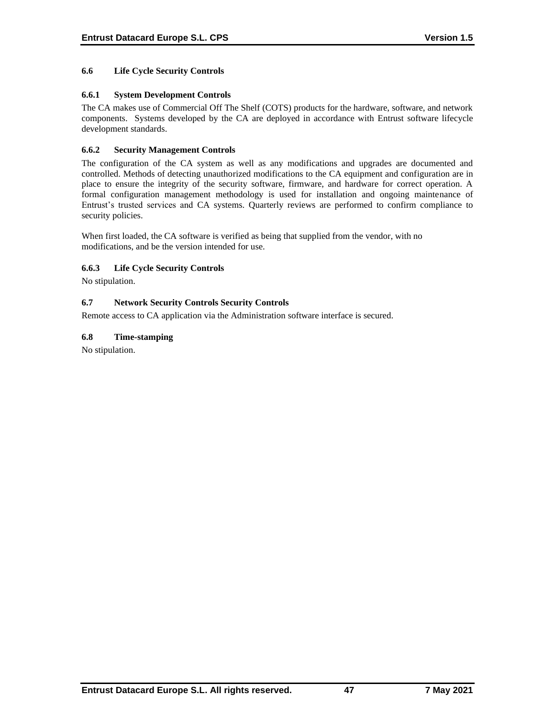# **6.6 Life Cycle Security Controls**

## **6.6.1 System Development Controls**

The CA makes use of Commercial Off The Shelf (COTS) products for the hardware, software, and network components. Systems developed by the CA are deployed in accordance with Entrust software lifecycle development standards.

# **6.6.2 Security Management Controls**

The configuration of the CA system as well as any modifications and upgrades are documented and controlled. Methods of detecting unauthorized modifications to the CA equipment and configuration are in place to ensure the integrity of the security software, firmware, and hardware for correct operation. A formal configuration management methodology is used for installation and ongoing maintenance of Entrust's trusted services and CA systems. Quarterly reviews are performed to confirm compliance to security policies.

When first loaded, the CA software is verified as being that supplied from the vendor, with no modifications, and be the version intended for use.

#### **6.6.3 Life Cycle Security Controls**

No stipulation.

## **6.7 Network Security Controls Security Controls**

Remote access to CA application via the Administration software interface is secured.

## **6.8 Time-stamping**

No stipulation.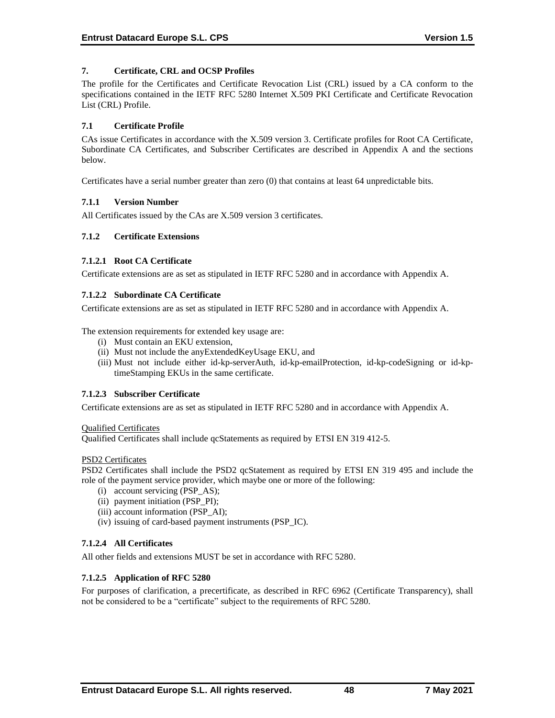# **7. Certificate, CRL and OCSP Profiles**

The profile for the Certificates and Certificate Revocation List (CRL) issued by a CA conform to the specifications contained in the IETF RFC 5280 Internet X.509 PKI Certificate and Certificate Revocation List (CRL) Profile.

## **7.1 Certificate Profile**

CAs issue Certificates in accordance with the X.509 version 3. Certificate profiles for Root CA Certificate, Subordinate CA Certificates, and Subscriber Certificates are described in Appendix A and the sections below.

Certificates have a serial number greater than zero (0) that contains at least 64 unpredictable bits.

## **7.1.1 Version Number**

All Certificates issued by the CAs are X.509 version 3 certificates.

## **7.1.2 Certificate Extensions**

## **7.1.2.1 Root CA Certificate**

Certificate extensions are as set as stipulated in IETF RFC 5280 and in accordance with Appendix A.

## **7.1.2.2 Subordinate CA Certificate**

Certificate extensions are as set as stipulated in IETF RFC 5280 and in accordance with Appendix A.

The extension requirements for extended key usage are:

- (i) Must contain an EKU extension,
- (ii) Must not include the anyExtendedKeyUsage EKU, and
- (iii) Must not include either id-kp-serverAuth, id-kp-emailProtection, id-kp-codeSigning or id-kptimeStamping EKUs in the same certificate.

# **7.1.2.3 Subscriber Certificate**

Certificate extensions are as set as stipulated in IETF RFC 5280 and in accordance with Appendix A.

#### Qualified Certificates

Qualified Certificates shall include qcStatements as required by ETSI EN 319 412-5.

#### PSD2 Certificates

PSD2 Certificates shall include the PSD2 qcStatement as required by ETSI EN 319 495 and include the role of the payment service provider, which maybe one or more of the following:

- (i) account servicing (PSP\_AS);
- (ii) payment initiation (PSP\_PI);
- (iii) account information (PSP\_AI);
- (iv) issuing of card-based payment instruments (PSP\_IC).

# **7.1.2.4 All Certificates**

All other fields and extensions MUST be set in accordance with RFC 5280.

#### **7.1.2.5 Application of RFC 5280**

For purposes of clarification, a precertificate, as described in RFC 6962 (Certificate Transparency), shall not be considered to be a "certificate" subject to the requirements of RFC 5280.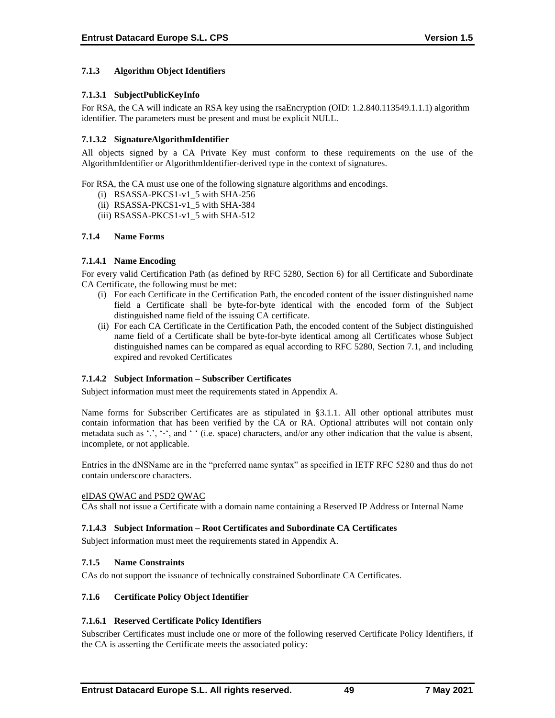# **7.1.3 Algorithm Object Identifiers**

# **7.1.3.1 SubjectPublicKeyInfo**

For RSA, the CA will indicate an RSA key using the rsaEncryption (OID: 1.2.840.113549.1.1.1) algorithm identifier. The parameters must be present and must be explicit NULL.

# **7.1.3.2 SignatureAlgorithmIdentifier**

All objects signed by a CA Private Key must conform to these requirements on the use of the AlgorithmIdentifier or AlgorithmIdentifier-derived type in the context of signatures.

For RSA, the CA must use one of the following signature algorithms and encodings.

- (i) RSASSA-PKCS1-v1\_5 with SHA-256
- (ii) RSASSA-PKCS1-v1\_5 with SHA-384
- (iii) RSASSA-PKCS1-v1\_5 with SHA-512

## **7.1.4 Name Forms**

## **7.1.4.1 Name Encoding**

For every valid Certification Path (as defined by RFC 5280, Section 6) for all Certificate and Subordinate CA Certificate, the following must be met:

- (i) For each Certificate in the Certification Path, the encoded content of the issuer distinguished name field a Certificate shall be byte-for-byte identical with the encoded form of the Subject distinguished name field of the issuing CA certificate.
- (ii) For each CA Certificate in the Certification Path, the encoded content of the Subject distinguished name field of a Certificate shall be byte-for-byte identical among all Certificates whose Subject distinguished names can be compared as equal according to RFC 5280, Section 7.1, and including expired and revoked Certificates

# **7.1.4.2 Subject Information – Subscriber Certificates**

Subject information must meet the requirements stated in Appendix A.

Name forms for Subscriber Certificates are as stipulated in §3.1.1. All other optional attributes must contain information that has been verified by the CA or RA. Optional attributes will not contain only metadata such as '.', '-', and ' ' (i.e. space) characters, and/or any other indication that the value is absent, incomplete, or not applicable.

Entries in the dNSName are in the "preferred name syntax" as specified in IETF RFC 5280 and thus do not contain underscore characters.

#### eIDAS QWAC and PSD2 QWAC

CAs shall not issue a Certificate with a domain name containing a Reserved IP Address or Internal Name

#### **7.1.4.3 Subject Information – Root Certificates and Subordinate CA Certificates**

Subject information must meet the requirements stated in Appendix A.

#### **7.1.5 Name Constraints**

CAs do not support the issuance of technically constrained Subordinate CA Certificates.

#### **7.1.6 Certificate Policy Object Identifier**

# **7.1.6.1 Reserved Certificate Policy Identifiers**

Subscriber Certificates must include one or more of the following reserved Certificate Policy Identifiers, if the CA is asserting the Certificate meets the associated policy: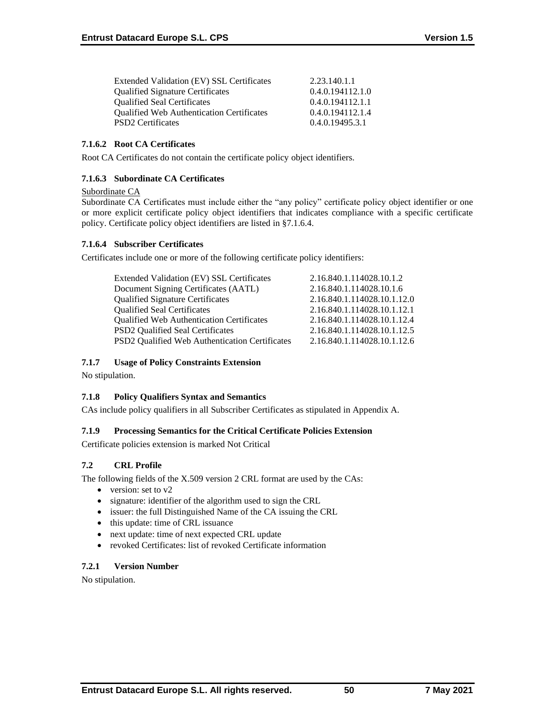| Extended Validation (EV) SSL Certificates        | 2.23.140.1.1     |
|--------------------------------------------------|------------------|
| <b>Qualified Signature Certificates</b>          | 0.4.0.194112.1.0 |
| <b>Qualified Seal Certificates</b>               | 0.4.0.194112.1.1 |
| <b>Qualified Web Authentication Certificates</b> | 0.4.0.194112.1.4 |
| <b>PSD2</b> Certificates                         | 0.4.0.19495.3.1  |

# **7.1.6.2 Root CA Certificates**

Root CA Certificates do not contain the certificate policy object identifiers.

## **7.1.6.3 Subordinate CA Certificates**

## Subordinate CA

Subordinate CA Certificates must include either the "any policy" certificate policy object identifier or one or more explicit certificate policy object identifiers that indicates compliance with a specific certificate policy. Certificate policy object identifiers are listed in §7.1.6.4.

# **7.1.6.4 Subscriber Certificates**

Certificates include one or more of the following certificate policy identifiers:

| Extended Validation (EV) SSL Certificates      | 2.16.840.1.114028.10.1.2    |
|------------------------------------------------|-----------------------------|
| Document Signing Certificates (AATL)           | 2.16.840.1.114028.10.1.6    |
| <b>Qualified Signature Certificates</b>        | 2.16.840.1.114028.10.1.12.0 |
| <b>Qualified Seal Certificates</b>             | 2.16.840.1.114028.10.1.12.1 |
| Qualified Web Authentication Certificates      | 2.16.840.1.114028.10.1.12.4 |
| <b>PSD2</b> Qualified Seal Certificates        | 2.16.840.1.114028.10.1.12.5 |
| PSD2 Qualified Web Authentication Certificates | 2.16.840.1.114028.10.1.12.6 |
|                                                |                             |

# **7.1.7 Usage of Policy Constraints Extension**

No stipulation.

# **7.1.8 Policy Qualifiers Syntax and Semantics**

CAs include policy qualifiers in all Subscriber Certificates as stipulated in Appendix A.

#### **7.1.9 Processing Semantics for the Critical Certificate Policies Extension**

Certificate policies extension is marked Not Critical

# **7.2 CRL Profile**

The following fields of the X.509 version 2 CRL format are used by the CAs:

- version: set to v2
- signature: identifier of the algorithm used to sign the CRL
- issuer: the full Distinguished Name of the CA issuing the CRL
- this update: time of CRL issuance
- next update: time of next expected CRL update
- revoked Certificates: list of revoked Certificate information

#### **7.2.1 Version Number**

No stipulation.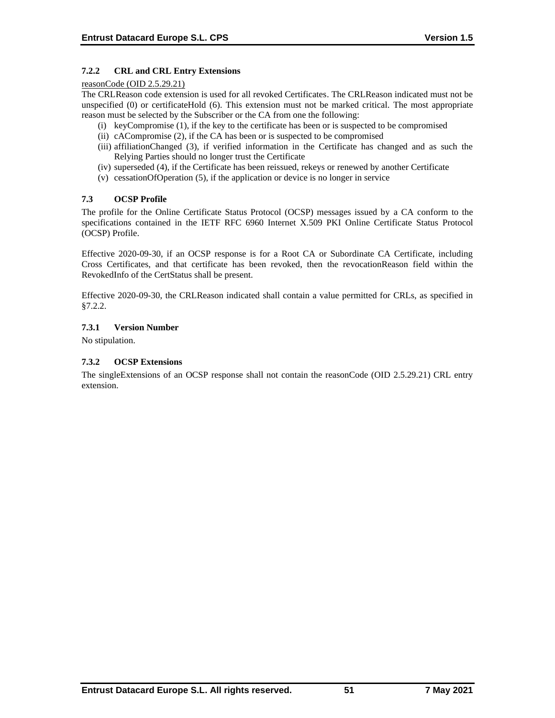# **7.2.2 CRL and CRL Entry Extensions**

#### reasonCode (OID 2.5.29.21)

The CRLReason code extension is used for all revoked Certificates. The CRLReason indicated must not be unspecified (0) or certificateHold (6). This extension must not be marked critical. The most appropriate reason must be selected by the Subscriber or the CA from one the following:

- (i) keyCompromise (1), if the key to the certificate has been or is suspected to be compromised
- (ii) cACompromise (2), if the CA has been or is suspected to be compromised
- (iii) affiliationChanged (3), if verified information in the Certificate has changed and as such the Relying Parties should no longer trust the Certificate
- (iv) superseded (4), if the Certificate has been reissued, rekeys or renewed by another Certificate
- (v) cessationOfOperation (5), if the application or device is no longer in service

## **7.3 OCSP Profile**

The profile for the Online Certificate Status Protocol (OCSP) messages issued by a CA conform to the specifications contained in the IETF RFC 6960 Internet X.509 PKI Online Certificate Status Protocol (OCSP) Profile.

Effective 2020-09-30, if an OCSP response is for a Root CA or Subordinate CA Certificate, including Cross Certificates, and that certificate has been revoked, then the revocationReason field within the RevokedInfo of the CertStatus shall be present.

Effective 2020-09-30, the CRLReason indicated shall contain a value permitted for CRLs, as specified in §7.2.2.

## **7.3.1 Version Number**

No stipulation.

# **7.3.2 OCSP Extensions**

The singleExtensions of an OCSP response shall not contain the reasonCode (OID 2.5.29.21) CRL entry extension.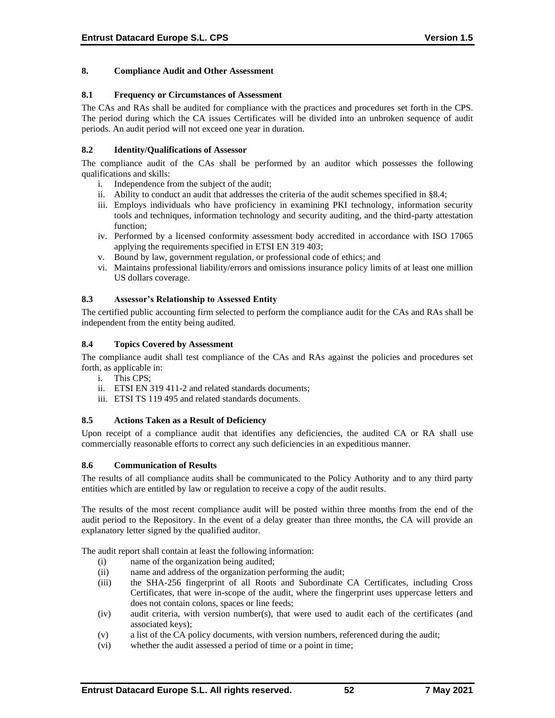## **8. Compliance Audit and Other Assessment**

### **8.1 Frequency or Circumstances of Assessment**

The CAs and RAs shall be audited for compliance with the practices and procedures set forth in the CPS. The period during which the CA issues Certificates will be divided into an unbroken sequence of audit periods. An audit period will not exceed one year in duration.

# **8.2 Identity/Qualifications of Assessor**

The compliance audit of the CAs shall be performed by an auditor which possesses the following qualifications and skills:

- i. Independence from the subject of the audit;
- ii. Ability to conduct an audit that addresses the criteria of the audit schemes specified in §8.4;
- iii. Employs individuals who have proficiency in examining PKI technology, information security tools and techniques, information technology and security auditing, and the third-party attestation function;
- iv. Performed by a licensed conformity assessment body accredited in accordance with ISO 17065 applying the requirements specified in ETSI EN 319 403;
- v. Bound by law, government regulation, or professional code of ethics; and
- vi. Maintains professional liability/errors and omissions insurance policy limits of at least one million US dollars coverage.

## **8.3 Assessor's Relationship to Assessed Entity**

The certified public accounting firm selected to perform the compliance audit for the CAs and RAs shall be independent from the entity being audited.

#### **8.4 Topics Covered by Assessment**

The compliance audit shall test compliance of the CAs and RAs against the policies and procedures set forth, as applicable in:

- i. This CPS;
- ii. ETSI EN 319 411-2 and related standards documents;
- iii. ETSI TS 119 495 and related standards documents.

## **8.5 Actions Taken as a Result of Deficiency**

Upon receipt of a compliance audit that identifies any deficiencies, the audited CA or RA shall use commercially reasonable efforts to correct any such deficiencies in an expeditious manner.

#### **8.6 Communication of Results**

The results of all compliance audits shall be communicated to the Policy Authority and to any third party entities which are entitled by law or regulation to receive a copy of the audit results.

The results of the most recent compliance audit will be posted within three months from the end of the audit period to the Repository. In the event of a delay greater than three months, the CA will provide an explanatory letter signed by the qualified auditor.

The audit report shall contain at least the following information:

- (i) name of the organization being audited;
- (ii) name and address of the organization performing the audit;
- (iii) the SHA-256 fingerprint of all Roots and Subordinate CA Certificates, including Cross Certificates, that were in-scope of the audit, where the fingerprint uses uppercase letters and does not contain colons, spaces or line feeds;
- (iv) audit criteria, with version number(s), that were used to audit each of the certificates (and associated keys);
- (v) a list of the CA policy documents, with version numbers, referenced during the audit;
- (vi) whether the audit assessed a period of time or a point in time;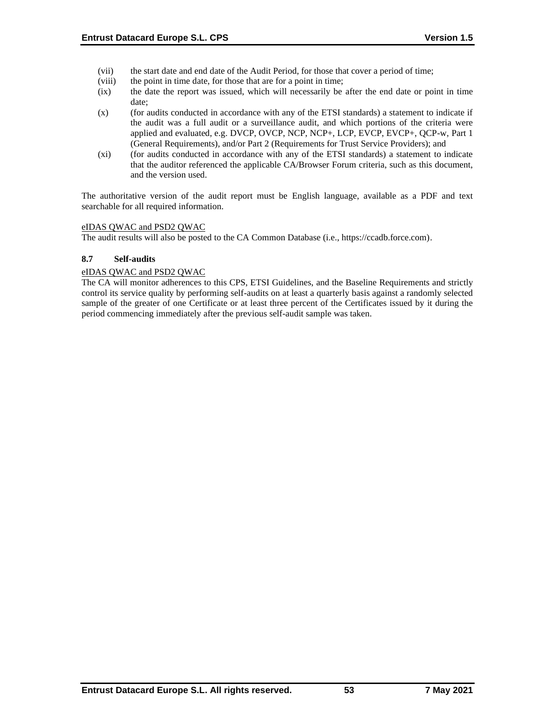- (vii) the start date and end date of the Audit Period, for those that cover a period of time;
- (viii) the point in time date, for those that are for a point in time;
- (ix) the date the report was issued, which will necessarily be after the end date or point in time date;
- (x) (for audits conducted in accordance with any of the ETSI standards) a statement to indicate if the audit was a full audit or a surveillance audit, and which portions of the criteria were applied and evaluated, e.g. DVCP, OVCP, NCP, NCP+, LCP, EVCP, EVCP+, QCP-w, Part 1 (General Requirements), and/or Part 2 (Requirements for Trust Service Providers); and
- (xi) (for audits conducted in accordance with any of the ETSI standards) a statement to indicate that the auditor referenced the applicable CA/Browser Forum criteria, such as this document, and the version used.

The authoritative version of the audit report must be English language, available as a PDF and text searchable for all required information.

## eIDAS QWAC and PSD2 QWAC

The audit results will also be posted to the CA Common Database (i.e., https://ccadb.force.com).

## **8.7 Self-audits**

## eIDAS QWAC and PSD2 QWAC

The CA will monitor adherences to this CPS, ETSI Guidelines, and the Baseline Requirements and strictly control its service quality by performing self-audits on at least a quarterly basis against a randomly selected sample of the greater of one Certificate or at least three percent of the Certificates issued by it during the period commencing immediately after the previous self-audit sample was taken.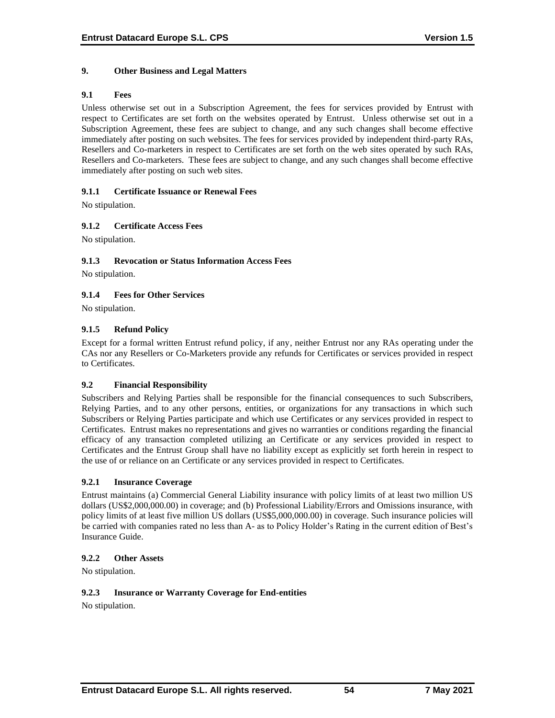# **9. Other Business and Legal Matters**

# **9.1 Fees**

Unless otherwise set out in a Subscription Agreement, the fees for services provided by Entrust with respect to Certificates are set forth on the websites operated by Entrust. Unless otherwise set out in a Subscription Agreement, these fees are subject to change, and any such changes shall become effective immediately after posting on such websites. The fees for services provided by independent third-party RAs, Resellers and Co-marketers in respect to Certificates are set forth on the web sites operated by such RAs, Resellers and Co-marketers. These fees are subject to change, and any such changes shall become effective immediately after posting on such web sites.

## **9.1.1 Certificate Issuance or Renewal Fees**

No stipulation.

# **9.1.2 Certificate Access Fees**

No stipulation.

## **9.1.3 Revocation or Status Information Access Fees**

No stipulation.

# **9.1.4 Fees for Other Services**

No stipulation.

## **9.1.5 Refund Policy**

Except for a formal written Entrust refund policy, if any, neither Entrust nor any RAs operating under the CAs nor any Resellers or Co-Marketers provide any refunds for Certificates or services provided in respect to Certificates.

#### **9.2 Financial Responsibility**

Subscribers and Relying Parties shall be responsible for the financial consequences to such Subscribers, Relying Parties, and to any other persons, entities, or organizations for any transactions in which such Subscribers or Relying Parties participate and which use Certificates or any services provided in respect to Certificates. Entrust makes no representations and gives no warranties or conditions regarding the financial efficacy of any transaction completed utilizing an Certificate or any services provided in respect to Certificates and the Entrust Group shall have no liability except as explicitly set forth herein in respect to the use of or reliance on an Certificate or any services provided in respect to Certificates.

#### **9.2.1 Insurance Coverage**

Entrust maintains (a) Commercial General Liability insurance with policy limits of at least two million US dollars (US\$2,000,000.00) in coverage; and (b) Professional Liability/Errors and Omissions insurance, with policy limits of at least five million US dollars (US\$5,000,000.00) in coverage. Such insurance policies will be carried with companies rated no less than A- as to Policy Holder's Rating in the current edition of Best's Insurance Guide.

#### **9.2.2 Other Assets**

No stipulation.

### **9.2.3 Insurance or Warranty Coverage for End-entities**

No stipulation.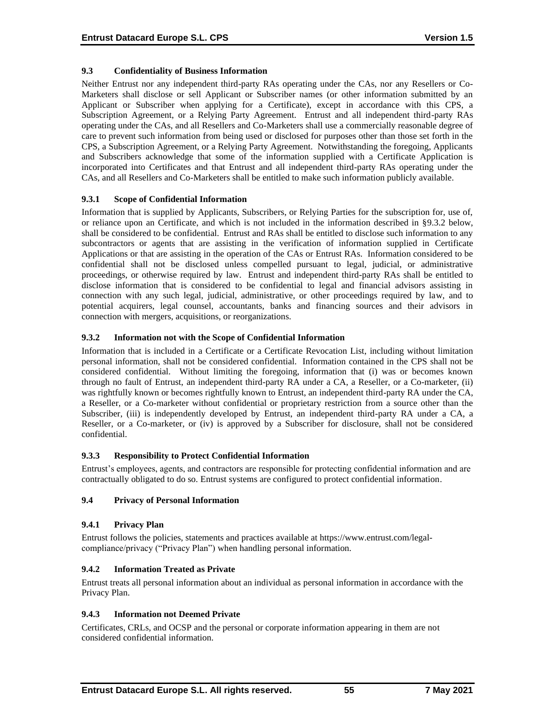# **9.3 Confidentiality of Business Information**

Neither Entrust nor any independent third-party RAs operating under the CAs, nor any Resellers or Co-Marketers shall disclose or sell Applicant or Subscriber names (or other information submitted by an Applicant or Subscriber when applying for a Certificate), except in accordance with this CPS, a Subscription Agreement, or a Relying Party Agreement. Entrust and all independent third-party RAs operating under the CAs, and all Resellers and Co-Marketers shall use a commercially reasonable degree of care to prevent such information from being used or disclosed for purposes other than those set forth in the CPS, a Subscription Agreement, or a Relying Party Agreement. Notwithstanding the foregoing, Applicants and Subscribers acknowledge that some of the information supplied with a Certificate Application is incorporated into Certificates and that Entrust and all independent third-party RAs operating under the CAs, and all Resellers and Co-Marketers shall be entitled to make such information publicly available.

## **9.3.1 Scope of Confidential Information**

Information that is supplied by Applicants, Subscribers, or Relying Parties for the subscription for, use of, or reliance upon an Certificate, and which is not included in the information described in §9.3.2 below, shall be considered to be confidential. Entrust and RAs shall be entitled to disclose such information to any subcontractors or agents that are assisting in the verification of information supplied in Certificate Applications or that are assisting in the operation of the CAs or Entrust RAs. Information considered to be confidential shall not be disclosed unless compelled pursuant to legal, judicial, or administrative proceedings, or otherwise required by law. Entrust and independent third-party RAs shall be entitled to disclose information that is considered to be confidential to legal and financial advisors assisting in connection with any such legal, judicial, administrative, or other proceedings required by law, and to potential acquirers, legal counsel, accountants, banks and financing sources and their advisors in connection with mergers, acquisitions, or reorganizations.

## **9.3.2 Information not with the Scope of Confidential Information**

Information that is included in a Certificate or a Certificate Revocation List, including without limitation personal information, shall not be considered confidential. Information contained in the CPS shall not be considered confidential. Without limiting the foregoing, information that (i) was or becomes known through no fault of Entrust, an independent third-party RA under a CA, a Reseller, or a Co-marketer, (ii) was rightfully known or becomes rightfully known to Entrust, an independent third-party RA under the CA, a Reseller, or a Co-marketer without confidential or proprietary restriction from a source other than the Subscriber, (iii) is independently developed by Entrust, an independent third-party RA under a CA, a Reseller, or a Co-marketer, or (iv) is approved by a Subscriber for disclosure, shall not be considered confidential.

# **9.3.3 Responsibility to Protect Confidential Information**

Entrust's employees, agents, and contractors are responsible for protecting confidential information and are contractually obligated to do so. Entrust systems are configured to protect confidential information.

# **9.4 Privacy of Personal Information**

# **9.4.1 Privacy Plan**

Entrust follows the policies, statements and practices available at https://www.entrust.com/legalcompliance/privacy ("Privacy Plan") when handling personal information.

# **9.4.2 Information Treated as Private**

Entrust treats all personal information about an individual as personal information in accordance with the Privacy Plan.

#### **9.4.3 Information not Deemed Private**

Certificates, CRLs, and OCSP and the personal or corporate information appearing in them are not considered confidential information.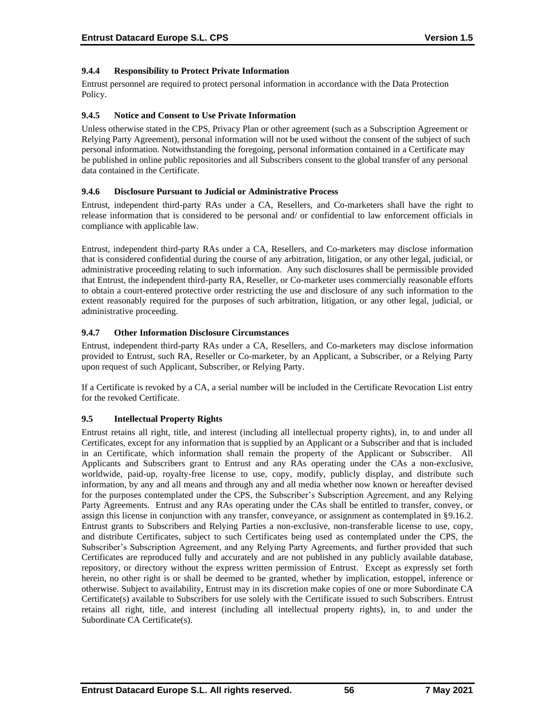# **9.4.4 Responsibility to Protect Private Information**

Entrust personnel are required to protect personal information in accordance with the Data Protection Policy.

#### **9.4.5 Notice and Consent to Use Private Information**

Unless otherwise stated in the CPS, Privacy Plan or other agreement (such as a Subscription Agreement or Relying Party Agreement), personal information will not be used without the consent of the subject of such personal information. Notwithstanding the foregoing, personal information contained in a Certificate may be published in online public repositories and all Subscribers consent to the global transfer of any personal data contained in the Certificate.

#### **9.4.6 Disclosure Pursuant to Judicial or Administrative Process**

Entrust, independent third-party RAs under a CA, Resellers, and Co-marketers shall have the right to release information that is considered to be personal and/ or confidential to law enforcement officials in compliance with applicable law.

Entrust, independent third-party RAs under a CA, Resellers, and Co-marketers may disclose information that is considered confidential during the course of any arbitration, litigation, or any other legal, judicial, or administrative proceeding relating to such information. Any such disclosures shall be permissible provided that Entrust, the independent third-party RA, Reseller, or Co-marketer uses commercially reasonable efforts to obtain a court-entered protective order restricting the use and disclosure of any such information to the extent reasonably required for the purposes of such arbitration, litigation, or any other legal, judicial, or administrative proceeding.

## **9.4.7 Other Information Disclosure Circumstances**

Entrust, independent third-party RAs under a CA, Resellers, and Co-marketers may disclose information provided to Entrust, such RA, Reseller or Co-marketer, by an Applicant, a Subscriber, or a Relying Party upon request of such Applicant, Subscriber, or Relying Party.

If a Certificate is revoked by a CA, a serial number will be included in the Certificate Revocation List entry for the revoked Certificate.

# **9.5 Intellectual Property Rights**

Entrust retains all right, title, and interest (including all intellectual property rights), in, to and under all Certificates, except for any information that is supplied by an Applicant or a Subscriber and that is included in an Certificate, which information shall remain the property of the Applicant or Subscriber. All Applicants and Subscribers grant to Entrust and any RAs operating under the CAs a non-exclusive, worldwide, paid-up, royalty-free license to use, copy, modify, publicly display, and distribute such information, by any and all means and through any and all media whether now known or hereafter devised for the purposes contemplated under the CPS, the Subscriber's Subscription Agreement, and any Relying Party Agreements. Entrust and any RAs operating under the CAs shall be entitled to transfer, convey, or assign this license in conjunction with any transfer, conveyance, or assignment as contemplated in §9.16.2. Entrust grants to Subscribers and Relying Parties a non-exclusive, non-transferable license to use, copy, and distribute Certificates, subject to such Certificates being used as contemplated under the CPS, the Subscriber's Subscription Agreement, and any Relying Party Agreements, and further provided that such Certificates are reproduced fully and accurately and are not published in any publicly available database, repository, or directory without the express written permission of Entrust. Except as expressly set forth herein, no other right is or shall be deemed to be granted, whether by implication, estoppel, inference or otherwise. Subject to availability, Entrust may in its discretion make copies of one or more Subordinate CA Certificate(s) available to Subscribers for use solely with the Certificate issued to such Subscribers. Entrust retains all right, title, and interest (including all intellectual property rights), in, to and under the Subordinate CA Certificate(s).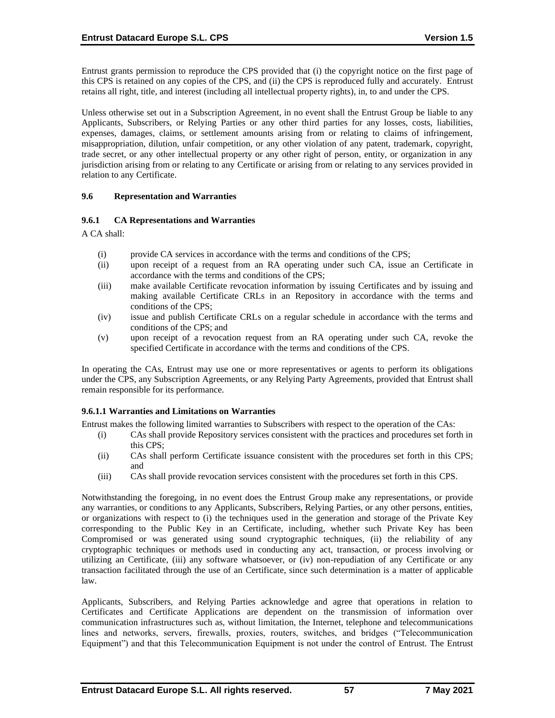Entrust grants permission to reproduce the CPS provided that (i) the copyright notice on the first page of this CPS is retained on any copies of the CPS, and (ii) the CPS is reproduced fully and accurately. Entrust retains all right, title, and interest (including all intellectual property rights), in, to and under the CPS.

Unless otherwise set out in a Subscription Agreement, in no event shall the Entrust Group be liable to any Applicants, Subscribers, or Relying Parties or any other third parties for any losses, costs, liabilities, expenses, damages, claims, or settlement amounts arising from or relating to claims of infringement, misappropriation, dilution, unfair competition, or any other violation of any patent, trademark, copyright, trade secret, or any other intellectual property or any other right of person, entity, or organization in any jurisdiction arising from or relating to any Certificate or arising from or relating to any services provided in relation to any Certificate.

#### **9.6 Representation and Warranties**

## **9.6.1 CA Representations and Warranties**

A CA shall:

- (i) provide CA services in accordance with the terms and conditions of the CPS;
- (ii) upon receipt of a request from an RA operating under such CA, issue an Certificate in accordance with the terms and conditions of the CPS;
- (iii) make available Certificate revocation information by issuing Certificates and by issuing and making available Certificate CRLs in an Repository in accordance with the terms and conditions of the CPS;
- (iv) issue and publish Certificate CRLs on a regular schedule in accordance with the terms and conditions of the CPS; and
- (v) upon receipt of a revocation request from an RA operating under such CA, revoke the specified Certificate in accordance with the terms and conditions of the CPS.

In operating the CAs, Entrust may use one or more representatives or agents to perform its obligations under the CPS, any Subscription Agreements, or any Relying Party Agreements, provided that Entrust shall remain responsible for its performance.

#### **9.6.1.1 Warranties and Limitations on Warranties**

Entrust makes the following limited warranties to Subscribers with respect to the operation of the CAs:

- (i) CAs shall provide Repository services consistent with the practices and procedures set forth in this CPS;
- (ii) CAs shall perform Certificate issuance consistent with the procedures set forth in this CPS; and
- (iii) CAs shall provide revocation services consistent with the procedures set forth in this CPS.

Notwithstanding the foregoing, in no event does the Entrust Group make any representations, or provide any warranties, or conditions to any Applicants, Subscribers, Relying Parties, or any other persons, entities, or organizations with respect to (i) the techniques used in the generation and storage of the Private Key corresponding to the Public Key in an Certificate, including, whether such Private Key has been Compromised or was generated using sound cryptographic techniques, (ii) the reliability of any cryptographic techniques or methods used in conducting any act, transaction, or process involving or utilizing an Certificate, (iii) any software whatsoever, or (iv) non-repudiation of any Certificate or any transaction facilitated through the use of an Certificate, since such determination is a matter of applicable law.

Applicants, Subscribers, and Relying Parties acknowledge and agree that operations in relation to Certificates and Certificate Applications are dependent on the transmission of information over communication infrastructures such as, without limitation, the Internet, telephone and telecommunications lines and networks, servers, firewalls, proxies, routers, switches, and bridges ("Telecommunication Equipment") and that this Telecommunication Equipment is not under the control of Entrust. The Entrust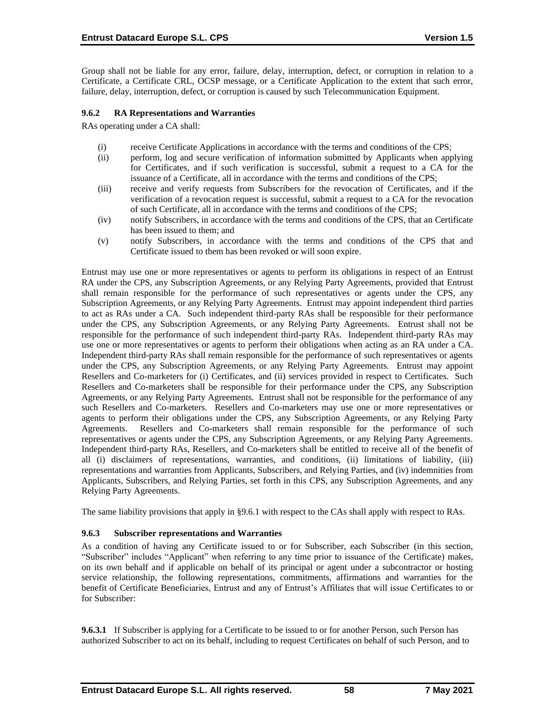Group shall not be liable for any error, failure, delay, interruption, defect, or corruption in relation to a Certificate, a Certificate CRL, OCSP message, or a Certificate Application to the extent that such error, failure, delay, interruption, defect, or corruption is caused by such Telecommunication Equipment.

## **9.6.2 RA Representations and Warranties**

RAs operating under a CA shall:

- (i) receive Certificate Applications in accordance with the terms and conditions of the CPS;
- (ii) perform, log and secure verification of information submitted by Applicants when applying for Certificates, and if such verification is successful, submit a request to a CA for the issuance of a Certificate, all in accordance with the terms and conditions of the CPS;
- (iii) receive and verify requests from Subscribers for the revocation of Certificates, and if the verification of a revocation request is successful, submit a request to a CA for the revocation of such Certificate, all in accordance with the terms and conditions of the CPS;
- (iv) notify Subscribers, in accordance with the terms and conditions of the CPS, that an Certificate has been issued to them; and
- (v) notify Subscribers, in accordance with the terms and conditions of the CPS that and Certificate issued to them has been revoked or will soon expire.

Entrust may use one or more representatives or agents to perform its obligations in respect of an Entrust RA under the CPS, any Subscription Agreements, or any Relying Party Agreements, provided that Entrust shall remain responsible for the performance of such representatives or agents under the CPS, any Subscription Agreements, or any Relying Party Agreements. Entrust may appoint independent third parties to act as RAs under a CA. Such independent third-party RAs shall be responsible for their performance under the CPS, any Subscription Agreements, or any Relying Party Agreements. Entrust shall not be responsible for the performance of such independent third-party RAs. Independent third-party RAs may use one or more representatives or agents to perform their obligations when acting as an RA under a CA. Independent third-party RAs shall remain responsible for the performance of such representatives or agents under the CPS, any Subscription Agreements, or any Relying Party Agreements. Entrust may appoint Resellers and Co-marketers for (i) Certificates, and (ii) services provided in respect to Certificates. Such Resellers and Co-marketers shall be responsible for their performance under the CPS, any Subscription Agreements, or any Relying Party Agreements. Entrust shall not be responsible for the performance of any such Resellers and Co-marketers. Resellers and Co-marketers may use one or more representatives or agents to perform their obligations under the CPS, any Subscription Agreements, or any Relying Party Agreements. Resellers and Co-marketers shall remain responsible for the performance of such representatives or agents under the CPS, any Subscription Agreements, or any Relying Party Agreements. Independent third-party RAs, Resellers, and Co-marketers shall be entitled to receive all of the benefit of all (i) disclaimers of representations, warranties, and conditions, (ii) limitations of liability, (iii) representations and warranties from Applicants, Subscribers, and Relying Parties, and (iv) indemnities from Applicants, Subscribers, and Relying Parties, set forth in this CPS, any Subscription Agreements, and any Relying Party Agreements.

The same liability provisions that apply in §9.6.1 with respect to the CAs shall apply with respect to RAs.

# **9.6.3 Subscriber representations and Warranties**

As a condition of having any Certificate issued to or for Subscriber, each Subscriber (in this section, "Subscriber" includes "Applicant" when referring to any time prior to issuance of the Certificate) makes, on its own behalf and if applicable on behalf of its principal or agent under a subcontractor or hosting service relationship, the following representations, commitments, affirmations and warranties for the benefit of Certificate Beneficiaries, Entrust and any of Entrust's Affiliates that will issue Certificates to or for Subscriber:

**9.6.3.1** If Subscriber is applying for a Certificate to be issued to or for another Person, such Person has authorized Subscriber to act on its behalf, including to request Certificates on behalf of such Person, and to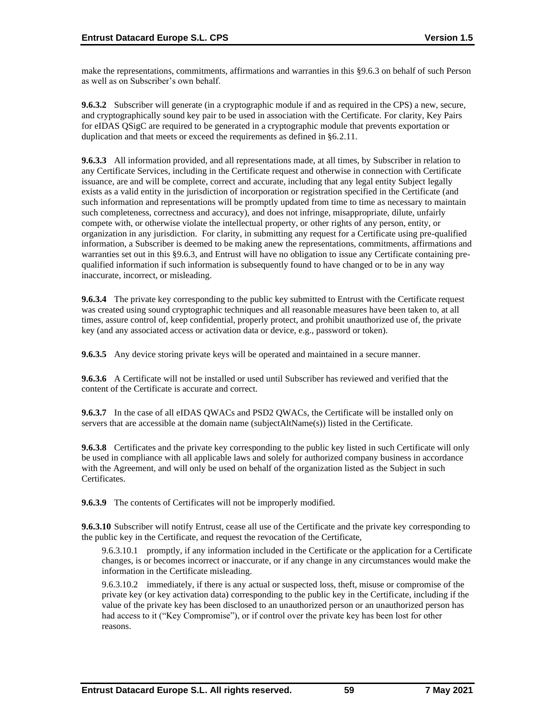make the representations, commitments, affirmations and warranties in this §9.6.3 on behalf of such Person as well as on Subscriber's own behalf.

**9.6.3.2** Subscriber will generate (in a cryptographic module if and as required in the CPS) a new, secure, and cryptographically sound key pair to be used in association with the Certificate. For clarity, Key Pairs for eIDAS QSigC are required to be generated in a cryptographic module that prevents exportation or duplication and that meets or exceed the requirements as defined in §6.2.11.

**9.6.3.3** All information provided, and all representations made, at all times, by Subscriber in relation to any Certificate Services, including in the Certificate request and otherwise in connection with Certificate issuance, are and will be complete, correct and accurate, including that any legal entity Subject legally exists as a valid entity in the jurisdiction of incorporation or registration specified in the Certificate (and such information and representations will be promptly updated from time to time as necessary to maintain such completeness, correctness and accuracy), and does not infringe, misappropriate, dilute, unfairly compete with, or otherwise violate the intellectual property, or other rights of any person, entity, or organization in any jurisdiction. For clarity, in submitting any request for a Certificate using pre-qualified information, a Subscriber is deemed to be making anew the representations, commitments, affirmations and warranties set out in this §9.6.3, and Entrust will have no obligation to issue any Certificate containing prequalified information if such information is subsequently found to have changed or to be in any way inaccurate, incorrect, or misleading.

**9.6.3.4** The private key corresponding to the public key submitted to Entrust with the Certificate request was created using sound cryptographic techniques and all reasonable measures have been taken to, at all times, assure control of, keep confidential, properly protect, and prohibit unauthorized use of, the private key (and any associated access or activation data or device, e.g., password or token).

**9.6.3.5** Any device storing private keys will be operated and maintained in a secure manner.

**9.6.3.6** A Certificate will not be installed or used until Subscriber has reviewed and verified that the content of the Certificate is accurate and correct.

**9.6.3.7** In the case of all eIDAS QWACs and PSD2 QWACs, the Certificate will be installed only on servers that are accessible at the domain name (subjectAltName(s)) listed in the Certificate.

**9.6.3.8** Certificates and the private key corresponding to the public key listed in such Certificate will only be used in compliance with all applicable laws and solely for authorized company business in accordance with the Agreement, and will only be used on behalf of the organization listed as the Subject in such Certificates.

**9.6.3.9** The contents of Certificates will not be improperly modified.

**9.6.3.10** Subscriber will notify Entrust, cease all use of the Certificate and the private key corresponding to the public key in the Certificate, and request the revocation of the Certificate,

9.6.3.10.1 promptly, if any information included in the Certificate or the application for a Certificate changes, is or becomes incorrect or inaccurate, or if any change in any circumstances would make the information in the Certificate misleading.

9.6.3.10.2 immediately, if there is any actual or suspected loss, theft, misuse or compromise of the private key (or key activation data) corresponding to the public key in the Certificate, including if the value of the private key has been disclosed to an unauthorized person or an unauthorized person has had access to it ("Key Compromise"), or if control over the private key has been lost for other reasons.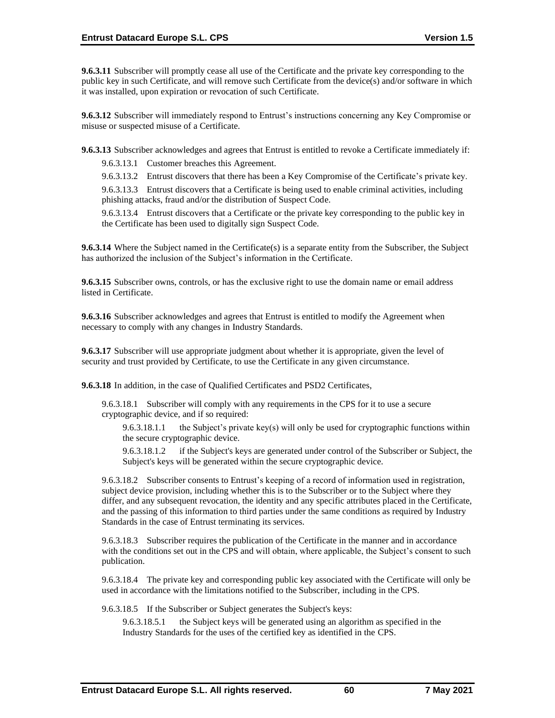**9.6.3.11** Subscriber will promptly cease all use of the Certificate and the private key corresponding to the public key in such Certificate, and will remove such Certificate from the device(s) and/or software in which it was installed, upon expiration or revocation of such Certificate.

**9.6.3.12** Subscriber will immediately respond to Entrust's instructions concerning any Key Compromise or misuse or suspected misuse of a Certificate.

**9.6.3.13** Subscriber acknowledges and agrees that Entrust is entitled to revoke a Certificate immediately if:

9.6.3.13.1 Customer breaches this Agreement.

9.6.3.13.2 Entrust discovers that there has been a Key Compromise of the Certificate's private key.

9.6.3.13.3 Entrust discovers that a Certificate is being used to enable criminal activities, including phishing attacks, fraud and/or the distribution of Suspect Code.

9.6.3.13.4 Entrust discovers that a Certificate or the private key corresponding to the public key in the Certificate has been used to digitally sign Suspect Code.

**9.6.3.14** Where the Subject named in the Certificate(s) is a separate entity from the Subscriber, the Subject has authorized the inclusion of the Subject's information in the Certificate.

**9.6.3.15** Subscriber owns, controls, or has the exclusive right to use the domain name or email address listed in Certificate.

**9.6.3.16** Subscriber acknowledges and agrees that Entrust is entitled to modify the Agreement when necessary to comply with any changes in Industry Standards.

**9.6.3.17** Subscriber will use appropriate judgment about whether it is appropriate, given the level of security and trust provided by Certificate, to use the Certificate in any given circumstance.

**9.6.3.18** In addition, in the case of Qualified Certificates and PSD2 Certificates,

9.6.3.18.1 Subscriber will comply with any requirements in the CPS for it to use a secure cryptographic device, and if so required:

9.6.3.18.1.1 the Subject's private key(s) will only be used for cryptographic functions within the secure cryptographic device.

9.6.3.18.1.2 if the Subject's keys are generated under control of the Subscriber or Subject, the Subject's keys will be generated within the secure cryptographic device.

9.6.3.18.2 Subscriber consents to Entrust's keeping of a record of information used in registration, subject device provision, including whether this is to the Subscriber or to the Subject where they differ, and any subsequent revocation, the identity and any specific attributes placed in the Certificate, and the passing of this information to third parties under the same conditions as required by Industry Standards in the case of Entrust terminating its services.

9.6.3.18.3 Subscriber requires the publication of the Certificate in the manner and in accordance with the conditions set out in the CPS and will obtain, where applicable, the Subject's consent to such publication.

9.6.3.18.4 The private key and corresponding public key associated with the Certificate will only be used in accordance with the limitations notified to the Subscriber, including in the CPS.

9.6.3.18.5 If the Subscriber or Subject generates the Subject's keys:

9.6.3.18.5.1 the Subject keys will be generated using an algorithm as specified in the Industry Standards for the uses of the certified key as identified in the CPS.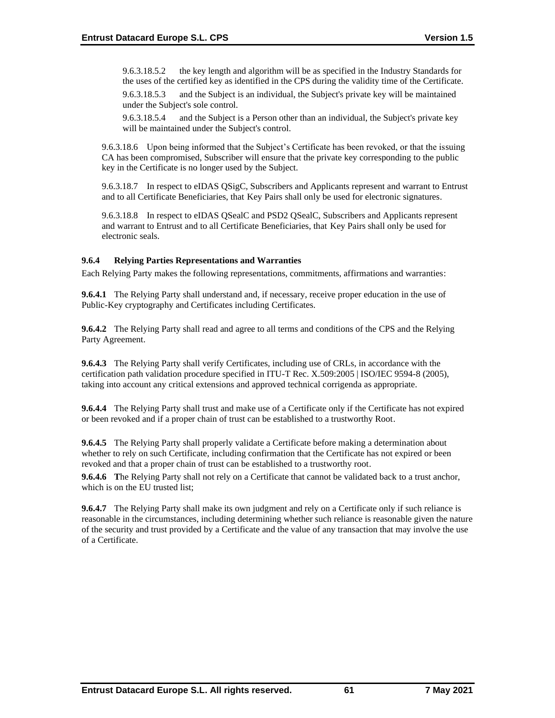9.6.3.18.5.2 the key length and algorithm will be as specified in the Industry Standards for the uses of the certified key as identified in the CPS during the validity time of the Certificate. 9.6.3.18.5.3 and the Subject is an individual, the Subject's private key will be maintained

under the Subject's sole control.

9.6.3.18.5.4 and the Subject is a Person other than an individual, the Subject's private key will be maintained under the Subject's control.

9.6.3.18.6 Upon being informed that the Subject's Certificate has been revoked, or that the issuing CA has been compromised, Subscriber will ensure that the private key corresponding to the public key in the Certificate is no longer used by the Subject.

9.6.3.18.7 In respect to eIDAS QSigC, Subscribers and Applicants represent and warrant to Entrust and to all Certificate Beneficiaries, that Key Pairs shall only be used for electronic signatures.

9.6.3.18.8 In respect to eIDAS QSealC and PSD2 QSealC, Subscribers and Applicants represent and warrant to Entrust and to all Certificate Beneficiaries, that Key Pairs shall only be used for electronic seals.

## **9.6.4 Relying Parties Representations and Warranties**

Each Relying Party makes the following representations, commitments, affirmations and warranties:

**9.6.4.1** The Relying Party shall understand and, if necessary, receive proper education in the use of Public-Key cryptography and Certificates including Certificates.

**9.6.4.2** The Relying Party shall read and agree to all terms and conditions of the CPS and the Relying Party Agreement.

**9.6.4.3** The Relying Party shall verify Certificates, including use of CRLs, in accordance with the certification path validation procedure specified in ITU-T Rec. X.509:2005 | ISO/IEC 9594-8 (2005), taking into account any critical extensions and approved technical corrigenda as appropriate.

**9.6.4.4** The Relying Party shall trust and make use of a Certificate only if the Certificate has not expired or been revoked and if a proper chain of trust can be established to a trustworthy Root.

**9.6.4.5** The Relying Party shall properly validate a Certificate before making a determination about whether to rely on such Certificate, including confirmation that the Certificate has not expired or been revoked and that a proper chain of trust can be established to a trustworthy root.

**9.6.4.6 T**he Relying Party shall not rely on a Certificate that cannot be validated back to a trust anchor, which is on the EU trusted list;

**9.6.4.7** The Relying Party shall make its own judgment and rely on a Certificate only if such reliance is reasonable in the circumstances, including determining whether such reliance is reasonable given the nature of the security and trust provided by a Certificate and the value of any transaction that may involve the use of a Certificate.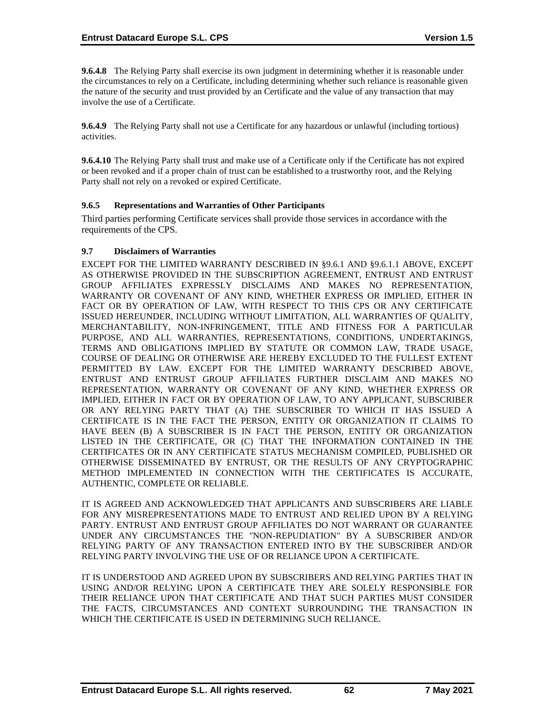**9.6.4.8** The Relying Party shall exercise its own judgment in determining whether it is reasonable under the circumstances to rely on a Certificate, including determining whether such reliance is reasonable given the nature of the security and trust provided by an Certificate and the value of any transaction that may involve the use of a Certificate.

**9.6.4.9** The Relying Party shall not use a Certificate for any hazardous or unlawful (including tortious) activities.

**9.6.4.10** The Relying Party shall trust and make use of a Certificate only if the Certificate has not expired or been revoked and if a proper chain of trust can be established to a trustworthy root, and the Relying Party shall not rely on a revoked or expired Certificate.

## **9.6.5 Representations and Warranties of Other Participants**

Third parties performing Certificate services shall provide those services in accordance with the requirements of the CPS.

## **9.7 Disclaimers of Warranties**

EXCEPT FOR THE LIMITED WARRANTY DESCRIBED IN §9.6.1 AND §9.6.1.1 ABOVE, EXCEPT AS OTHERWISE PROVIDED IN THE SUBSCRIPTION AGREEMENT, ENTRUST AND ENTRUST GROUP AFFILIATES EXPRESSLY DISCLAIMS AND MAKES NO REPRESENTATION, WARRANTY OR COVENANT OF ANY KIND, WHETHER EXPRESS OR IMPLIED, EITHER IN FACT OR BY OPERATION OF LAW, WITH RESPECT TO THIS CPS OR ANY CERTIFICATE ISSUED HEREUNDER, INCLUDING WITHOUT LIMITATION, ALL WARRANTIES OF QUALITY, MERCHANTABILITY, NON-INFRINGEMENT, TITLE AND FITNESS FOR A PARTICULAR PURPOSE, AND ALL WARRANTIES, REPRESENTATIONS, CONDITIONS, UNDERTAKINGS, TERMS AND OBLIGATIONS IMPLIED BY STATUTE OR COMMON LAW, TRADE USAGE, COURSE OF DEALING OR OTHERWISE ARE HEREBY EXCLUDED TO THE FULLEST EXTENT PERMITTED BY LAW. EXCEPT FOR THE LIMITED WARRANTY DESCRIBED ABOVE, ENTRUST AND ENTRUST GROUP AFFILIATES FURTHER DISCLAIM AND MAKES NO REPRESENTATION, WARRANTY OR COVENANT OF ANY KIND, WHETHER EXPRESS OR IMPLIED, EITHER IN FACT OR BY OPERATION OF LAW, TO ANY APPLICANT, SUBSCRIBER OR ANY RELYING PARTY THAT (A) THE SUBSCRIBER TO WHICH IT HAS ISSUED A CERTIFICATE IS IN THE FACT THE PERSON, ENTITY OR ORGANIZATION IT CLAIMS TO HAVE BEEN (B) A SUBSCRIBER IS IN FACT THE PERSON, ENTITY OR ORGANIZATION LISTED IN THE CERTIFICATE, OR (C) THAT THE INFORMATION CONTAINED IN THE CERTIFICATES OR IN ANY CERTIFICATE STATUS MECHANISM COMPILED, PUBLISHED OR OTHERWISE DISSEMINATED BY ENTRUST, OR THE RESULTS OF ANY CRYPTOGRAPHIC METHOD IMPLEMENTED IN CONNECTION WITH THE CERTIFICATES IS ACCURATE, AUTHENTIC, COMPLETE OR RELIABLE.

IT IS AGREED AND ACKNOWLEDGED THAT APPLICANTS AND SUBSCRIBERS ARE LIABLE FOR ANY MISREPRESENTATIONS MADE TO ENTRUST AND RELIED UPON BY A RELYING PARTY. ENTRUST AND ENTRUST GROUP AFFILIATES DO NOT WARRANT OR GUARANTEE UNDER ANY CIRCUMSTANCES THE "NON-REPUDIATION" BY A SUBSCRIBER AND/OR RELYING PARTY OF ANY TRANSACTION ENTERED INTO BY THE SUBSCRIBER AND/OR RELYING PARTY INVOLVING THE USE OF OR RELIANCE UPON A CERTIFICATE.

IT IS UNDERSTOOD AND AGREED UPON BY SUBSCRIBERS AND RELYING PARTIES THAT IN USING AND/OR RELYING UPON A CERTIFICATE THEY ARE SOLELY RESPONSIBLE FOR THEIR RELIANCE UPON THAT CERTIFICATE AND THAT SUCH PARTIES MUST CONSIDER THE FACTS, CIRCUMSTANCES AND CONTEXT SURROUNDING THE TRANSACTION IN WHICH THE CERTIFICATE IS USED IN DETERMINING SUCH RELIANCE.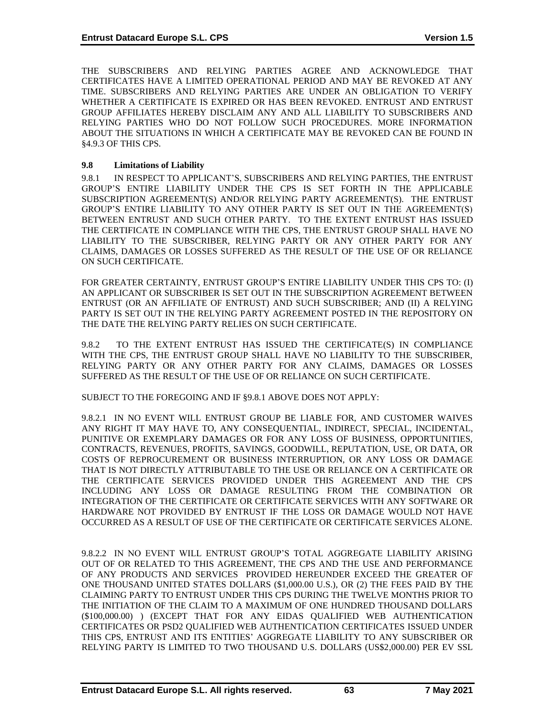THE SUBSCRIBERS AND RELYING PARTIES AGREE AND ACKNOWLEDGE THAT CERTIFICATES HAVE A LIMITED OPERATIONAL PERIOD AND MAY BE REVOKED AT ANY TIME. SUBSCRIBERS AND RELYING PARTIES ARE UNDER AN OBLIGATION TO VERIFY WHETHER A CERTIFICATE IS EXPIRED OR HAS BEEN REVOKED. ENTRUST AND ENTRUST GROUP AFFILIATES HEREBY DISCLAIM ANY AND ALL LIABILITY TO SUBSCRIBERS AND RELYING PARTIES WHO DO NOT FOLLOW SUCH PROCEDURES. MORE INFORMATION ABOUT THE SITUATIONS IN WHICH A CERTIFICATE MAY BE REVOKED CAN BE FOUND IN §4.9.3 OF THIS CPS.

# **9.8 Limitations of Liability**

9.8.1 IN RESPECT TO APPLICANT'S, SUBSCRIBERS AND RELYING PARTIES, THE ENTRUST GROUP'S ENTIRE LIABILITY UNDER THE CPS IS SET FORTH IN THE APPLICABLE SUBSCRIPTION AGREEMENT(S) AND/OR RELYING PARTY AGREEMENT(S). THE ENTRUST GROUP'S ENTIRE LIABILITY TO ANY OTHER PARTY IS SET OUT IN THE AGREEMENT(S) BETWEEN ENTRUST AND SUCH OTHER PARTY. TO THE EXTENT ENTRUST HAS ISSUED THE CERTIFICATE IN COMPLIANCE WITH THE CPS, THE ENTRUST GROUP SHALL HAVE NO LIABILITY TO THE SUBSCRIBER, RELYING PARTY OR ANY OTHER PARTY FOR ANY CLAIMS, DAMAGES OR LOSSES SUFFERED AS THE RESULT OF THE USE OF OR RELIANCE ON SUCH CERTIFICATE.

FOR GREATER CERTAINTY, ENTRUST GROUP'S ENTIRE LIABILITY UNDER THIS CPS TO: (I) AN APPLICANT OR SUBSCRIBER IS SET OUT IN THE SUBSCRIPTION AGREEMENT BETWEEN ENTRUST (OR AN AFFILIATE OF ENTRUST) AND SUCH SUBSCRIBER; AND (II) A RELYING PARTY IS SET OUT IN THE RELYING PARTY AGREEMENT POSTED IN THE REPOSITORY ON THE DATE THE RELYING PARTY RELIES ON SUCH CERTIFICATE.

9.8.2 TO THE EXTENT ENTRUST HAS ISSUED THE CERTIFICATE(S) IN COMPLIANCE WITH THE CPS, THE ENTRUST GROUP SHALL HAVE NO LIABILITY TO THE SUBSCRIBER, RELYING PARTY OR ANY OTHER PARTY FOR ANY CLAIMS, DAMAGES OR LOSSES SUFFERED AS THE RESULT OF THE USE OF OR RELIANCE ON SUCH CERTIFICATE.

SUBJECT TO THE FOREGOING AND IF §9.8.1 ABOVE DOES NOT APPLY:

9.8.2.1 IN NO EVENT WILL ENTRUST GROUP BE LIABLE FOR, AND CUSTOMER WAIVES ANY RIGHT IT MAY HAVE TO, ANY CONSEQUENTIAL, INDIRECT, SPECIAL, INCIDENTAL, PUNITIVE OR EXEMPLARY DAMAGES OR FOR ANY LOSS OF BUSINESS, OPPORTUNITIES, CONTRACTS, REVENUES, PROFITS, SAVINGS, GOODWILL, REPUTATION, USE, OR DATA, OR COSTS OF REPROCUREMENT OR BUSINESS INTERRUPTION, OR ANY LOSS OR DAMAGE THAT IS NOT DIRECTLY ATTRIBUTABLE TO THE USE OR RELIANCE ON A CERTIFICATE OR THE CERTIFICATE SERVICES PROVIDED UNDER THIS AGREEMENT AND THE CPS INCLUDING ANY LOSS OR DAMAGE RESULTING FROM THE COMBINATION OR INTEGRATION OF THE CERTIFICATE OR CERTIFICATE SERVICES WITH ANY SOFTWARE OR HARDWARE NOT PROVIDED BY ENTRUST IF THE LOSS OR DAMAGE WOULD NOT HAVE OCCURRED AS A RESULT OF USE OF THE CERTIFICATE OR CERTIFICATE SERVICES ALONE.

9.8.2.2 IN NO EVENT WILL ENTRUST GROUP'S TOTAL AGGREGATE LIABILITY ARISING OUT OF OR RELATED TO THIS AGREEMENT, THE CPS AND THE USE AND PERFORMANCE OF ANY PRODUCTS AND SERVICES PROVIDED HEREUNDER EXCEED THE GREATER OF ONE THOUSAND UNITED STATES DOLLARS (\$1,000.00 U.S.), OR (2) THE FEES PAID BY THE CLAIMING PARTY TO ENTRUST UNDER THIS CPS DURING THE TWELVE MONTHS PRIOR TO THE INITIATION OF THE CLAIM TO A MAXIMUM OF ONE HUNDRED THOUSAND DOLLARS (\$100,000.00) ) (EXCEPT THAT FOR ANY EIDAS QUALIFIED WEB AUTHENTICATION CERTIFICATES OR PSD2 QUALIFIED WEB AUTHENTICATION CERTIFICATES ISSUED UNDER THIS CPS, ENTRUST AND ITS ENTITIES' AGGREGATE LIABILITY TO ANY SUBSCRIBER OR RELYING PARTY IS LIMITED TO TWO THOUSAND U.S. DOLLARS (US\$2,000.00) PER EV SSL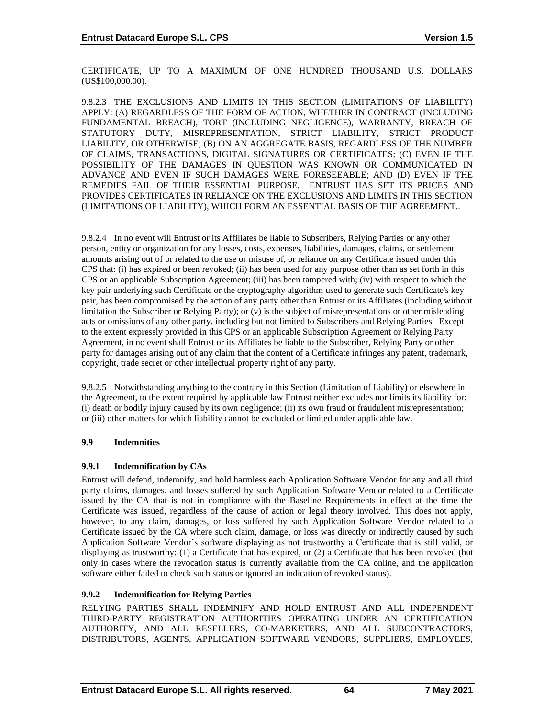CERTIFICATE, UP TO A MAXIMUM OF ONE HUNDRED THOUSAND U.S. DOLLARS (US\$100,000.00).

9.8.2.3 THE EXCLUSIONS AND LIMITS IN THIS SECTION (LIMITATIONS OF LIABILITY) APPLY: (A) REGARDLESS OF THE FORM OF ACTION, WHETHER IN CONTRACT (INCLUDING FUNDAMENTAL BREACH), TORT (INCLUDING NEGLIGENCE), WARRANTY, BREACH OF STATUTORY DUTY, MISREPRESENTATION, STRICT LIABILITY, STRICT PRODUCT LIABILITY, OR OTHERWISE; (B) ON AN AGGREGATE BASIS, REGARDLESS OF THE NUMBER OF CLAIMS, TRANSACTIONS, DIGITAL SIGNATURES OR CERTIFICATES; (C) EVEN IF THE POSSIBILITY OF THE DAMAGES IN QUESTION WAS KNOWN OR COMMUNICATED IN ADVANCE AND EVEN IF SUCH DAMAGES WERE FORESEEABLE; AND (D) EVEN IF THE REMEDIES FAIL OF THEIR ESSENTIAL PURPOSE. ENTRUST HAS SET ITS PRICES AND PROVIDES CERTIFICATES IN RELIANCE ON THE EXCLUSIONS AND LIMITS IN THIS SECTION (LIMITATIONS OF LIABILITY), WHICH FORM AN ESSENTIAL BASIS OF THE AGREEMENT..

9.8.2.4 In no event will Entrust or its Affiliates be liable to Subscribers, Relying Parties or any other person, entity or organization for any losses, costs, expenses, liabilities, damages, claims, or settlement amounts arising out of or related to the use or misuse of, or reliance on any Certificate issued under this CPS that: (i) has expired or been revoked; (ii) has been used for any purpose other than as set forth in this CPS or an applicable Subscription Agreement; (iii) has been tampered with; (iv) with respect to which the key pair underlying such Certificate or the cryptography algorithm used to generate such Certificate's key pair, has been compromised by the action of any party other than Entrust or its Affiliates (including without limitation the Subscriber or Relying Party); or (v) is the subject of misrepresentations or other misleading acts or omissions of any other party, including but not limited to Subscribers and Relying Parties. Except to the extent expressly provided in this CPS or an applicable Subscription Agreement or Relying Party Agreement, in no event shall Entrust or its Affiliates be liable to the Subscriber, Relying Party or other party for damages arising out of any claim that the content of a Certificate infringes any patent, trademark, copyright, trade secret or other intellectual property right of any party.

9.8.2.5 Notwithstanding anything to the contrary in this Section (Limitation of Liability) or elsewhere in the Agreement, to the extent required by applicable law Entrust neither excludes nor limits its liability for: (i) death or bodily injury caused by its own negligence; (ii) its own fraud or fraudulent misrepresentation; or (iii) other matters for which liability cannot be excluded or limited under applicable law.

# **9.9 Indemnities**

# **9.9.1 Indemnification by CAs**

Entrust will defend, indemnify, and hold harmless each Application Software Vendor for any and all third party claims, damages, and losses suffered by such Application Software Vendor related to a Certificate issued by the CA that is not in compliance with the Baseline Requirements in effect at the time the Certificate was issued, regardless of the cause of action or legal theory involved. This does not apply, however, to any claim, damages, or loss suffered by such Application Software Vendor related to a Certificate issued by the CA where such claim, damage, or loss was directly or indirectly caused by such Application Software Vendor's software displaying as not trustworthy a Certificate that is still valid, or displaying as trustworthy: (1) a Certificate that has expired, or (2) a Certificate that has been revoked (but only in cases where the revocation status is currently available from the CA online, and the application software either failed to check such status or ignored an indication of revoked status).

# **9.9.2 Indemnification for Relying Parties**

RELYING PARTIES SHALL INDEMNIFY AND HOLD ENTRUST AND ALL INDEPENDENT THIRD-PARTY REGISTRATION AUTHORITIES OPERATING UNDER AN CERTIFICATION AUTHORITY, AND ALL RESELLERS, CO-MARKETERS, AND ALL SUBCONTRACTORS, DISTRIBUTORS, AGENTS, APPLICATION SOFTWARE VENDORS, SUPPLIERS, EMPLOYEES,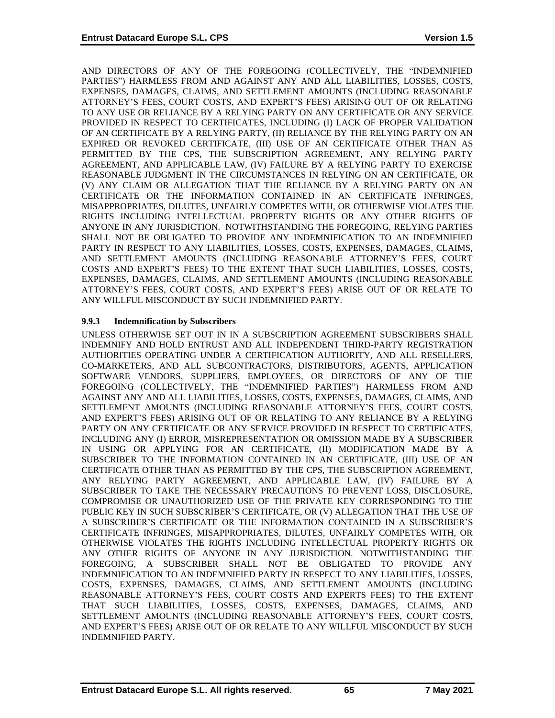AND DIRECTORS OF ANY OF THE FOREGOING (COLLECTIVELY, THE "INDEMNIFIED PARTIES") HARMLESS FROM AND AGAINST ANY AND ALL LIABILITIES, LOSSES, COSTS, EXPENSES, DAMAGES, CLAIMS, AND SETTLEMENT AMOUNTS (INCLUDING REASONABLE ATTORNEY'S FEES, COURT COSTS, AND EXPERT'S FEES) ARISING OUT OF OR RELATING TO ANY USE OR RELIANCE BY A RELYING PARTY ON ANY CERTIFICATE OR ANY SERVICE PROVIDED IN RESPECT TO CERTIFICATES, INCLUDING (I) LACK OF PROPER VALIDATION OF AN CERTIFICATE BY A RELYING PARTY, (II) RELIANCE BY THE RELYING PARTY ON AN EXPIRED OR REVOKED CERTIFICATE, (III) USE OF AN CERTIFICATE OTHER THAN AS PERMITTED BY THE CPS, THE SUBSCRIPTION AGREEMENT, ANY RELYING PARTY AGREEMENT, AND APPLICABLE LAW, (IV) FAILURE BY A RELYING PARTY TO EXERCISE REASONABLE JUDGMENT IN THE CIRCUMSTANCES IN RELYING ON AN CERTIFICATE, OR (V) ANY CLAIM OR ALLEGATION THAT THE RELIANCE BY A RELYING PARTY ON AN CERTIFICATE OR THE INFORMATION CONTAINED IN AN CERTIFICATE INFRINGES, MISAPPROPRIATES, DILUTES, UNFAIRLY COMPETES WITH, OR OTHERWISE VIOLATES THE RIGHTS INCLUDING INTELLECTUAL PROPERTY RIGHTS OR ANY OTHER RIGHTS OF ANYONE IN ANY JURISDICTION. NOTWITHSTANDING THE FOREGOING, RELYING PARTIES SHALL NOT BE OBLIGATED TO PROVIDE ANY INDEMNIFICATION TO AN INDEMNIFIED PARTY IN RESPECT TO ANY LIABILITIES, LOSSES, COSTS, EXPENSES, DAMAGES, CLAIMS, AND SETTLEMENT AMOUNTS (INCLUDING REASONABLE ATTORNEY'S FEES, COURT COSTS AND EXPERT'S FEES) TO THE EXTENT THAT SUCH LIABILITIES, LOSSES, COSTS, EXPENSES, DAMAGES, CLAIMS, AND SETTLEMENT AMOUNTS (INCLUDING REASONABLE ATTORNEY'S FEES, COURT COSTS, AND EXPERT'S FEES) ARISE OUT OF OR RELATE TO ANY WILLFUL MISCONDUCT BY SUCH INDEMNIFIED PARTY.

# **9.9.3 Indemnification by Subscribers**

UNLESS OTHERWISE SET OUT IN IN A SUBSCRIPTION AGREEMENT SUBSCRIBERS SHALL INDEMNIFY AND HOLD ENTRUST AND ALL INDEPENDENT THIRD-PARTY REGISTRATION AUTHORITIES OPERATING UNDER A CERTIFICATION AUTHORITY, AND ALL RESELLERS, CO-MARKETERS, AND ALL SUBCONTRACTORS, DISTRIBUTORS, AGENTS, APPLICATION SOFTWARE VENDORS, SUPPLIERS, EMPLOYEES, OR DIRECTORS OF ANY OF THE FOREGOING (COLLECTIVELY, THE "INDEMNIFIED PARTIES") HARMLESS FROM AND AGAINST ANY AND ALL LIABILITIES, LOSSES, COSTS, EXPENSES, DAMAGES, CLAIMS, AND SETTLEMENT AMOUNTS (INCLUDING REASONABLE ATTORNEY'S FEES, COURT COSTS, AND EXPERT'S FEES) ARISING OUT OF OR RELATING TO ANY RELIANCE BY A RELYING PARTY ON ANY CERTIFICATE OR ANY SERVICE PROVIDED IN RESPECT TO CERTIFICATES, INCLUDING ANY (I) ERROR, MISREPRESENTATION OR OMISSION MADE BY A SUBSCRIBER IN USING OR APPLYING FOR AN CERTIFICATE, (II) MODIFICATION MADE BY A SUBSCRIBER TO THE INFORMATION CONTAINED IN AN CERTIFICATE, (III) USE OF AN CERTIFICATE OTHER THAN AS PERMITTED BY THE CPS, THE SUBSCRIPTION AGREEMENT, ANY RELYING PARTY AGREEMENT, AND APPLICABLE LAW, (IV) FAILURE BY A SUBSCRIBER TO TAKE THE NECESSARY PRECAUTIONS TO PREVENT LOSS, DISCLOSURE, COMPROMISE OR UNAUTHORIZED USE OF THE PRIVATE KEY CORRESPONDING TO THE PUBLIC KEY IN SUCH SUBSCRIBER'S CERTIFICATE, OR (V) ALLEGATION THAT THE USE OF A SUBSCRIBER'S CERTIFICATE OR THE INFORMATION CONTAINED IN A SUBSCRIBER'S CERTIFICATE INFRINGES, MISAPPROPRIATES, DILUTES, UNFAIRLY COMPETES WITH, OR OTHERWISE VIOLATES THE RIGHTS INCLUDING INTELLECTUAL PROPERTY RIGHTS OR ANY OTHER RIGHTS OF ANYONE IN ANY JURISDICTION. NOTWITHSTANDING THE FOREGOING, A SUBSCRIBER SHALL NOT BE OBLIGATED TO PROVIDE ANY INDEMNIFICATION TO AN INDEMNIFIED PARTY IN RESPECT TO ANY LIABILITIES, LOSSES, COSTS, EXPENSES, DAMAGES, CLAIMS, AND SETTLEMENT AMOUNTS (INCLUDING REASONABLE ATTORNEY'S FEES, COURT COSTS AND EXPERTS FEES) TO THE EXTENT THAT SUCH LIABILITIES, LOSSES, COSTS, EXPENSES, DAMAGES, CLAIMS, AND SETTLEMENT AMOUNTS (INCLUDING REASONABLE ATTORNEY'S FEES, COURT COSTS, AND EXPERT'S FEES) ARISE OUT OF OR RELATE TO ANY WILLFUL MISCONDUCT BY SUCH INDEMNIFIED PARTY.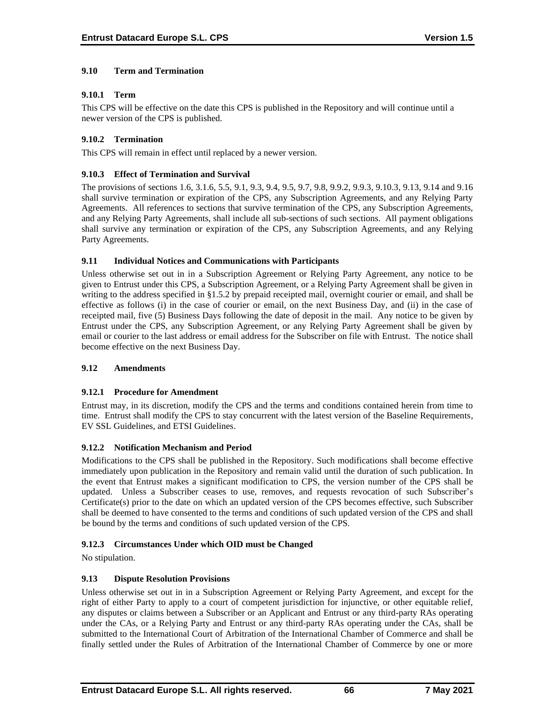# **9.10 Term and Termination**

## **9.10.1 Term**

This CPS will be effective on the date this CPS is published in the Repository and will continue until a newer version of the CPS is published.

# **9.10.2 Termination**

This CPS will remain in effect until replaced by a newer version.

## **9.10.3 Effect of Termination and Survival**

The provisions of sections 1.6, 3.1.6, 5.5, 9.1, 9.3, 9.4, 9.5, 9.7, 9.8, 9.9.2, 9.9.3, 9.10.3, 9.13, 9.14 and 9.16 shall survive termination or expiration of the CPS, any Subscription Agreements, and any Relying Party Agreements. All references to sections that survive termination of the CPS, any Subscription Agreements, and any Relying Party Agreements, shall include all sub-sections of such sections. All payment obligations shall survive any termination or expiration of the CPS, any Subscription Agreements, and any Relying Party Agreements.

## **9.11 Individual Notices and Communications with Participants**

Unless otherwise set out in in a Subscription Agreement or Relying Party Agreement, any notice to be given to Entrust under this CPS, a Subscription Agreement, or a Relying Party Agreement shall be given in writing to the address specified in §1.5.2 by prepaid receipted mail, overnight courier or email, and shall be effective as follows (i) in the case of courier or email, on the next Business Day, and (ii) in the case of receipted mail, five (5) Business Days following the date of deposit in the mail. Any notice to be given by Entrust under the CPS, any Subscription Agreement, or any Relying Party Agreement shall be given by email or courier to the last address or email address for the Subscriber on file with Entrust. The notice shall become effective on the next Business Day.

#### **9.12 Amendments**

#### **9.12.1 Procedure for Amendment**

Entrust may, in its discretion, modify the CPS and the terms and conditions contained herein from time to time. Entrust shall modify the CPS to stay concurrent with the latest version of the Baseline Requirements, EV SSL Guidelines, and ETSI Guidelines.

#### **9.12.2 Notification Mechanism and Period**

Modifications to the CPS shall be published in the Repository. Such modifications shall become effective immediately upon publication in the Repository and remain valid until the duration of such publication. In the event that Entrust makes a significant modification to CPS, the version number of the CPS shall be updated. Unless a Subscriber ceases to use, removes, and requests revocation of such Subscriber's Certificate(s) prior to the date on which an updated version of the CPS becomes effective, such Subscriber shall be deemed to have consented to the terms and conditions of such updated version of the CPS and shall be bound by the terms and conditions of such updated version of the CPS.

#### **9.12.3 Circumstances Under which OID must be Changed**

No stipulation.

# **9.13 Dispute Resolution Provisions**

Unless otherwise set out in in a Subscription Agreement or Relying Party Agreement, and except for the right of either Party to apply to a court of competent jurisdiction for injunctive, or other equitable relief, any disputes or claims between a Subscriber or an Applicant and Entrust or any third-party RAs operating under the CAs, or a Relying Party and Entrust or any third-party RAs operating under the CAs, shall be submitted to the International Court of Arbitration of the International Chamber of Commerce and shall be finally settled under the Rules of Arbitration of the International Chamber of Commerce by one or more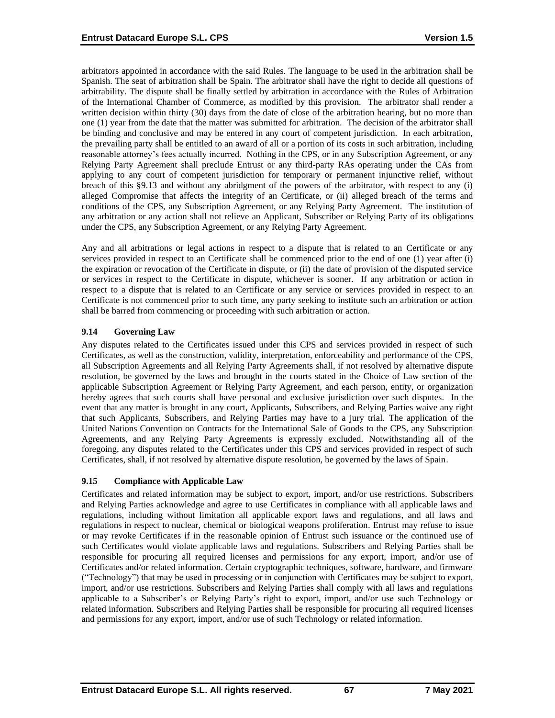arbitrators appointed in accordance with the said Rules. The language to be used in the arbitration shall be Spanish. The seat of arbitration shall be Spain. The arbitrator shall have the right to decide all questions of arbitrability. The dispute shall be finally settled by arbitration in accordance with the Rules of Arbitration of the International Chamber of Commerce, as modified by this provision. The arbitrator shall render a written decision within thirty (30) days from the date of close of the arbitration hearing, but no more than one (1) year from the date that the matter was submitted for arbitration. The decision of the arbitrator shall be binding and conclusive and may be entered in any court of competent jurisdiction. In each arbitration, the prevailing party shall be entitled to an award of all or a portion of its costs in such arbitration, including reasonable attorney's fees actually incurred. Nothing in the CPS, or in any Subscription Agreement, or any Relying Party Agreement shall preclude Entrust or any third-party RAs operating under the CAs from applying to any court of competent jurisdiction for temporary or permanent injunctive relief, without breach of this §9.13 and without any abridgment of the powers of the arbitrator, with respect to any (i) alleged Compromise that affects the integrity of an Certificate, or (ii) alleged breach of the terms and conditions of the CPS, any Subscription Agreement, or any Relying Party Agreement. The institution of any arbitration or any action shall not relieve an Applicant, Subscriber or Relying Party of its obligations under the CPS, any Subscription Agreement, or any Relying Party Agreement.

Any and all arbitrations or legal actions in respect to a dispute that is related to an Certificate or any services provided in respect to an Certificate shall be commenced prior to the end of one (1) year after (i) the expiration or revocation of the Certificate in dispute, or (ii) the date of provision of the disputed service or services in respect to the Certificate in dispute, whichever is sooner. If any arbitration or action in respect to a dispute that is related to an Certificate or any service or services provided in respect to an Certificate is not commenced prior to such time, any party seeking to institute such an arbitration or action shall be barred from commencing or proceeding with such arbitration or action.

# **9.14 Governing Law**

Any disputes related to the Certificates issued under this CPS and services provided in respect of such Certificates, as well as the construction, validity, interpretation, enforceability and performance of the CPS, all Subscription Agreements and all Relying Party Agreements shall, if not resolved by alternative dispute resolution, be governed by the laws and brought in the courts stated in the Choice of Law section of the applicable Subscription Agreement or Relying Party Agreement, and each person, entity, or organization hereby agrees that such courts shall have personal and exclusive jurisdiction over such disputes. In the event that any matter is brought in any court, Applicants, Subscribers, and Relying Parties waive any right that such Applicants, Subscribers, and Relying Parties may have to a jury trial. The application of the United Nations Convention on Contracts for the International Sale of Goods to the CPS, any Subscription Agreements, and any Relying Party Agreements is expressly excluded. Notwithstanding all of the foregoing, any disputes related to the Certificates under this CPS and services provided in respect of such Certificates, shall, if not resolved by alternative dispute resolution, be governed by the laws of Spain.

# **9.15 Compliance with Applicable Law**

Certificates and related information may be subject to export, import, and/or use restrictions. Subscribers and Relying Parties acknowledge and agree to use Certificates in compliance with all applicable laws and regulations, including without limitation all applicable export laws and regulations, and all laws and regulations in respect to nuclear, chemical or biological weapons proliferation. Entrust may refuse to issue or may revoke Certificates if in the reasonable opinion of Entrust such issuance or the continued use of such Certificates would violate applicable laws and regulations. Subscribers and Relying Parties shall be responsible for procuring all required licenses and permissions for any export, import, and/or use of Certificates and/or related information. Certain cryptographic techniques, software, hardware, and firmware ("Technology") that may be used in processing or in conjunction with Certificates may be subject to export, import, and/or use restrictions. Subscribers and Relying Parties shall comply with all laws and regulations applicable to a Subscriber's or Relying Party's right to export, import, and/or use such Technology or related information. Subscribers and Relying Parties shall be responsible for procuring all required licenses and permissions for any export, import, and/or use of such Technology or related information.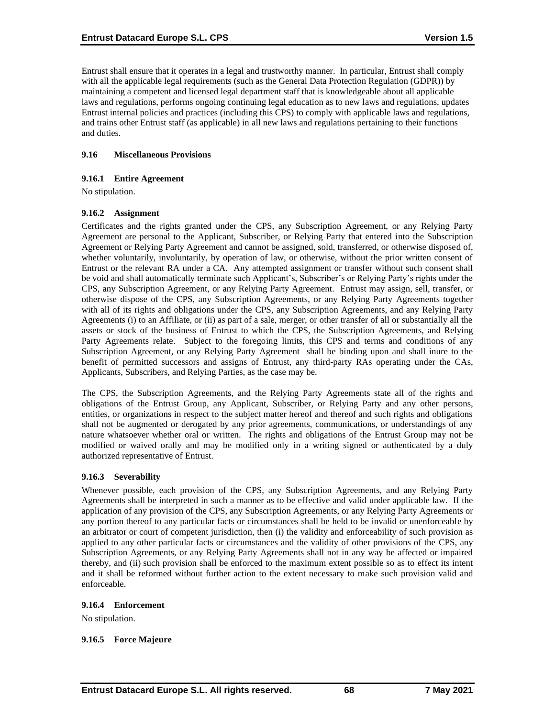Entrust shall ensure that it operates in a legal and trustworthy manner. In particular, Entrust shall comply with all the applicable legal requirements (such as the General Data Protection Regulation (GDPR)) by maintaining a competent and licensed legal department staff that is knowledgeable about all applicable laws and regulations, performs ongoing continuing legal education as to new laws and regulations, updates Entrust internal policies and practices (including this CPS) to comply with applicable laws and regulations, and trains other Entrust staff (as applicable) in all new laws and regulations pertaining to their functions and duties.

## **9.16 Miscellaneous Provisions**

## **9.16.1 Entire Agreement**

No stipulation.

## **9.16.2 Assignment**

Certificates and the rights granted under the CPS, any Subscription Agreement, or any Relying Party Agreement are personal to the Applicant, Subscriber, or Relying Party that entered into the Subscription Agreement or Relying Party Agreement and cannot be assigned, sold, transferred, or otherwise disposed of, whether voluntarily, involuntarily, by operation of law, or otherwise, without the prior written consent of Entrust or the relevant RA under a CA. Any attempted assignment or transfer without such consent shall be void and shall automatically terminate such Applicant's, Subscriber's or Relying Party's rights under the CPS, any Subscription Agreement, or any Relying Party Agreement. Entrust may assign, sell, transfer, or otherwise dispose of the CPS, any Subscription Agreements, or any Relying Party Agreements together with all of its rights and obligations under the CPS, any Subscription Agreements, and any Relying Party Agreements (i) to an Affiliate, or (ii) as part of a sale, merger, or other transfer of all or substantially all the assets or stock of the business of Entrust to which the CPS, the Subscription Agreements, and Relying Party Agreements relate. Subject to the foregoing limits, this CPS and terms and conditions of any Subscription Agreement, or any Relying Party Agreement shall be binding upon and shall inure to the benefit of permitted successors and assigns of Entrust, any third-party RAs operating under the CAs, Applicants, Subscribers, and Relying Parties, as the case may be.

The CPS, the Subscription Agreements, and the Relying Party Agreements state all of the rights and obligations of the Entrust Group, any Applicant, Subscriber, or Relying Party and any other persons, entities, or organizations in respect to the subject matter hereof and thereof and such rights and obligations shall not be augmented or derogated by any prior agreements, communications, or understandings of any nature whatsoever whether oral or written. The rights and obligations of the Entrust Group may not be modified or waived orally and may be modified only in a writing signed or authenticated by a duly authorized representative of Entrust.

#### **9.16.3 Severability**

Whenever possible, each provision of the CPS, any Subscription Agreements, and any Relying Party Agreements shall be interpreted in such a manner as to be effective and valid under applicable law. If the application of any provision of the CPS, any Subscription Agreements, or any Relying Party Agreements or any portion thereof to any particular facts or circumstances shall be held to be invalid or unenforceable by an arbitrator or court of competent jurisdiction, then (i) the validity and enforceability of such provision as applied to any other particular facts or circumstances and the validity of other provisions of the CPS, any Subscription Agreements, or any Relying Party Agreements shall not in any way be affected or impaired thereby, and (ii) such provision shall be enforced to the maximum extent possible so as to effect its intent and it shall be reformed without further action to the extent necessary to make such provision valid and enforceable.

#### **9.16.4 Enforcement**

No stipulation.

#### **9.16.5 Force Majeure**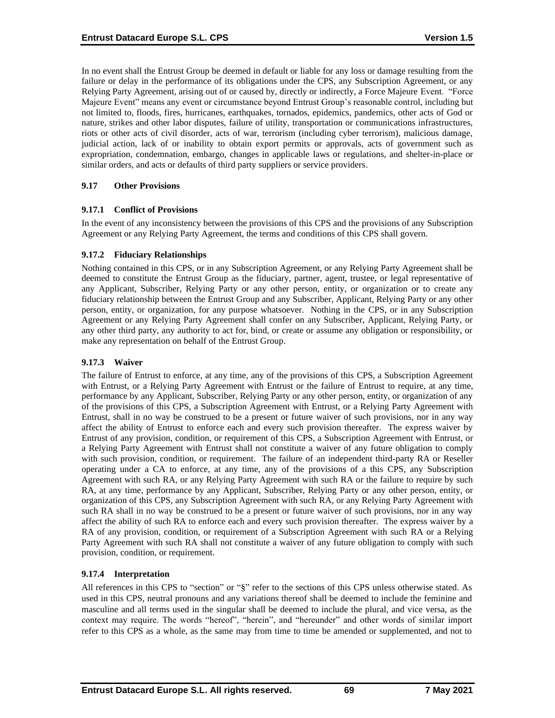In no event shall the Entrust Group be deemed in default or liable for any loss or damage resulting from the failure or delay in the performance of its obligations under the CPS, any Subscription Agreement, or any Relying Party Agreement, arising out of or caused by, directly or indirectly, a Force Majeure Event. "Force Majeure Event" means any event or circumstance beyond Entrust Group's reasonable control, including but not limited to, floods, fires, hurricanes, earthquakes, tornados, epidemics, pandemics, other acts of God or nature, strikes and other labor disputes, failure of utility, transportation or communications infrastructures, riots or other acts of civil disorder, acts of war, terrorism (including cyber terrorism), malicious damage, judicial action, lack of or inability to obtain export permits or approvals, acts of government such as expropriation, condemnation, embargo, changes in applicable laws or regulations, and shelter-in-place or similar orders, and acts or defaults of third party suppliers or service providers.

## **9.17 Other Provisions**

## **9.17.1 Conflict of Provisions**

In the event of any inconsistency between the provisions of this CPS and the provisions of any Subscription Agreement or any Relying Party Agreement, the terms and conditions of this CPS shall govern.

## **9.17.2 Fiduciary Relationships**

Nothing contained in this CPS, or in any Subscription Agreement, or any Relying Party Agreement shall be deemed to constitute the Entrust Group as the fiduciary, partner, agent, trustee, or legal representative of any Applicant, Subscriber, Relying Party or any other person, entity, or organization or to create any fiduciary relationship between the Entrust Group and any Subscriber, Applicant, Relying Party or any other person, entity, or organization, for any purpose whatsoever. Nothing in the CPS, or in any Subscription Agreement or any Relying Party Agreement shall confer on any Subscriber, Applicant, Relying Party, or any other third party, any authority to act for, bind, or create or assume any obligation or responsibility, or make any representation on behalf of the Entrust Group.

## **9.17.3 Waiver**

The failure of Entrust to enforce, at any time, any of the provisions of this CPS, a Subscription Agreement with Entrust, or a Relying Party Agreement with Entrust or the failure of Entrust to require, at any time, performance by any Applicant, Subscriber, Relying Party or any other person, entity, or organization of any of the provisions of this CPS, a Subscription Agreement with Entrust, or a Relying Party Agreement with Entrust, shall in no way be construed to be a present or future waiver of such provisions, nor in any way affect the ability of Entrust to enforce each and every such provision thereafter. The express waiver by Entrust of any provision, condition, or requirement of this CPS, a Subscription Agreement with Entrust, or a Relying Party Agreement with Entrust shall not constitute a waiver of any future obligation to comply with such provision, condition, or requirement. The failure of an independent third-party RA or Reseller operating under a CA to enforce, at any time, any of the provisions of a this CPS, any Subscription Agreement with such RA, or any Relying Party Agreement with such RA or the failure to require by such RA, at any time, performance by any Applicant, Subscriber, Relying Party or any other person, entity, or organization of this CPS, any Subscription Agreement with such RA, or any Relying Party Agreement with such RA shall in no way be construed to be a present or future waiver of such provisions, nor in any way affect the ability of such RA to enforce each and every such provision thereafter. The express waiver by a RA of any provision, condition, or requirement of a Subscription Agreement with such RA or a Relying Party Agreement with such RA shall not constitute a waiver of any future obligation to comply with such provision, condition, or requirement.

# **9.17.4 Interpretation**

All references in this CPS to "section" or "§" refer to the sections of this CPS unless otherwise stated. As used in this CPS, neutral pronouns and any variations thereof shall be deemed to include the feminine and masculine and all terms used in the singular shall be deemed to include the plural, and vice versa, as the context may require. The words "hereof", "herein", and "hereunder" and other words of similar import refer to this CPS as a whole, as the same may from time to time be amended or supplemented, and not to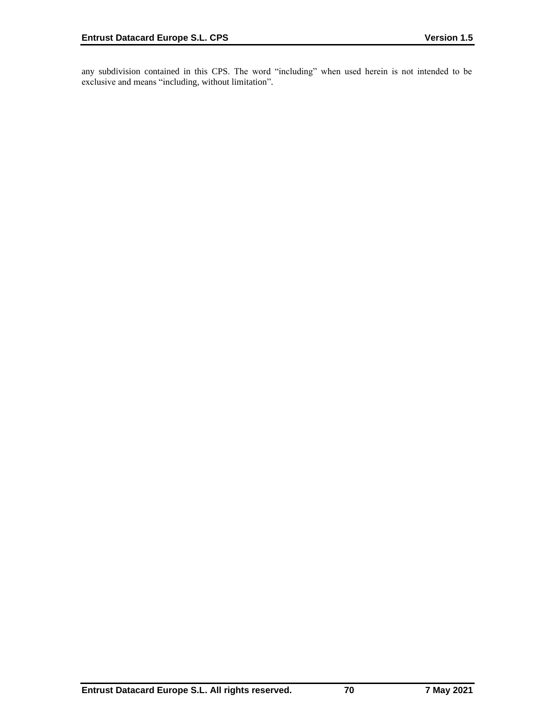any subdivision contained in this CPS. The word "including" when used herein is not intended to be exclusive and means "including, without limitation".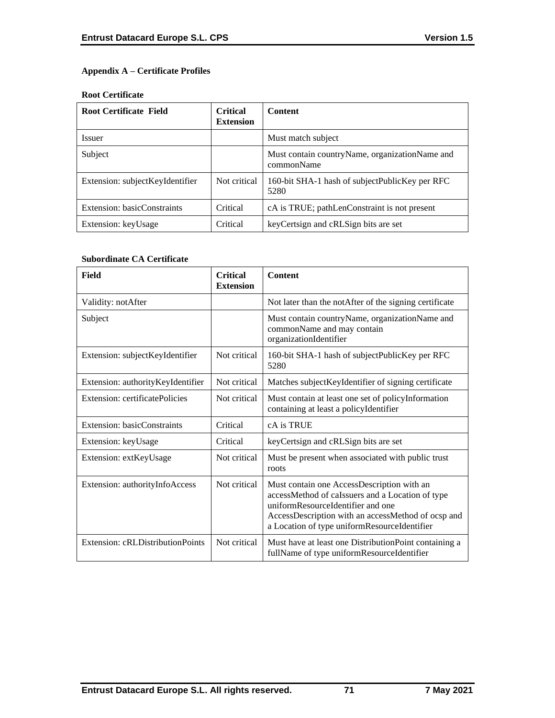# **Appendix A – Certificate Profiles**

## **Root Certificate**

| <b>Root Certificate Field</b>   | <b>Critical</b><br><b>Extension</b> | <b>Content</b>                                                 |
|---------------------------------|-------------------------------------|----------------------------------------------------------------|
| <i>Issuer</i>                   |                                     | Must match subject                                             |
| Subject                         |                                     | Must contain country Name, organization Name and<br>commonName |
| Extension: subjectKeyIdentifier | Not critical                        | 160-bit SHA-1 hash of subjectPublicKey per RFC<br>5280         |
| Extension: basicConstraints     | Critical                            | cA is TRUE; pathLenConstraint is not present                   |
| Extension: keyUsage             | Critical                            | key Certsign and cRLSign bits are set                          |

## **Subordinate CA Certificate**

| Field                             | <b>Critical</b><br><b>Extension</b> | <b>Content</b>                                                                                                                                                                                                                            |
|-----------------------------------|-------------------------------------|-------------------------------------------------------------------------------------------------------------------------------------------------------------------------------------------------------------------------------------------|
| Validity: notAfter                |                                     | Not later than the notAfter of the signing certificate                                                                                                                                                                                    |
| Subject                           |                                     | Must contain countryName, organizationName and<br>commonName and may contain<br>organizationIdentifier                                                                                                                                    |
| Extension: subjectKeyIdentifier   | Not critical                        | 160-bit SHA-1 hash of subjectPublicKey per RFC<br>5280                                                                                                                                                                                    |
| Extension: authorityKeyIdentifier | Not critical                        | Matches subject KeyIdentifier of signing certificate                                                                                                                                                                                      |
| Extension: certificatePolicies    | Not critical                        | Must contain at least one set of policyInformation<br>containing at least a policyIdentifier                                                                                                                                              |
| Extension: basicConstraints       | Critical                            | cA is TRUE                                                                                                                                                                                                                                |
| Extension: keyUsage               | Critical                            | keyCertsign and cRLSign bits are set                                                                                                                                                                                                      |
| Extension: extKeyUsage            | Not critical                        | Must be present when associated with public trust<br>roots                                                                                                                                                                                |
| Extension: authorityInfoAccess    | Not critical                        | Must contain one AccessDescription with an<br>accessMethod of caIssuers and a Location of type<br>uniformResourceIdentifier and one<br>AccessDescription with an accessMethod of ocsp and<br>a Location of type uniformResourceIdentifier |
| Extension: cRLDistributionPoints  | Not critical                        | Must have at least one DistributionPoint containing a<br>fullName of type uniformResourceIdentifier                                                                                                                                       |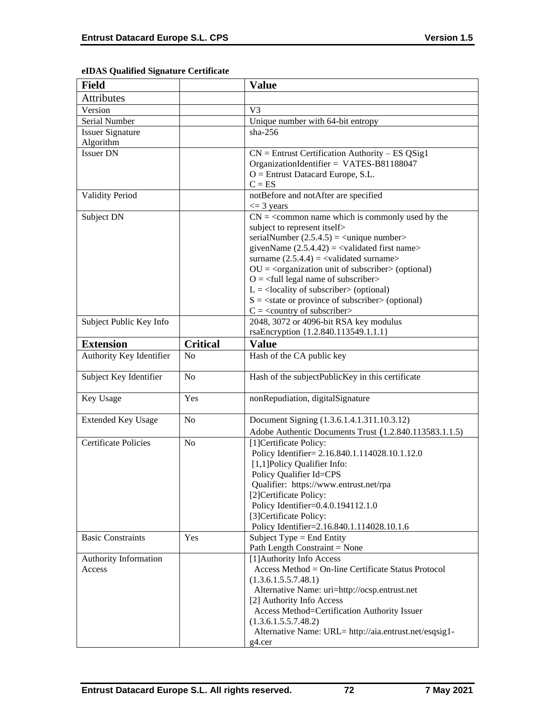# **eIDAS Qualified Signature Certificate**

| <b>Field</b>                |                 | <b>Value</b>                                                                                 |
|-----------------------------|-----------------|----------------------------------------------------------------------------------------------|
| Attributes                  |                 |                                                                                              |
| Version                     |                 | V <sub>3</sub>                                                                               |
| Serial Number               |                 | Unique number with 64-bit entropy                                                            |
| <b>Issuer Signature</b>     |                 | $sha-256$                                                                                    |
| Algorithm                   |                 |                                                                                              |
| <b>Issuer DN</b>            |                 | $CN =$ Entrust Certification Authority – ES QSig1                                            |
|                             |                 | OrganizationIdentifier = VATES-B81188047                                                     |
|                             |                 | $O =$ Entrust Datacard Europe, S.L.                                                          |
|                             |                 | $C = ES$                                                                                     |
| <b>Validity Period</b>      |                 | notBefore and notAfter are specified                                                         |
|                             |                 | $\leq$ 3 years                                                                               |
| Subject DN                  |                 | $CN =$ < common name which is commonly used by the                                           |
|                             |                 | subject to represent itself><br>serialNumber $(2.5.4.5)$ = $\langle$ unique number $\rangle$ |
|                             |                 | givenName $(2.5.4.42) = \langle$ validated first name>                                       |
|                             |                 | surname $(2.5.4.4) = \text{{{-}zalidated surname}}$                                          |
|                             |                 | $OU = corganization unit of subscripter > (optional)$                                        |
|                             |                 | $O = \frac{1}{2}$ legal name of subscriber                                                   |
|                             |                 | $L =$ <locality of="" subscriber=""> (optional)</locality>                                   |
|                             |                 | $S = \text{state or province of subscriber} > \text{(optional)}$                             |
|                             |                 | $C = \langle$ country of subscriber>                                                         |
| Subject Public Key Info     |                 | 2048, 3072 or 4096-bit RSA key modulus                                                       |
|                             |                 | rsaEncryption {1.2.840.113549.1.1.1}                                                         |
| <b>Extension</b>            | <b>Critical</b> | <b>Value</b>                                                                                 |
| Authority Key Identifier    | N <sub>o</sub>  | Hash of the CA public key                                                                    |
| Subject Key Identifier      | N <sub>o</sub>  | Hash of the subjectPublicKey in this certificate                                             |
| Key Usage                   | Yes             | nonRepudiation, digitalSignature                                                             |
| <b>Extended Key Usage</b>   | N <sub>o</sub>  | Document Signing (1.3.6.1.4.1.311.10.3.12)                                                   |
|                             |                 | Adobe Authentic Documents Trust (1.2.840.113583.1.1.5)                                       |
| <b>Certificate Policies</b> | N <sub>o</sub>  | [1]Certificate Policy:                                                                       |
|                             |                 | Policy Identifier= 2.16.840.1.114028.10.1.12.0                                               |
|                             |                 | [1,1] Policy Qualifier Info:                                                                 |
|                             |                 | Policy Qualifier Id=CPS                                                                      |
|                             |                 | Qualifier: https://www.entrust.net/rpa                                                       |
|                             |                 | [2] Certificate Policy:<br>Policy Identifier=0.4.0.194112.1.0                                |
|                             |                 | [3]Certificate Policy:                                                                       |
|                             |                 | Policy Identifier=2.16.840.1.114028.10.1.6                                                   |
| <b>Basic Constraints</b>    | Yes             | Subject Type = End Entity                                                                    |
|                             |                 | Path Length Constraint = None                                                                |
| Authority Information       |                 | [1] Authority Info Access                                                                    |
| Access                      |                 | Access Method = On-line Certificate Status Protocol                                          |
|                             |                 | (1.3.6.1.5.5.7.48.1)                                                                         |
|                             |                 | Alternative Name: uri=http://ocsp.entrust.net                                                |
|                             |                 | [2] Authority Info Access                                                                    |
|                             |                 | Access Method=Certification Authority Issuer                                                 |
|                             |                 | (1.3.6.1.5.5.7.48.2)                                                                         |
|                             |                 | Alternative Name: URL= http://aia.entrust.net/esqsig1-                                       |
|                             |                 | g4.cer                                                                                       |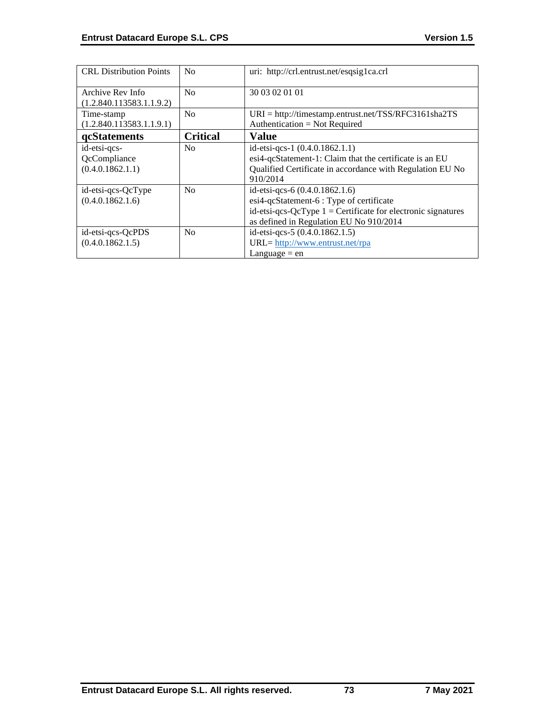| <b>CRL</b> Distribution Points                   | No              | uri: http://crl.entrust.net/esqsig1ca.crl                                                                                                                                               |
|--------------------------------------------------|-----------------|-----------------------------------------------------------------------------------------------------------------------------------------------------------------------------------------|
| Archive Rev Info<br>(1.2.840.113583.1.1.9.2)     | N <sub>0</sub>  | 30 03 02 01 01                                                                                                                                                                          |
| Time-stamp<br>(1.2.840.113583.1.1.9.1)           | N <sub>0</sub>  | $URI = \frac{http://timestamp.entrust.net/TSS/RFC3161sha2TS}{$<br>Authentication = Not Required                                                                                         |
| qcStatements                                     | <b>Critical</b> | <b>Value</b>                                                                                                                                                                            |
| id-etsi-qcs-<br>QcCompliance<br>(0.4.0.1862.1.1) | N <sub>0</sub>  | id-etsi-qcs-1 $(0.4.0.1862.1.1)$<br>esi4-qcStatement-1: Claim that the certificate is an EU<br>Qualified Certificate in accordance with Regulation EU No<br>910/2014                    |
| id-etsi-qcs-QcType<br>(0.4.0.1862.1.6)           | N <sub>0</sub>  | id-etsi-qcs-6 (0.4.0.1862.1.6)<br>esi4-qcStatement-6 : Type of certificate<br>id-etsi-qcs-QcType $1 =$ Certificate for electronic signatures<br>as defined in Regulation EU No 910/2014 |
| id-etsi-qcs-QcPDS<br>(0.4.0.1862.1.5)            | N <sub>0</sub>  | id-etsi-qcs-5 (0.4.0.1862.1.5)<br>URL= http://www.entrust.net/rpa<br>Language $=$ en                                                                                                    |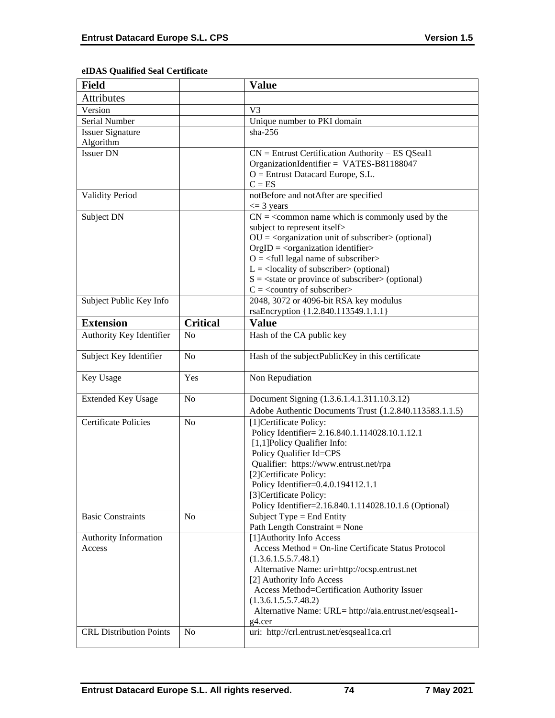# **eIDAS Qualified Seal Certificate**

| <b>Field</b>                   |                 | <b>Value</b>                                                                                         |
|--------------------------------|-----------------|------------------------------------------------------------------------------------------------------|
| <b>Attributes</b>              |                 |                                                                                                      |
| Version                        |                 | V <sub>3</sub>                                                                                       |
| Serial Number                  |                 | Unique number to PKI domain                                                                          |
| <b>Issuer Signature</b>        |                 | $sha-256$                                                                                            |
| Algorithm                      |                 |                                                                                                      |
| <b>Issuer DN</b>               |                 | $CN =$ Entrust Certification Authority – ES QSeal1<br>OrganizationIdentifier = VATES-B81188047       |
|                                |                 | $O =$ Entrust Datacard Europe, S.L.                                                                  |
|                                |                 | $C = ES$                                                                                             |
| <b>Validity Period</b>         |                 | notBefore and notAfter are specified<br>$\leq$ 3 years                                               |
| Subject DN                     |                 | $CN = \s<$ common name which is commonly used by the                                                 |
|                                |                 | subject to represent itself>                                                                         |
|                                |                 | $OU =$ < $c$ rganization unit of subscriber > (optional)                                             |
|                                |                 | $OrgID = <$ organization identifier>                                                                 |
|                                |                 | $O = \frac{1}{2}$ legal name of subscriber                                                           |
|                                |                 | $L =$ <locality of="" subscriber=""> (optional)</locality>                                           |
|                                |                 | $S = \text{state}$ or province of subscriber > (optional)                                            |
|                                |                 | $C = \langle$ country of subscriber>                                                                 |
| Subject Public Key Info        |                 | 2048, 3072 or 4096-bit RSA key modulus                                                               |
|                                |                 | rsaEncryption {1.2.840.113549.1.1.1}                                                                 |
| <b>Extension</b>               | <b>Critical</b> | <b>Value</b>                                                                                         |
| Authority Key Identifier       | N <sub>o</sub>  | Hash of the CA public key                                                                            |
| Subject Key Identifier         | N <sub>o</sub>  | Hash of the subjectPublicKey in this certificate                                                     |
| Key Usage                      | Yes             | Non Repudiation                                                                                      |
| <b>Extended Key Usage</b>      |                 |                                                                                                      |
|                                | N <sub>o</sub>  |                                                                                                      |
|                                |                 | Document Signing (1.3.6.1.4.1.311.10.3.12)<br>Adobe Authentic Documents Trust (1.2.840.113583.1.1.5) |
| <b>Certificate Policies</b>    | No              | [1] Certificate Policy:                                                                              |
|                                |                 | Policy Identifier= 2.16.840.1.114028.10.1.12.1                                                       |
|                                |                 | [1,1]Policy Qualifier Info:                                                                          |
|                                |                 | Policy Qualifier Id=CPS                                                                              |
|                                |                 | Qualifier: https://www.entrust.net/rpa                                                               |
|                                |                 | [2]Certificate Policy:                                                                               |
|                                |                 | Policy Identifier=0.4.0.194112.1.1                                                                   |
|                                |                 | [3] Certificate Policy:                                                                              |
|                                |                 | Policy Identifier=2.16.840.1.114028.10.1.6 (Optional)                                                |
| <b>Basic Constraints</b>       | N <sub>0</sub>  | Subject Type = End Entity                                                                            |
|                                |                 | Path Length Constraint = None                                                                        |
| Authority Information          |                 | [1] Authority Info Access                                                                            |
| Access                         |                 | Access Method = On-line Certificate Status Protocol                                                  |
|                                |                 | (1.3.6.1.5.5.7.48.1)                                                                                 |
|                                |                 | Alternative Name: uri=http://ocsp.entrust.net                                                        |
|                                |                 | [2] Authority Info Access                                                                            |
|                                |                 | Access Method=Certification Authority Issuer                                                         |
|                                |                 | (1.3.6.1.5.5.7.48.2)                                                                                 |
|                                |                 | Alternative Name: URL= http://aia.entrust.net/esqseal1-                                              |
| <b>CRL Distribution Points</b> | N <sub>o</sub>  | g4.cer<br>uri: http://crl.entrust.net/esqseal1ca.crl                                                 |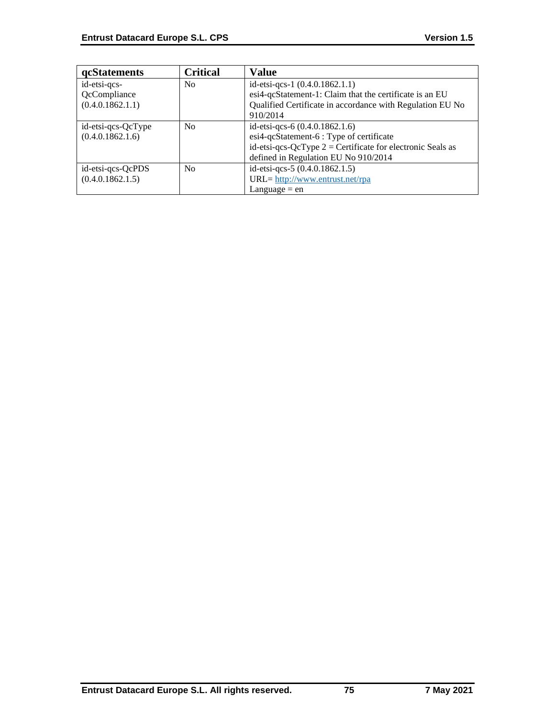| <b>qcStatements</b> | <b>Critical</b> | <b>Value</b>                                                 |
|---------------------|-----------------|--------------------------------------------------------------|
| id-etsi-qcs-        | N <sub>0</sub>  | id-etsi-qcs-1 (0.4.0.1862.1.1)                               |
| QcCompliance        |                 | esi4-qcStatement-1: Claim that the certificate is an EU      |
| (0.4.0.1862.1.1)    |                 | Qualified Certificate in accordance with Regulation EU No    |
|                     |                 | 910/2014                                                     |
| id-etsi-qcs-QcType  | N <sub>0</sub>  | id-etsi-qcs-6 (0.4.0.1862.1.6)                               |
| (0.4.0.1862.1.6)    |                 | esi4-qcStatement-6 : Type of certificate                     |
|                     |                 | id-etsi-qcs-QcType $2$ = Certificate for electronic Seals as |
|                     |                 | defined in Regulation EU No 910/2014                         |
| id-etsi-qcs-QcPDS   | No              | id-etsi-qcs-5 (0.4.0.1862.1.5)                               |
| (0.4.0.1862.1.5)    |                 | URL= http://www.entrust.net/rpa                              |
|                     |                 | Language $=$ en                                              |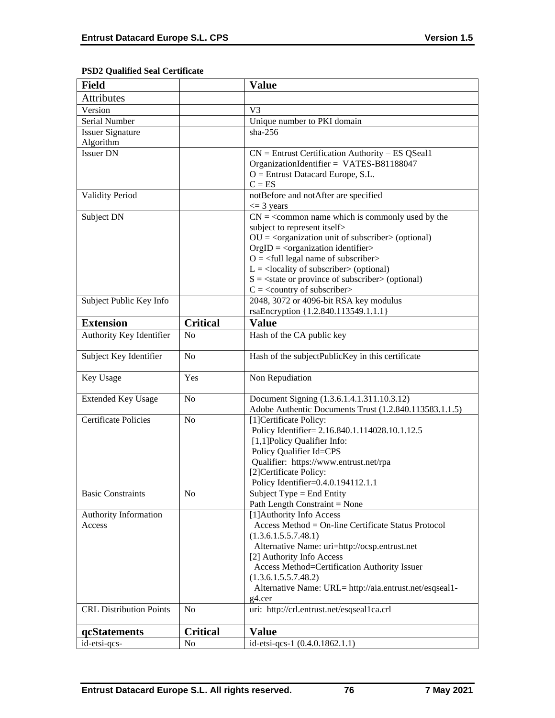# **PSD2 Qualified Seal Certificate**

| <b>Field</b>                    |                 | <b>Value</b>                                                                                                                                                                                                                                                                                                                                                                                                                                               |
|---------------------------------|-----------------|------------------------------------------------------------------------------------------------------------------------------------------------------------------------------------------------------------------------------------------------------------------------------------------------------------------------------------------------------------------------------------------------------------------------------------------------------------|
| <b>Attributes</b>               |                 |                                                                                                                                                                                                                                                                                                                                                                                                                                                            |
| Version                         |                 | V <sub>3</sub>                                                                                                                                                                                                                                                                                                                                                                                                                                             |
| Serial Number                   |                 | Unique number to PKI domain                                                                                                                                                                                                                                                                                                                                                                                                                                |
| <b>Issuer Signature</b>         |                 | $sha-256$                                                                                                                                                                                                                                                                                                                                                                                                                                                  |
| Algorithm                       |                 |                                                                                                                                                                                                                                                                                                                                                                                                                                                            |
| <b>Issuer DN</b>                |                 | $CN =$ Entrust Certification Authority – ES QSeal1<br>OrganizationIdentifier = VATES-B81188047<br>$O =$ Entrust Datacard Europe, S.L.<br>$C = ES$                                                                                                                                                                                                                                                                                                          |
| <b>Validity Period</b>          |                 | notBefore and notAfter are specified<br>$\leq$ 3 years                                                                                                                                                                                                                                                                                                                                                                                                     |
| Subject DN                      |                 | $CN = \s<$ common name which is commonly used by the<br>subject to represent itself><br>$OU = coequation unit of subscripts (optional)$<br>$OrgID = <$ organization identifier><br>$O = \left\langle \text{full legal name of subscripter} \right\rangle$<br>$L =$ <locality of="" subscriber=""> (optional)<br/><math>S = \text{state}</math> or province of subscriber &gt; (optional)<br/><math>C = \langle</math> country of subscriber&gt;</locality> |
| Subject Public Key Info         |                 | 2048, 3072 or 4096-bit RSA key modulus<br>rsaEncryption {1.2.840.113549.1.1.1}                                                                                                                                                                                                                                                                                                                                                                             |
| <b>Extension</b>                | <b>Critical</b> | <b>Value</b>                                                                                                                                                                                                                                                                                                                                                                                                                                               |
| Authority Key Identifier        | N <sub>o</sub>  | Hash of the CA public key                                                                                                                                                                                                                                                                                                                                                                                                                                  |
| Subject Key Identifier          | N <sub>o</sub>  | Hash of the subjectPublicKey in this certificate                                                                                                                                                                                                                                                                                                                                                                                                           |
| Key Usage                       | Yes             | Non Repudiation                                                                                                                                                                                                                                                                                                                                                                                                                                            |
| <b>Extended Key Usage</b>       | N <sub>o</sub>  | Document Signing (1.3.6.1.4.1.311.10.3.12)<br>Adobe Authentic Documents Trust (1.2.840.113583.1.1.5)                                                                                                                                                                                                                                                                                                                                                       |
| <b>Certificate Policies</b>     | N <sub>o</sub>  | [1]Certificate Policy:<br>Policy Identifier= 2.16.840.1.114028.10.1.12.5<br>[1,1] Policy Qualifier Info:<br>Policy Qualifier Id=CPS<br>Qualifier: https://www.entrust.net/rpa<br>[2]Certificate Policy:<br>Policy Identifier=0.4.0.194112.1.1                                                                                                                                                                                                              |
| <b>Basic Constraints</b>        | N <sub>0</sub>  | Subject Type = End Entity<br>Path Length Constraint = None                                                                                                                                                                                                                                                                                                                                                                                                 |
| Authority Information<br>Access |                 | [1] Authority Info Access<br>Access Method = On-line Certificate Status Protocol<br>(1.3.6.1.5.5.7.48.1)<br>Alternative Name: uri=http://ocsp.entrust.net<br>[2] Authority Info Access<br>Access Method=Certification Authority Issuer<br>(1.3.6.1.5.5.7.48.2)<br>Alternative Name: URL= http://aia.entrust.net/esqseal1-<br>g4.cer                                                                                                                        |
| <b>CRL Distribution Points</b>  | N <sub>o</sub>  | uri: http://crl.entrust.net/esqseal1ca.crl                                                                                                                                                                                                                                                                                                                                                                                                                 |
| qcStatements                    | <b>Critical</b> | <b>Value</b>                                                                                                                                                                                                                                                                                                                                                                                                                                               |
| id-etsi-qcs-                    | N <sub>0</sub>  | id-etsi-qcs-1 (0.4.0.1862.1.1)                                                                                                                                                                                                                                                                                                                                                                                                                             |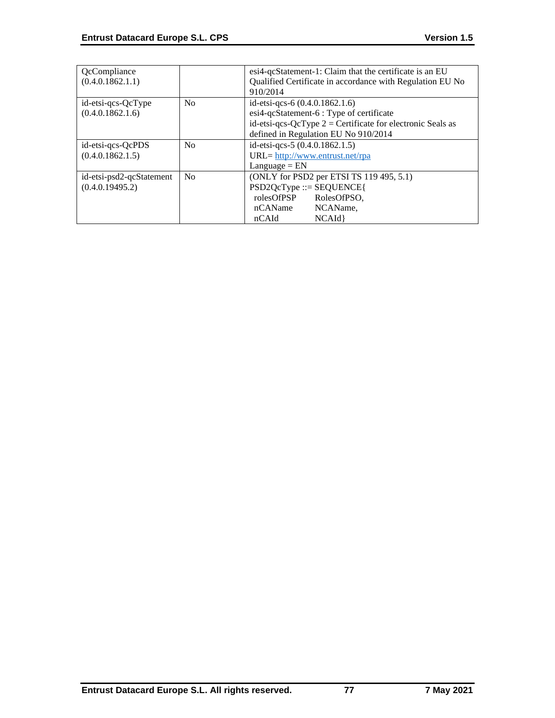| QcCompliance<br>(0.4.0.1862.1.1)            |                | esi4-qcStatement-1: Claim that the certificate is an EU<br>Qualified Certificate in accordance with Regulation EU No<br>910/2014                                                   |
|---------------------------------------------|----------------|------------------------------------------------------------------------------------------------------------------------------------------------------------------------------------|
| id-etsi-qcs-QcType<br>(0.4.0.1862.1.6)      | No             | id-etsi-qcs-6 (0.4.0.1862.1.6)<br>esi4-qcStatement-6 : Type of certificate<br>id-etsi-qcs-QcType $2$ = Certificate for electronic Seals as<br>defined in Regulation EU No 910/2014 |
| id-etsi-qcs-QcPDS<br>(0.4.0.1862.1.5)       | No             | id-etsi-qcs-5 (0.4.0.1862.1.5)<br>$URL = \frac{http://www.entrust.net/rpa}{}$<br>$L$ anguage = $EN$                                                                                |
| id-etsi-psd2-qcStatement<br>(0.4.0.19495.2) | N <sub>0</sub> | (ONLY for PSD2 per ETSI TS 119 495, 5.1)<br>$PSD2QcType ::= SEQUENCE$<br>rolesOfPSP<br>RolesOfPSO,<br>nCAName<br>NCAName,<br>nCAId<br>NCAId                                        |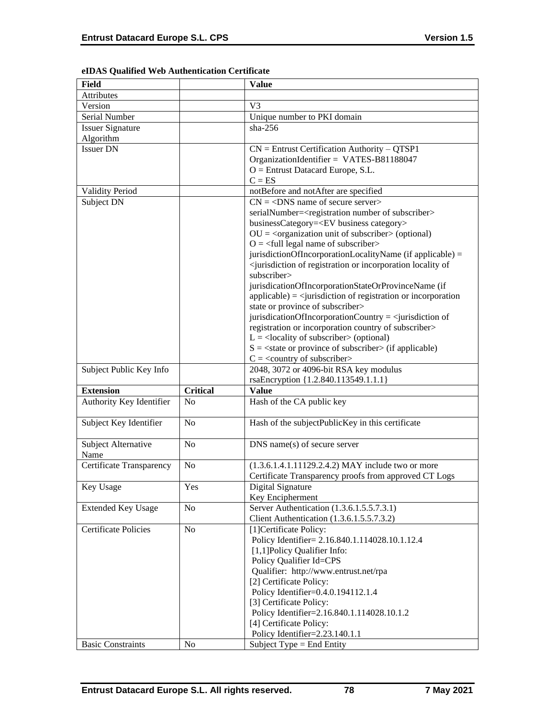| Field                       |                 | <b>Value</b>                                                                                        |
|-----------------------------|-----------------|-----------------------------------------------------------------------------------------------------|
| Attributes                  |                 |                                                                                                     |
| Version                     |                 | V <sub>3</sub>                                                                                      |
| Serial Number               |                 | Unique number to PKI domain                                                                         |
| <b>Issuer Signature</b>     |                 | $sha-256$                                                                                           |
| Algorithm                   |                 |                                                                                                     |
| <b>Issuer DN</b>            |                 | $CN =$ Entrust Certification Authority – QTSP1                                                      |
|                             |                 | OrganizationIdentifier = VATES-B81188047                                                            |
|                             |                 | $O =$ Entrust Datacard Europe, S.L.                                                                 |
|                             |                 | $C = ES$                                                                                            |
| <b>Validity Period</b>      |                 | notBefore and notAfter are specified                                                                |
| Subject DN                  |                 | $CN = <$ DNS name of secure server>                                                                 |
|                             |                 |                                                                                                     |
|                             |                 | serialNumber= <registration number="" of="" subscriber=""></registration>                           |
|                             |                 | businessCategory= <ev business="" category=""></ev>                                                 |
|                             |                 | $OU = coganization unit of subscripts (optional)$                                                   |
|                             |                 | $O = \frac{1}{2}$ legal name of subscriber                                                          |
|                             |                 | jurisdictionOfIncorporationLocalityName (if applicable) =                                           |
|                             |                 | <jurisdiction incorporation="" locality="" of="" of<="" or="" registration="" td=""></jurisdiction> |
|                             |                 | subscriber>                                                                                         |
|                             |                 | jurisdicationOfIncorporationStateOrProvinceName (if                                                 |
|                             |                 | $applicable) =$ invisible $i$ applicable) = $\langle$ square space of registration or incorporation |
|                             |                 | state or province of subscriber>                                                                    |
|                             |                 | jurisdicationOfIncorporationCountry = $\le$ jurisdiction of                                         |
|                             |                 | registration or incorporation country of subscriber>                                                |
|                             |                 | $L =$ <locality of="" subscriber=""> (optional)</locality>                                          |
|                             |                 | $S = \text{state}$ or province of subscriber $\text{in}$ (if applicable)                            |
|                             |                 | $C = \langle$ country of subscriber>                                                                |
| Subject Public Key Info     |                 | 2048, 3072 or 4096-bit RSA key modulus                                                              |
|                             |                 | rsaEncryption {1.2.840.113549.1.1.1}                                                                |
| <b>Extension</b>            | <b>Critical</b> | <b>Value</b>                                                                                        |
| Authority Key Identifier    | No              | Hash of the CA public key                                                                           |
| Subject Key Identifier      | No              | Hash of the subjectPublicKey in this certificate                                                    |
| Subject Alternative         | N <sub>o</sub>  | $DNS$ name(s) of secure server                                                                      |
| Name                        |                 |                                                                                                     |
| Certificate Transparency    | No              | (1.3.6.1.4.1.11129.2.4.2) MAY include two or more                                                   |
|                             |                 | Certificate Transparency proofs from approved CT Logs                                               |
| Key Usage                   | Yes             | Digital Signature                                                                                   |
|                             |                 | Key Encipherment                                                                                    |
| <b>Extended Key Usage</b>   | No              | Server Authentication (1.3.6.1.5.5.7.3.1)                                                           |
|                             |                 | Client Authentication (1.3.6.1.5.5.7.3.2)                                                           |
| <b>Certificate Policies</b> | No              | [1] Certificate Policy:                                                                             |
|                             |                 | Policy Identifier= 2.16.840.1.114028.10.1.12.4                                                      |
|                             |                 | [1,1] Policy Qualifier Info:                                                                        |
|                             |                 | Policy Qualifier Id=CPS                                                                             |
|                             |                 | Qualifier: http://www.entrust.net/rpa                                                               |
|                             |                 | [2] Certificate Policy:                                                                             |
|                             |                 | Policy Identifier=0.4.0.194112.1.4                                                                  |
|                             |                 |                                                                                                     |
|                             |                 | [3] Certificate Policy:                                                                             |
|                             |                 | Policy Identifier=2.16.840.1.114028.10.1.2                                                          |
|                             |                 | [4] Certificate Policy:                                                                             |
|                             |                 | Policy Identifier=2.23.140.1.1                                                                      |

# **eIDAS Qualified Web Authentication Certificate**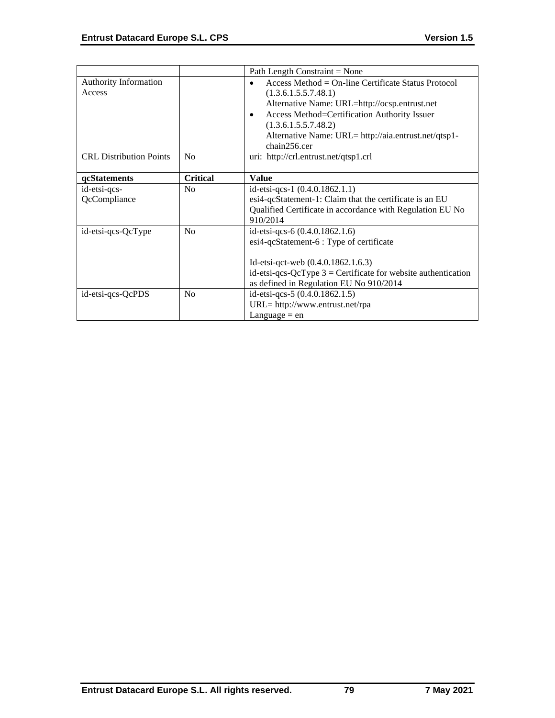|                                |                 | Path Length Constraint = None                                   |
|--------------------------------|-----------------|-----------------------------------------------------------------|
| Authority Information          |                 | Access Method = $On$ -line Certificate Status Protocol          |
| Access                         |                 | (1.3.6.1.5.5.7.48.1)                                            |
|                                |                 | Alternative Name: URL=http://ocsp.entrust.net                   |
|                                |                 | Access Method=Certification Authority Issuer<br>$\bullet$       |
|                                |                 | (1.3.6.1.5.5.7.48.2)                                            |
|                                |                 | Alternative Name: URL= http://aia.entrust.net/qtsp1-            |
|                                |                 | chain256.cer                                                    |
| <b>CRL Distribution Points</b> | N <sub>o</sub>  | uri: http://crl.entrust.net/qtsp1.crl                           |
|                                |                 |                                                                 |
| qcStatements                   | <b>Critical</b> | <b>Value</b>                                                    |
| id-etsi-qcs-                   | N <sub>o</sub>  | id-etsi-qcs-1 $(0.4.0.1862.1.1)$                                |
| QcCompliance                   |                 | esi4-qcStatement-1: Claim that the certificate is an EU         |
|                                |                 | Qualified Certificate in accordance with Regulation EU No       |
|                                |                 | 910/2014                                                        |
| id-etsi-qcs-QcType             | N <sub>0</sub>  | id-etsi-qcs-6 (0.4.0.1862.1.6)                                  |
|                                |                 | esi4-qcStatement-6 : Type of certificate                        |
|                                |                 |                                                                 |
|                                |                 | Id-etsi-qct-web $(0.4.0.1862.1.6.3)$                            |
|                                |                 | id-etsi-qcs-QcType $3$ = Certificate for website authentication |
|                                |                 | as defined in Regulation EU No 910/2014                         |
| id-etsi-qcs-QcPDS              | N <sub>o</sub>  | id-etsi-qcs-5 (0.4.0.1862.1.5)                                  |
|                                |                 | $URL = http://www.entrust.net/rpa$                              |
|                                |                 | Language $=$ en                                                 |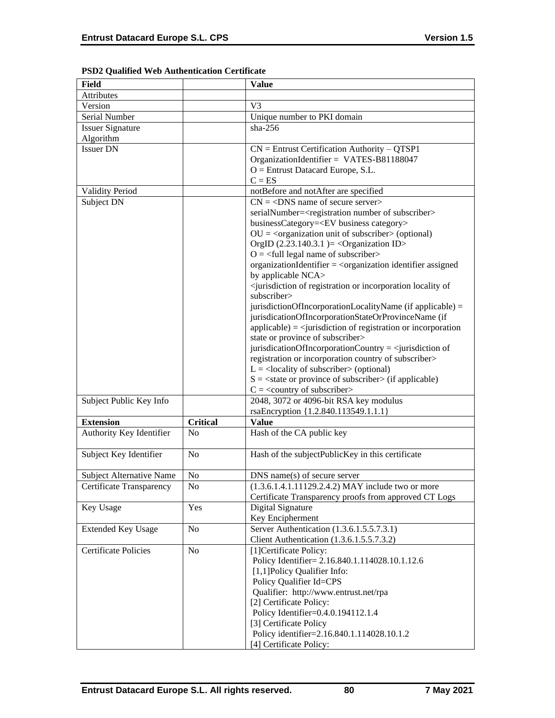| <b>Field</b>                    |                 | <b>Value</b>                                                                                        |
|---------------------------------|-----------------|-----------------------------------------------------------------------------------------------------|
| <b>Attributes</b>               |                 |                                                                                                     |
| Version                         |                 | V <sub>3</sub>                                                                                      |
| Serial Number                   |                 | Unique number to PKI domain                                                                         |
| <b>Issuer Signature</b>         |                 | $sha-256$                                                                                           |
| Algorithm                       |                 |                                                                                                     |
| <b>Issuer DN</b>                |                 | $CN =$ Entrust Certification Authority - QTSP1                                                      |
|                                 |                 | OrganizationIdentifier = VATES-B81188047                                                            |
|                                 |                 | $O =$ Entrust Datacard Europe, S.L.                                                                 |
|                                 |                 | $C = ES$                                                                                            |
| Validity Period                 |                 | notBefore and notAfter are specified                                                                |
| Subject DN                      |                 | $CN = <$ DNS name of secure server>                                                                 |
|                                 |                 | serialNumber= <registration number="" of="" subscriber=""></registration>                           |
|                                 |                 | businessCategory= <ev business="" category=""></ev>                                                 |
|                                 |                 | $OU = corganization unit of subscripter > (optional)$                                               |
|                                 |                 | OrgID $(2.23.140.3.1)$ = < Organization ID>                                                         |
|                                 |                 | $O = \frac{1}{2}$ legal name of subscriber                                                          |
|                                 |                 | organizationIdentifier = $\langle$ organization identifier assigned                                 |
|                                 |                 | by applicable NCA>                                                                                  |
|                                 |                 | <jurisdiction incorporation="" locality="" of="" of<="" or="" registration="" td=""></jurisdiction> |
|                                 |                 | subscriber>                                                                                         |
|                                 |                 | jurisdictionOfIncorporationLocalityName (if applicable) =                                           |
|                                 |                 | jurisdicationOfIncorporationStateOrProvinceName (if                                                 |
|                                 |                 | $applicable) = \langle$ invisible in of registration or incorporation                               |
|                                 |                 | state or province of subscriber>                                                                    |
|                                 |                 | jurisdicationOfIncorporationCountry = $\le$ jurisdiction of                                         |
|                                 |                 | registration or incorporation country of subscriber>                                                |
|                                 |                 | $L =$ <locality of="" subscriber=""> (optional)</locality>                                          |
|                                 |                 | $S = \text{state}$ or province of subscriber $\text{in}$ (if applicable)                            |
|                                 |                 | $C = \langle$ country of subscriber>                                                                |
| Subject Public Key Info         |                 | 2048, 3072 or 4096-bit RSA key modulus                                                              |
|                                 |                 | rsaEncryption {1.2.840.113549.1.1.1}                                                                |
| <b>Extension</b>                | <b>Critical</b> | <b>Value</b>                                                                                        |
| Authority Key Identifier        | No              | Hash of the CA public key                                                                           |
|                                 |                 |                                                                                                     |
| Subject Key Identifier          | N <sub>0</sub>  | Hash of the subjectPublicKey in this certificate                                                    |
|                                 |                 |                                                                                                     |
| <b>Subject Alternative Name</b> | No              | $DNS$ name $(s)$ of secure server                                                                   |
| Certificate Transparency        | No.             | $(1.3.6.1.4.1.11129.2.4.2)$ MAY include two or more                                                 |
|                                 |                 | Certificate Transparency proofs from approved CT Logs                                               |
| Key Usage                       | Yes             | Digital Signature                                                                                   |
|                                 |                 | Key Encipherment                                                                                    |
|                                 | N <sub>0</sub>  | Server Authentication (1.3.6.1.5.5.7.3.1)                                                           |
| <b>Extended Key Usage</b>       |                 |                                                                                                     |
|                                 |                 | Client Authentication (1.3.6.1.5.5.7.3.2)                                                           |
| <b>Certificate Policies</b>     | N <sub>0</sub>  | [1] Certificate Policy:                                                                             |
|                                 |                 | Policy Identifier= 2.16.840.1.114028.10.1.12.6                                                      |
|                                 |                 | [1,1]Policy Qualifier Info:                                                                         |
|                                 |                 | Policy Qualifier Id=CPS                                                                             |
|                                 |                 | Qualifier: http://www.entrust.net/rpa                                                               |
|                                 |                 | [2] Certificate Policy:                                                                             |
|                                 |                 | Policy Identifier=0.4.0.194112.1.4                                                                  |
|                                 |                 | [3] Certificate Policy                                                                              |
|                                 |                 | Policy identifier=2.16.840.1.114028.10.1.2                                                          |
|                                 |                 | [4] Certificate Policy:                                                                             |

# **PSD2 Qualified Web Authentication Certificate**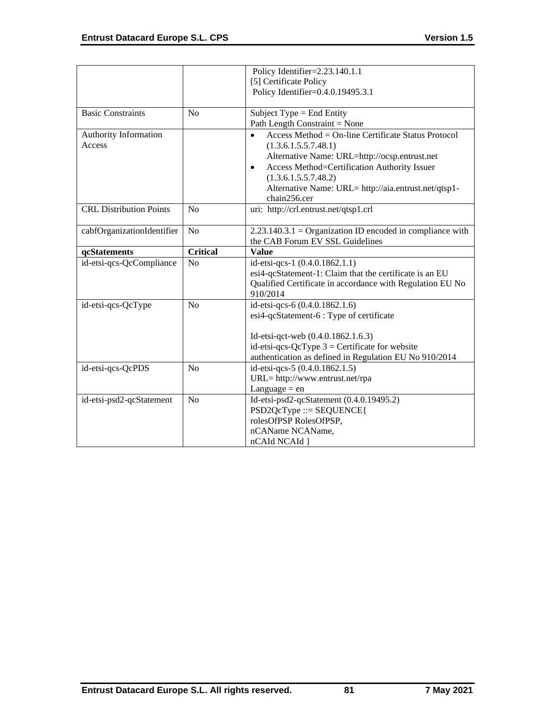|                                |                 | Policy Identifier=2.23.140.1.1                              |
|--------------------------------|-----------------|-------------------------------------------------------------|
|                                |                 | [5] Certificate Policy                                      |
|                                |                 | Policy Identifier=0.4.0.19495.3.1                           |
|                                |                 |                                                             |
| <b>Basic Constraints</b>       | N <sub>0</sub>  | Subject Type $=$ End Entity                                 |
|                                |                 | Path Length Constraint = None                               |
| <b>Authority Information</b>   |                 | Access Method = $On$ -line Certificate Status Protocol      |
| Access                         |                 | (1.3.6.1.5.5.7.48.1)                                        |
|                                |                 | Alternative Name: URL=http://ocsp.entrust.net               |
|                                |                 | Access Method=Certification Authority Issuer<br>$\bullet$   |
|                                |                 | (1.3.6.1.5.5.7.48.2)                                        |
|                                |                 | Alternative Name: URL= http://aia.entrust.net/qtsp1-        |
|                                |                 | chain256.cer                                                |
| <b>CRL Distribution Points</b> | N <sub>o</sub>  | uri: http://crl.entrust.net/qtsp1.crl                       |
| cabfOrganizationIdentifier     | N <sub>o</sub>  | $2.23.140.3.1 =$ Organization ID encoded in compliance with |
|                                |                 | the CAB Forum EV SSL Guidelines                             |
| qcStatements                   | <b>Critical</b> | <b>Value</b>                                                |
| id-etsi-qcs-QcCompliance       | No              | id-etsi-qcs-1 (0.4.0.1862.1.1)                              |
|                                |                 | esi4-qcStatement-1: Claim that the certificate is an EU     |
|                                |                 | Qualified Certificate in accordance with Regulation EU No   |
|                                |                 | 910/2014                                                    |
| id-etsi-qcs-QcType             | N <sub>o</sub>  | id-etsi-qcs-6 (0.4.0.1862.1.6)                              |
|                                |                 | esi4-qcStatement-6 : Type of certificate                    |
|                                |                 | Id-etsi-qct-web (0.4.0.1862.1.6.3)                          |
|                                |                 | id-etsi-qcs-QcType $3$ = Certificate for website            |
|                                |                 | authentication as defined in Regulation EU No 910/2014      |
| id-etsi-qcs-QcPDS              | N <sub>o</sub>  | id-etsi-qcs-5 (0.4.0.1862.1.5)                              |
|                                |                 | URL= http://www.entrust.net/rpa                             |
|                                |                 | Language $=$ en                                             |
| id-etsi-psd2-qcStatement       | N <sub>o</sub>  | Id-etsi-psd2-qcStatement (0.4.0.19495.2)                    |
|                                |                 | $PSD2QcType ::= SEQUENCE$                                   |
|                                |                 | rolesOfPSP RolesOfPSP,                                      |
|                                |                 | nCAName NCAName,                                            |
|                                |                 | nCAId NCAId }                                               |